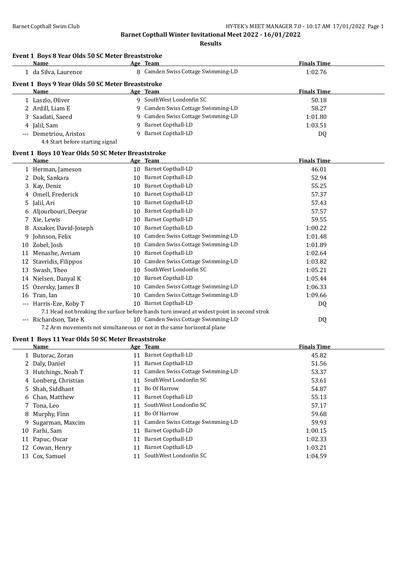**Results**

#### **Event 1 Boys 8 Year Olds 50 SC Meter Breaststroke**

|                                                   | Name                   |    | Age Team                           | <b>Finals Time</b> |  |  |
|---------------------------------------------------|------------------------|----|------------------------------------|--------------------|--|--|
|                                                   | 1 da Silva, Laurence   |    | 8 Camden Swiss Cottage Swimming-LD | 1:02.76            |  |  |
| Event 1 Boys 9 Year Olds 50 SC Meter Breaststroke |                        |    |                                    |                    |  |  |
|                                                   | <b>Name</b>            |    | Age Team                           | <b>Finals Time</b> |  |  |
|                                                   | 1 Laszlo, Oliver       | 9  | SouthWest Londonfin SC             | 50.18              |  |  |
|                                                   | 2 Ardill, Liam E       |    | 9 Camden Swiss Cottage Swimming-LD | 58.27              |  |  |
|                                                   | 3 Saadati, Saeed       |    | 9 Camden Swiss Cottage Swimming-LD | 1:01.80            |  |  |
|                                                   | 4 Jalil, Sam           | q. | Barnet Copthall-LD                 | 1:03.51            |  |  |
|                                                   | --- Demetriou, Aristos |    | Barnet Copthall-LD                 | DQ                 |  |  |

### 4.4 Start before starting signal

#### **Event 1 Boys 10 Year Olds 50 SC Meter Breaststroke**

|       | Name                    |    | Age Team                                                                                   | <b>Finals Time</b> |
|-------|-------------------------|----|--------------------------------------------------------------------------------------------|--------------------|
|       | 1 Herman, Jameson       | 10 | <b>Barnet Copthall-LD</b>                                                                  | 46.01              |
| 2     | Dok, Sankara            | 10 | Barnet Copthall-LD                                                                         | 52.94              |
|       | 3 Kay, Deniz            | 10 | <b>Barnet Copthall-LD</b>                                                                  | 55.25              |
| 4     | Omell, Frederick        | 10 | <b>Barnet Copthall-LD</b>                                                                  | 57.37              |
|       | 5 Jalil, Ari            | 10 | <b>Barnet Copthall-LD</b>                                                                  | 57.43              |
|       | 6 Aljourbouri, Deevar   | 10 | <b>Barnet Copthall-LD</b>                                                                  | 57.57              |
|       | 7 Xie, Lewis            | 10 | <b>Barnet Copthall-LD</b>                                                                  | 59.55              |
|       | 8 Assaker, David-Joseph | 10 | <b>Barnet Copthall-LD</b>                                                                  | 1:00.22            |
| 9     | Johnson, Felix          | 10 | Camden Swiss Cottage Swimming-LD                                                           | 1:01.48            |
| 10    | Zobel, Josh             | 10 | Camden Swiss Cottage Swimming-LD                                                           | 1:01.89            |
| 11    | Menashe, Avriam         | 10 | <b>Barnet Copthall-LD</b>                                                                  | 1:02.64            |
| 12    | Stavridis, Filippos     | 10 | Camden Swiss Cottage Swimming-LD                                                           | 1:03.82            |
| 13    | Swash, Theo             | 10 | SouthWest Londonfin SC                                                                     | 1:05.21            |
| 14    | Nielsen, Danyal K       | 10 | <b>Barnet Copthall-LD</b>                                                                  | 1:05.44            |
| 15    | Ozersky, James B        | 10 | Camden Swiss Cottage Swimming-LD                                                           | 1:06.33            |
| 16    | Tran, Ian               | 10 | Camden Swiss Cottage Swimming-LD                                                           | 1:09.66            |
| $---$ | Harris-Eze, Koby T      | 10 | <b>Barnet Copthall-LD</b>                                                                  | DQ                 |
|       |                         |    | 7.1 Head not breaking the surface before hands turn inward at widest point in second strok |                    |
| $---$ | Richardson, Tate K      |    | 10 Camden Swiss Cottage Swimming-LD                                                        | DQ                 |
|       |                         |    | 7.2 Arm movements not simultaneous or not in the same horizontal plane                     |                    |
|       |                         |    |                                                                                            |                    |

### **Event 1 Boys 11 Year Olds 50 SC Meter Breaststroke**

|    | Name                 |    | Age Team                         | <b>Finals Time</b> |
|----|----------------------|----|----------------------------------|--------------------|
|    | 1 Butorac, Zoran     | 11 | <b>Barnet Copthall-LD</b>        | 45.82              |
|    | 2 Daly, Daniel       | 11 | <b>Barnet Copthall-LD</b>        | 51.56              |
|    | 3 Hutchings, Noah T  |    | Camden Swiss Cottage Swimming-LD | 53.37              |
|    | 4 Lonberg, Christian | 11 | SouthWest Londonfin SC           | 53.61              |
|    | 5 Shah, Siddhant     | 11 | Bo Of Harrow                     | 54.87              |
|    | 6 Chan, Matthew      | 11 | Barnet Copthall-LD               | 55.13              |
|    | 7 Tona, Leo          | 11 | SouthWest Londonfin SC           | 57.17              |
|    | 8 Murphy, Finn       | 11 | Bo Of Harrow                     | 59.68              |
|    | 9 Sugarman, Maxcim   |    | Camden Swiss Cottage Swimming-LD | 59.93              |
| 10 | Farhi, Sam           | 11 | Barnet Copthall-LD               | 1:00.15            |
| 11 | Papuc, Oscar         | 11 | <b>Barnet Copthall-LD</b>        | 1:02.33            |
|    | 12 Cowan, Henry      | 11 | <b>Barnet Copthall-LD</b>        | 1:03.21            |
|    | 13 Cox, Samuel       |    | SouthWest Londonfin SC           | 1:04.59            |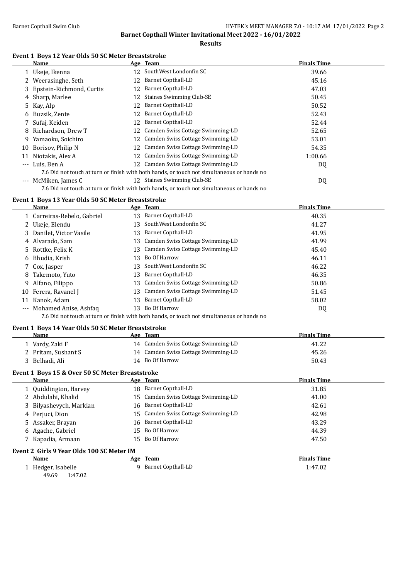**Results**

#### **Event 1 Boys 12 Year Olds 50 SC Meter Breaststroke**

|       | Name                     |                 | Age Team                                                                                   | <b>Finals Time</b> |
|-------|--------------------------|-----------------|--------------------------------------------------------------------------------------------|--------------------|
|       | 1 Ukeje, Ikenna          | 12              | SouthWest Londonfin SC                                                                     | 39.66              |
|       | 2 Weerasinghe, Seth      | 12              | <b>Barnet Copthall-LD</b>                                                                  | 45.16              |
| 3.    | Epstein-Richmond, Curtis | 12              | <b>Barnet Copthall-LD</b>                                                                  | 47.03              |
|       | 4 Sharp, Marlee          | 12              | <b>Staines Swimming Club-SE</b>                                                            | 50.45              |
|       | 5 Kay, Alp               | 12              | <b>Barnet Copthall-LD</b>                                                                  | 50.52              |
| 6     | Buzsik, Zente            | 12              | <b>Barnet Copthall-LD</b>                                                                  | 52.43              |
|       | Sufaj, Keiden            | 12              | <b>Barnet Copthall-LD</b>                                                                  | 52.44              |
| 8     | Richardson, Drew T       | 12              | Camden Swiss Cottage Swimming-LD                                                           | 52.65              |
| 9     | Yamaoku, Soichiro        | 12              | Camden Swiss Cottage Swimming-LD                                                           | 53.01              |
| 10    | Borisov, Philip N        | 12              | Camden Swiss Cottage Swimming-LD                                                           | 54.35              |
| 11    | Niotakis, Alex A         |                 | 12 Camden Swiss Cottage Swimming-LD                                                        | 1:00.66            |
| $---$ | Luis. Ben A              | 12 <sup>1</sup> | Camden Swiss Cottage Swimming-LD                                                           | DQ                 |
|       |                          |                 | 7.6 Did not touch at turn or finish with both hands, or touch not simultaneous or hands no |                    |
| $---$ | McMiken, James C         |                 | 12 Staines Swimming Club-SE                                                                | DQ                 |
|       |                          |                 | 7.6 Did not touch at turn or finish with both hands, or touch not simultaneous or hands no |                    |

#### **Event 1 Boys 13 Year Olds 50 SC Meter Breaststroke**

|          | Name                        |    | Age Team                         | <b>Finals Time</b> |
|----------|-----------------------------|----|----------------------------------|--------------------|
|          | 1 Carreiras-Rebelo, Gabriel | 13 | Barnet Copthall-LD               | 40.35              |
|          | 2 Ukeje, Elendu             | 13 | SouthWest Londonfin SC           | 41.27              |
|          | 3 Danilet, Victor Vasile    | 13 | Barnet Copthall-LD               | 41.95              |
|          | 4 Alvarado, Sam             | 13 | Camden Swiss Cottage Swimming-LD | 41.99              |
|          | 5 Rottke, Felix K           | 13 | Camden Swiss Cottage Swimming-LD | 45.40              |
|          | 6 Bhudia, Krish             | 13 | Bo Of Harrow                     | 46.11              |
|          | 7 Cox, Jasper               | 13 | SouthWest Londonfin SC           | 46.22              |
|          | 8 Takemoto, Yuto            | 13 | Barnet Copthall-LD               | 46.35              |
|          | 9 Alfano, Filippo           | 13 | Camden Swiss Cottage Swimming-LD | 50.86              |
|          | 10 Ferera, Ravanel J        | 13 | Camden Swiss Cottage Swimming-LD | 51.45              |
|          | Kanok, Adam                 | 13 | Barnet Copthall-LD               | 58.02              |
| $\cdots$ | Mohamed Anise, Ashfaq       | 13 | Bo Of Harrow                     | DQ                 |
|          |                             |    |                                  |                    |

7.6 Did not touch at turn or finish with both hands, or touch not simultaneous or hands no

#### **Event 1 Boys 14 Year Olds 50 SC Meter Breaststroke**

49.69 1:47.02

| Name                                            |    | Age Team                            | <b>Finals Time</b> |  |
|-------------------------------------------------|----|-------------------------------------|--------------------|--|
| 1 Vardy, Zaki F                                 |    | 14 Camden Swiss Cottage Swimming-LD | 41.22              |  |
| 2 Pritam, Sushant S                             |    | 14 Camden Swiss Cottage Swimming-LD | 45.26              |  |
| 3 Belhadi, Ali                                  |    | 14 Bo Of Harrow                     | 50.43              |  |
| Event 1 Boys 15 & Over 50 SC Meter Breaststroke |    |                                     |                    |  |
| Name                                            |    | Age Team                            | <b>Finals Time</b> |  |
| 1 Quiddington, Harvey                           | 18 | Barnet Copthall-LD                  | 31.85              |  |
| 2 Abdulahi, Khalid                              | 15 | Camden Swiss Cottage Swimming-LD    | 41.00              |  |
| 3 Bilyashevych, Markian                         | 16 | <b>Barnet Copthall-LD</b>           | 42.61              |  |
| 4 Perjuci, Dion                                 | 15 | Camden Swiss Cottage Swimming-LD    | 42.98              |  |
| 5 Assaker, Brayan                               | 16 | Barnet Copthall-LD                  | 43.29              |  |
| 6 Agache, Gabriel                               | 15 | Bo Of Harrow                        | 44.39              |  |
| 7 Kapadia, Armaan                               | 15 | Bo Of Harrow                        | 47.50              |  |
| Event 2 Girls 9 Year Olds 100 SC Meter IM       |    |                                     |                    |  |
| <b>Name</b>                                     |    | Age Team                            | <b>Finals Time</b> |  |
| 1 Hedger, Isabelle                              | q  | Barnet Copthall-LD                  | 1:47.02            |  |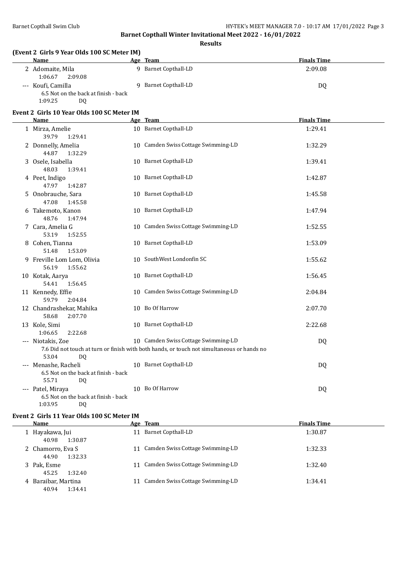**Results**

#### **(Event 2 Girls 9 Year Olds 100 SC Meter IM)**

| Name                                 | Age Team           | <b>Finals Time</b> |
|--------------------------------------|--------------------|--------------------|
| 2 Adomaite, Mila                     | Barnet Copthall-LD | 2:09.08            |
| 2:09.08<br>1:06.67                   |                    |                    |
| --- Koufi, Camilla                   | Barnet Copthall-LD | DQ                 |
| 6.5 Not on the back at finish - back |                    |                    |

#### **Event 2 Girls 10 Year Olds 100 SC Meter IM**

1:09.25 DQ

| <b>Name</b>                                                                 | Age Team                                                                                                                          | <b>Finals Time</b> |
|-----------------------------------------------------------------------------|-----------------------------------------------------------------------------------------------------------------------------------|--------------------|
| 1 Mirza, Amelie<br>39.79<br>1:29.41                                         | 10 Barnet Copthall-LD                                                                                                             | 1:29.41            |
| 2 Donnelly, Amelia<br>44.87<br>1:32.29                                      | 10 Camden Swiss Cottage Swimming-LD                                                                                               | 1:32.29            |
| 3 Osele, Isabella<br>48.03<br>1:39.41                                       | 10 Barnet Copthall-LD                                                                                                             | 1:39.41            |
| 4 Peet, Indigo<br>47.97<br>1:42.87                                          | 10 Barnet Copthall-LD                                                                                                             | 1:42.87            |
| 5 Onobrauche, Sara<br>47.08<br>1:45.58                                      | 10 Barnet Copthall-LD                                                                                                             | 1:45.58            |
| 6 Takemoto, Kanon<br>48.76<br>1:47.94                                       | 10 Barnet Copthall-LD                                                                                                             | 1:47.94            |
| 7 Cara, Amelia G<br>53.19<br>1:52.55                                        | 10 Camden Swiss Cottage Swimming-LD                                                                                               | 1:52.55            |
| 8 Cohen, Tianna<br>1:53.09<br>51.48                                         | 10 Barnet Copthall-LD                                                                                                             | 1:53.09            |
| 9 Freville Lom Lom, Olivia<br>56.19<br>1:55.62                              | 10 SouthWest Londonfin SC                                                                                                         | 1:55.62            |
| 10 Kotak, Aarya<br>54.41<br>1:56.45                                         | 10 Barnet Copthall-LD                                                                                                             | 1:56.45            |
| 11 Kennedy, Effie<br>59.79<br>2:04.84                                       | 10 Camden Swiss Cottage Swimming-LD                                                                                               | 2:04.84            |
| 12 Chandrashekar, Mahika<br>58.68<br>2:07.70                                | 10 Bo Of Harrow                                                                                                                   | 2:07.70            |
| 13 Kole, Simi<br>1:06.65<br>2:22.68                                         | 10 Barnet Copthall-LD                                                                                                             | 2:22.68            |
| --- Niotakis, Zoe<br>53.04<br><b>DQ</b>                                     | 10 Camden Swiss Cottage Swimming-LD<br>7.6 Did not touch at turn or finish with both hands, or touch not simultaneous or hands no | DQ                 |
| --- Menashe, Racheli<br>6.5 Not on the back at finish - back<br>55.71<br>DQ | 10 Barnet Copthall-LD                                                                                                             | DQ                 |
| --- Patel, Miraya<br>6.5 Not on the back at finish - back<br>1:03.95<br>DQ  | 10 Bo Of Harrow                                                                                                                   | DQ                 |

#### **Event 2 Girls 11 Year Olds 100 SC Meter IM**

| Name                                    | Age Team                         | <b>Finals Time</b> |
|-----------------------------------------|----------------------------------|--------------------|
| 1 Hayakawa, Jui<br>40.98<br>1:30.87     | 11 Barnet Copthall-LD            | 1:30.87            |
| 2 Chamorro, Eva S<br>44.90<br>1:32.33   | Camden Swiss Cottage Swimming-LD | 1:32.33            |
| 3 Pak, Esme<br>45.25<br>1:32.40         | Camden Swiss Cottage Swimming-LD | 1:32.40            |
| 4 Baraibar, Martina<br>1:34.41<br>40.94 | Camden Swiss Cottage Swimming-LD | 1:34.41            |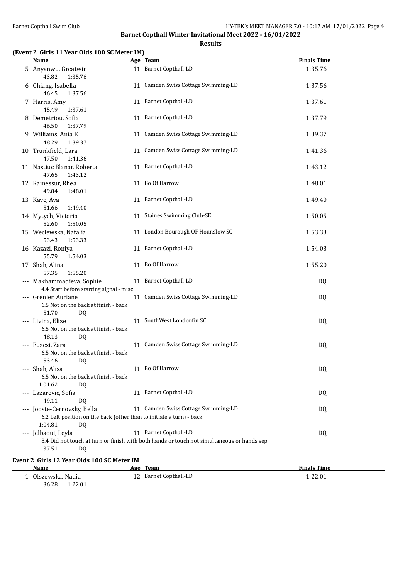#### **Results**

#### **(Event 2 Girls 11 Year Olds 100 SC Meter IM)**

| <b>Name</b>                                                                                                          | Age Team                                                                                                            | <b>Finals Time</b>            |
|----------------------------------------------------------------------------------------------------------------------|---------------------------------------------------------------------------------------------------------------------|-------------------------------|
| 5 Anyanwu, Greatwin<br>43.82<br>1:35.76                                                                              | 11 Barnet Copthall-LD                                                                                               | 1:35.76                       |
| 6 Chiang, Isabella<br>46.45<br>1:37.56                                                                               | 11 Camden Swiss Cottage Swimming-LD                                                                                 | 1:37.56                       |
| 7 Harris, Amy<br>45.49<br>1:37.61                                                                                    | 11 Barnet Copthall-LD                                                                                               | 1:37.61                       |
| 8 Demetriou, Sofia<br>46.50<br>1:37.79                                                                               | 11 Barnet Copthall-LD                                                                                               | 1:37.79                       |
| 9 Williams, Ania E<br>48.29<br>1:39.37                                                                               | 11 Camden Swiss Cottage Swimming-LD                                                                                 | 1:39.37                       |
| 10 Trunkfield, Lara<br>47.50<br>1:41.36                                                                              | 11 Camden Swiss Cottage Swimming-LD                                                                                 | 1:41.36                       |
| 11 Nastiuc Blanar, Roberta<br>47.65<br>1:43.12                                                                       | 11 Barnet Copthall-LD                                                                                               | 1:43.12                       |
| 12 Ramessur, Rhea<br>49.84<br>1:48.01                                                                                | 11 Bo Of Harrow                                                                                                     | 1:48.01                       |
| 13 Kaye, Ava<br>1:49.40<br>51.66                                                                                     | 11 Barnet Copthall-LD                                                                                               | 1:49.40                       |
| 14 Mytych, Victoria<br>52.60<br>1:50.05                                                                              | 11 Staines Swimming Club-SE                                                                                         | 1:50.05                       |
| 15 Weclewska, Natalia<br>53.43<br>1:53.33                                                                            | 11 London Bourough OF Hounslow SC                                                                                   | 1:53.33                       |
| 16 Kazazi, Roniya<br>55.79<br>1:54.03                                                                                | 11 Barnet Copthall-LD                                                                                               | 1:54.03                       |
| 17 Shah, Alina<br>57.35<br>1:55.20                                                                                   | 11 Bo Of Harrow                                                                                                     | 1:55.20                       |
| --- Makhammadieva, Sophie<br>4.4 Start before starting signal - misc                                                 | 11 Barnet Copthall-LD                                                                                               | DQ                            |
| --- Grenier, Auriane<br>6.5 Not on the back at finish - back<br>51.70<br>DQ                                          | 11 Camden Swiss Cottage Swimming-LD                                                                                 | DQ                            |
| --- Livina, Elize<br>6.5 Not on the back at finish - back<br>48.13<br>DQ                                             | 11 SouthWest Londonfin SC                                                                                           | DQ                            |
| --- Fuzesi, Zara<br>6.5 Not on the back at finish - back<br>53.46<br>DQ                                              | 11 Camden Swiss Cottage Swimming-LD                                                                                 | DQ                            |
| --- Shah, Alisa<br>6.5 Not on the back at finish - back<br>1:01.62<br><b>DQ</b>                                      | 11 Bo Of Harrow                                                                                                     | DQ                            |
| --- Lazarevic, Sofia<br>49.11<br><b>DQ</b>                                                                           | 11 Barnet Copthall-LD                                                                                               | DQ                            |
| --- Jooste-Cernovsky, Bella<br>6.2 Left position on the back (other than to initiate a turn) - back<br>1:04.81<br>DQ | 11 Camden Swiss Cottage Swimming-LD                                                                                 | DQ                            |
| --- Jelbaoui, Leyla<br>37.51<br>DQ                                                                                   | 11 Barnet Copthall-LD<br>8.4 Did not touch at turn or finish with both hands or touch not simultaneous or hands sep | DQ                            |
| Event 2 Girls 12 Year Olds 100 SC Meter IM                                                                           |                                                                                                                     |                               |
| Name<br>1 Olszewska, Nadia                                                                                           | Age Team<br>12 Barnet Copthall-LD                                                                                   | <b>Finals Time</b><br>1:22.01 |
|                                                                                                                      |                                                                                                                     |                               |

36.28 1:22.01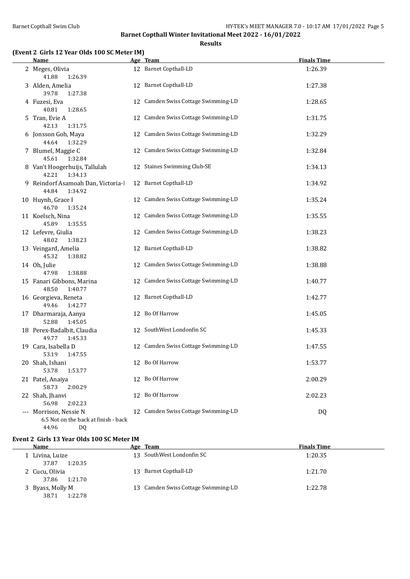**Results**

#### **(Event 2 Girls 12 Year Olds 100 SC Meter IM)**

| <b>Name</b>                                                                   | Age Team                            | <b>Finals Time</b> |
|-------------------------------------------------------------------------------|-------------------------------------|--------------------|
| 2 Meges, Olivia<br>41.88<br>1:26.39                                           | 12 Barnet Copthall-LD               | 1:26.39            |
| 3 Alden, Amelia<br>39.78<br>1:27.38                                           | 12 Barnet Copthall-LD               | 1:27.38            |
| 4 Fuzesi, Eva<br>40.81<br>1:28.65                                             | 12 Camden Swiss Cottage Swimming-LD | 1:28.65            |
| 5 Tran, Evie A<br>42.13<br>1:31.75                                            | 12 Camden Swiss Cottage Swimming-LD | 1:31.75            |
| 6 Jonsson Goh, Maya<br>44.64<br>1:32.29                                       | 12 Camden Swiss Cottage Swimming-LD | 1:32.29            |
| 7 Blumel, Maggie C<br>45.61<br>1:32.84                                        | 12 Camden Swiss Cottage Swimming-LD | 1:32.84            |
| 8 Van't Hoogerhuijs, Tallulah<br>42.21<br>1:34.13                             | 12 Staines Swimming Club-SE         | 1:34.13            |
| 9 Reindorf Asamoah Dan, Victoria-l<br>44.84<br>1:34.92                        | 12 Barnet Copthall-LD               | 1:34.92            |
| 10 Huynh, Grace I<br>46.70<br>1:35.24                                         | 12 Camden Swiss Cottage Swimming-LD | 1:35.24            |
| 11 Koelsch, Nina<br>45.89<br>1:35.55                                          | 12 Camden Swiss Cottage Swimming-LD | 1:35.55            |
| 12 Lefevre, Giulia<br>48.02<br>1:38.23                                        | 12 Camden Swiss Cottage Swimming-LD | 1:38.23            |
| 13 Veingard, Amelia<br>45.32<br>1:38.82                                       | 12 Barnet Copthall-LD               | 1:38.82            |
| 14 Oh, Julie<br>1:38.88<br>47.98                                              | 12 Camden Swiss Cottage Swimming-LD | 1:38.88            |
| 15 Fanari Gibbons, Marina<br>48.50<br>1:40.77                                 | 12 Camden Swiss Cottage Swimming-LD | 1:40.77            |
| 16 Georgieva, Reneta<br>49.46<br>1:42.77                                      | 12 Barnet Copthall-LD               | 1:42.77            |
| 17 Dharmaraja, Aanya<br>52.88<br>1:45.05                                      | 12 Bo Of Harrow                     | 1:45.05            |
| 18 Perex-Badalbit, Claudia<br>49.77<br>1:45.33                                | 12 SouthWest Londonfin SC           | 1:45.33            |
| 19 Cara, Isabella D<br>53.19<br>1:47.55                                       | 12 Camden Swiss Cottage Swimming-LD | 1:47.55            |
| 20 Shah, Ishani<br>53.78<br>1:53.77                                           | 12 Bo Of Harrow                     | 1:53.77            |
| 21 Patel, Anaiya<br>58.73<br>2:00.29                                          | 12 Bo Of Harrow                     | 2:00.29            |
| 22 Shah, Jhanvi<br>56.98<br>2:02.23                                           | 12 Bo Of Harrow                     | 2:02.23            |
| --- Morrison, Nessie N<br>6.5 Not on the back at finish - back<br>44.96<br>DQ | 12 Camden Swiss Cottage Swimming-LD | DQ                 |

#### **Event 2 Girls 13 Year Olds 100 SC Meter IM**

| Name                                 | Age Team                            | <b>Finals Time</b> |  |
|--------------------------------------|-------------------------------------|--------------------|--|
| Livina, Luize                        | 13 SouthWest Londonfin SC           | 1:20.35            |  |
| 37.87<br>1:20.35                     |                                     |                    |  |
| 2 Cucu, Olivia                       | Barnet Copthall-LD<br>13            | 1:21.70            |  |
| 1:21.70<br>37.86                     |                                     |                    |  |
| 3 Byass, Molly M<br>38.71<br>1:22.78 | 13 Camden Swiss Cottage Swimming-LD | 1:22.78            |  |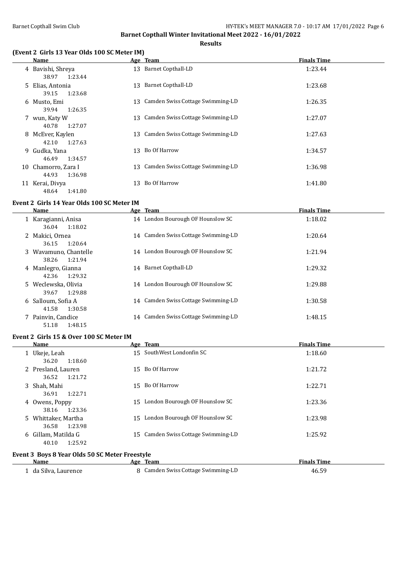**Results**

#### **(Event 2 Girls 13 Year Olds 100 SC Meter IM)**

|    | Name                                  | Age Team                            | <b>Finals Time</b> |
|----|---------------------------------------|-------------------------------------|--------------------|
|    | 4 Bavishi, Shreya<br>38.97<br>1:23.44 | 13 Barnet Copthall-LD               | 1:23.44            |
|    | 5 Elias, Antonia<br>39.15<br>1:23.68  | 13 Barnet Copthall-LD               | 1:23.68            |
|    | 6 Musto, Emi<br>1:26.35<br>39.94      | 13 Camden Swiss Cottage Swimming-LD | 1:26.35            |
|    | 7 wun, Katy W<br>1:27.07<br>40.78     | 13 Camden Swiss Cottage Swimming-LD | 1:27.07            |
|    | 8 McEver, Kaylen<br>42.10<br>1:27.63  | 13 Camden Swiss Cottage Swimming-LD | 1:27.63            |
|    | 9 Gudka, Yana<br>1:34.57<br>46.49     | 13 Bo Of Harrow                     | 1:34.57            |
| 10 | Chamorro, Zara I<br>44.93<br>1:36.98  | 13 Camden Swiss Cottage Swimming-LD | 1:36.98            |
| 11 | Kerai, Divya<br>1:41.80<br>48.64      | 13 Bo Of Harrow                     | 1:41.80            |

#### **Event 2 Girls 14 Year Olds 100 SC Meter IM**

| Name                                      | Age Team                            | <b>Finals Time</b> |
|-------------------------------------------|-------------------------------------|--------------------|
| 1 Karagianni, Anisa<br>1:18.02<br>36.04   | 14 London Bourough OF Hounslow SC   | 1:18.02            |
| 2 Makici, Ornea<br>1:20.64<br>36.15       | 14 Camden Swiss Cottage Swimming-LD | 1:20.64            |
| 3 Wayamuno, Chantelle<br>38.26<br>1:21.94 | 14 London Bourough OF Hounslow SC   | 1:21.94            |
| 4 Manlegro, Gianna<br>42.36<br>1:29.32    | 14 Barnet Copthall-LD               | 1:29.32            |
| 5 Weclewska, Olivia<br>1:29.88<br>39.67   | 14 London Bourough OF Hounslow SC   | 1:29.88            |
| 6 Salloum, Sofia A<br>41.58<br>1:30.58    | 14 Camden Swiss Cottage Swimming-LD | 1:30.58            |
| 7 Painvin, Candice<br>1:48.15<br>51.18    | 14 Camden Swiss Cottage Swimming-LD | 1:48.15            |

#### **Event 2 Girls 15 & Over 100 SC Meter IM**

| Name                                           | Age Team                            | <b>Finals Time</b> |
|------------------------------------------------|-------------------------------------|--------------------|
| 1 Ukeje, Leah<br>36.20<br>1:18.60              | 15 SouthWest Londonfin SC           | 1:18.60            |
| 2 Presland, Lauren                             | 15 Bo Of Harrow                     | 1:21.72            |
| 1:21.72<br>36.52<br>3 Shah, Mahi               | Bo Of Harrow<br>15                  | 1:22.71            |
| 1:22.71<br>36.91<br>4 Owens, Poppy             | 15 London Bourough OF Hounslow SC   | 1:23.36            |
| 1:23.36<br>38.16                               |                                     |                    |
| 5 Whittaker, Martha<br>1:23.98<br>36.58        | 15 London Bourough OF Hounslow SC   | 1:23.98            |
| 6 Gillam, Matilda G<br>1:25.92<br>40.10        | 15 Camden Swiss Cottage Swimming-LD | 1:25.92            |
| Event 3 Boys 8 Year Olds 50 SC Meter Freestyle |                                     |                    |

# **Event 3 Boys 6 Year Olds 50 SC Meter Freestyle**<br>Mame Age Team

| <b>Name</b>        | Team<br>Age                        | <b>Finals Time</b> |
|--------------------|------------------------------------|--------------------|
| da Silva. Laurence | 8 Camden Swiss Cottage Swimming-LD | 46.59              |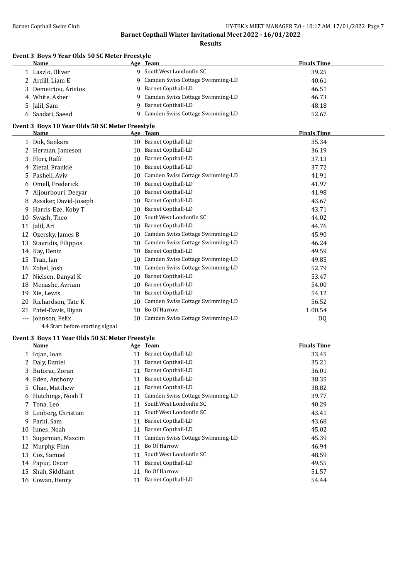**Results**

### **Event 3 Boys 9 Year Olds 50 SC Meter Freestyle**

| <b>Name</b>          | Age Team                           | <b>Finals Time</b> |
|----------------------|------------------------------------|--------------------|
| 1 Laszlo, Oliver     | 9 SouthWest Londonfin SC           | 39.25              |
| 2 Ardill, Liam E     | 9 Camden Swiss Cottage Swimming-LD | 40.61              |
| 3 Demetriou, Aristos | 9 Barnet Copthall-LD               | 46.51              |
| 4 White, Asher       | 9 Camden Swiss Cottage Swimming-LD | 46.73              |
| 5 Jalil, Sam         | 9 Barnet Copthall-LD               | 48.18              |
| 6 Saadati, Saeed     | 9 Camden Swiss Cottage Swimming-LD | 52.67              |

#### **Event 3 Boys 10 Year Olds 50 SC Meter Freestyle**

|          | <b>Name</b>           |    | Age Team                         | <b>Finals Time</b> |
|----------|-----------------------|----|----------------------------------|--------------------|
|          | Dok, Sankara          | 10 | <b>Barnet Copthall-LD</b>        | 35.34              |
|          | Herman, Jameson       | 10 | Barnet Copthall-LD               | 36.19              |
| 3        | Flori, Raffi          | 10 | Barnet Copthall-LD               | 37.13              |
| 4        | Zietal, Frankie       | 10 | Barnet Copthall-LD               | 37.72              |
| 5.       | Pasheli, Aviv         | 10 | Camden Swiss Cottage Swimming-LD | 41.91              |
| 6        | Omell, Frederick      | 10 | Barnet Copthall-LD               | 41.97              |
|          | Aljourbouri, Deeyar   | 10 | Barnet Copthall-LD               | 41.98              |
| 8        | Assaker, David-Joseph | 10 | Barnet Copthall-LD               | 43.67              |
| 9        | Harris-Eze, Koby T    | 10 | <b>Barnet Copthall-LD</b>        | 43.71              |
| 10       | Swash, Theo           | 10 | SouthWest Londonfin SC           | 44.02              |
| 11       | Jalil, Ari            | 10 | Barnet Copthall-LD               | 44.76              |
| 12       | Ozersky, James B      | 10 | Camden Swiss Cottage Swimming-LD | 45.90              |
| 13       | Stavridis, Filippos   | 10 | Camden Swiss Cottage Swimming-LD | 46.24              |
| 14       | Kay, Deniz            | 10 | Barnet Copthall-LD               | 49.59              |
| 15       | Tran, Ian             | 10 | Camden Swiss Cottage Swimming-LD | 49.85              |
| 16       | Zobel, Josh           | 10 | Camden Swiss Cottage Swimming-LD | 52.79              |
| 17       | Nielsen, Danyal K     | 10 | Barnet Copthall-LD               | 53.47              |
| 18       | Menashe, Avriam       | 10 | <b>Barnet Copthall-LD</b>        | 54.00              |
| 19       | Xie, Lewis            | 10 | Barnet Copthall-LD               | 54.12              |
| 20       | Richardson, Tate K    | 10 | Camden Swiss Cottage Swimming-LD | 56.52              |
| 21       | Patel-Davis, Riyan    | 10 | Bo Of Harrow                     | 1:00.54            |
| $\cdots$ | Johnson, Felix        | 10 | Camden Swiss Cottage Swimming-LD | DQ                 |

4.4 Start before starting signal

#### **Event 3 Boys 11 Year Olds 50 SC Meter Freestyle**

|    | Name                 |    | Age Team                         | <b>Finals Time</b> |
|----|----------------------|----|----------------------------------|--------------------|
|    | 1 Iojan, Ioan        | 11 | <b>Barnet Copthall-LD</b>        | 33.45              |
|    | 2 Daly, Daniel       | 11 | <b>Barnet Copthall-LD</b>        | 35.21              |
|    | 3 Butorac, Zoran     | 11 | <b>Barnet Copthall-LD</b>        | 36.01              |
|    | 4 Eden, Anthony      | 11 | Barnet Copthall-LD               | 38.35              |
|    | 5 Chan, Matthew      | 11 | Barnet Copthall-LD               | 38.82              |
| 6  | Hutchings, Noah T    | 11 | Camden Swiss Cottage Swimming-LD | 39.77              |
|    | 7 Tona, Leo          | 11 | SouthWest Londonfin SC           | 40.29              |
|    | 8 Lonberg, Christian | 11 | SouthWest Londonfin SC           | 43.41              |
|    | 9 Farhi, Sam         | 11 | Barnet Copthall-LD               | 43.68              |
| 10 | Innes, Noah          | 11 | <b>Barnet Copthall-LD</b>        | 45.02              |
| 11 | Sugarman, Maxcim     | 11 | Camden Swiss Cottage Swimming-LD | 45.39              |
| 12 | Murphy, Finn         | 11 | Bo Of Harrow                     | 46.94              |
| 13 | Cox, Samuel          | 11 | SouthWest Londonfin SC           | 48.59              |
|    | 14 Papuc, Oscar      | 11 | Barnet Copthall-LD               | 49.55              |
| 15 | Shah, Siddhant       | 11 | Bo Of Harrow                     | 51.57              |
|    | 16 Cowan, Henry      | 11 | Barnet Copthall-LD               | 54.44              |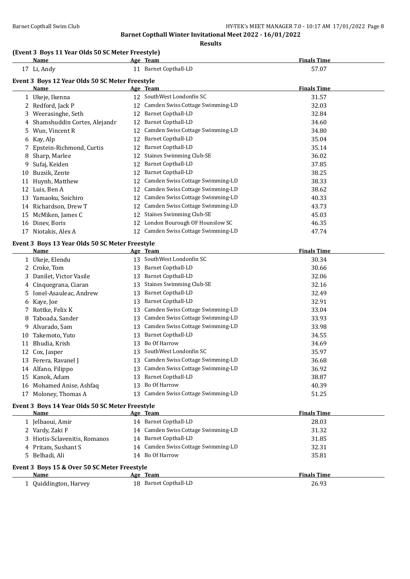**Results**

#### **(Event 3 Boys 11 Year Olds 50 SC Meter Freestyle)**

|    | Name                                            |    | Age Team                         | <b>Finals Time</b> |
|----|-------------------------------------------------|----|----------------------------------|--------------------|
|    | 17 Li, Andy                                     | 11 | <b>Barnet Copthall-LD</b>        | 57.07              |
|    | Event 3 Boys 12 Year Olds 50 SC Meter Freestyle |    |                                  |                    |
|    | Name                                            |    | Age Team                         | <b>Finals Time</b> |
|    | Ukeje, Ikenna                                   | 12 | SouthWest Londonfin SC           | 31.57              |
|    | Redford, Jack P                                 | 12 | Camden Swiss Cottage Swimming-LD | 32.03              |
| 3  | Weerasinghe, Seth                               | 12 | <b>Barnet Copthall-LD</b>        | 32.84              |
|    | Shamshuddin Cortes, Alejandr                    | 12 | Barnet Copthall-LD               | 34.60              |
| 5  | Wun, Vincent R                                  | 12 | Camden Swiss Cottage Swimming-LD | 34.80              |
| 6  | Kay, Alp                                        | 12 | Barnet Copthall-LD               | 35.04              |
|    | Epstein-Richmond, Curtis                        | 12 | <b>Barnet Copthall-LD</b>        | 35.14              |
| 8  | Sharp, Marlee                                   | 12 | <b>Staines Swimming Club-SE</b>  | 36.02              |
| 9  | Sufaj, Keiden                                   | 12 | <b>Barnet Copthall-LD</b>        | 37.85              |
| 10 | Buzsik, Zente                                   | 12 | Barnet Copthall-LD               | 38.25              |
| 11 | Huynh, Matthew                                  | 12 | Camden Swiss Cottage Swimming-LD | 38.33              |
| 12 | Luis, Ben A                                     | 12 | Camden Swiss Cottage Swimming-LD | 38.62              |
| 13 | Yamaoku, Soichiro                               | 12 | Camden Swiss Cottage Swimming-LD | 40.33              |
| 14 | Richardson, Drew T                              | 12 | Camden Swiss Cottage Swimming-LD | 43.73              |
| 15 | McMiken, James C                                | 12 | <b>Staines Swimming Club-SE</b>  | 45.03              |
| 16 | Diney, Boris                                    | 12 | London Bourough OF Hounslow SC   | 46.35              |
| 17 | Niotakis, Alex A                                | 12 | Camden Swiss Cottage Swimming-LD | 47.74              |
|    |                                                 |    |                                  |                    |

#### **Event 3 Boys 13 Year Olds 50 SC Meter Freestyle**

|    | Name                     |    | Age Team                         | <b>Finals Time</b> |  |
|----|--------------------------|----|----------------------------------|--------------------|--|
|    | 1 Ukeje, Elendu          | 13 | SouthWest Londonfin SC           | 30.34              |  |
|    | 2 Croke, Tom             | 13 | <b>Barnet Copthall-LD</b>        | 30.66              |  |
|    | 3 Danilet, Victor Vasile | 13 | <b>Barnet Copthall-LD</b>        | 32.06              |  |
|    | 4 Cinquegrana, Ciaran    | 13 | <b>Staines Swimming Club-SE</b>  | 32.16              |  |
|    | 5 Ionel-Asauleac, Andrew | 13 | <b>Barnet Copthall-LD</b>        | 32.49              |  |
|    | 6 Kaye, Joe              | 13 | <b>Barnet Copthall-LD</b>        | 32.91              |  |
|    | 7 Rottke, Felix K        | 13 | Camden Swiss Cottage Swimming-LD | 33.04              |  |
| 8  | Taboada, Sander          | 13 | Camden Swiss Cottage Swimming-LD | 33.93              |  |
| 9. | Alvarado, Sam            | 13 | Camden Swiss Cottage Swimming-LD | 33.98              |  |
| 10 | Takemoto, Yuto           | 13 | Barnet Copthall-LD               | 34.55              |  |
| 11 | Bhudia, Krish            | 13 | Bo Of Harrow                     | 34.69              |  |
| 12 | Cox, Jasper              | 13 | SouthWest Londonfin SC           | 35.97              |  |
| 13 | Ferera, Ravanel J        | 13 | Camden Swiss Cottage Swimming-LD | 36.68              |  |
| 14 | Alfano, Filippo          | 13 | Camden Swiss Cottage Swimming-LD | 36.92              |  |
| 15 | Kanok, Adam              | 13 | Barnet Copthall-LD               | 38.87              |  |
| 16 | Mohamed Anise, Ashfaq    | 13 | Bo Of Harrow                     | 40.39              |  |
| 17 | Moloney, Thomas A        | 13 | Camden Swiss Cottage Swimming-LD | 51.25              |  |
|    |                          |    |                                  |                    |  |

#### **Event 3 Boys 14 Year Olds 50 SC Meter Freestyle**

| <b>Name</b>                                  |    | Age Team                            | <b>Finals Time</b> |
|----------------------------------------------|----|-------------------------------------|--------------------|
| 1 Jelbaoui, Amir                             |    | 14 Barnet Copthall-LD               | 28.03              |
| 2 Vardy, Zaki F                              |    | 14 Camden Swiss Cottage Swimming-LD | 31.32              |
| 3 Hiotis-Sclavenitis, Romanos                |    | 14 Barnet Copthall-LD               | 31.85              |
| 4 Pritam, Sushant S                          |    | 14 Camden Swiss Cottage Swimming-LD | 32.31              |
| 5 Belhadi, Ali                               |    | 14 Bo Of Harrow                     | 35.81              |
| Event 3 Boys 15 & Over 50 SC Meter Freestyle |    |                                     |                    |
| Name                                         |    | Age Team                            | <b>Finals Time</b> |
| 1 Ouiddington, Harvey                        | 18 | Barnet Copthall-LD                  | 26.93              |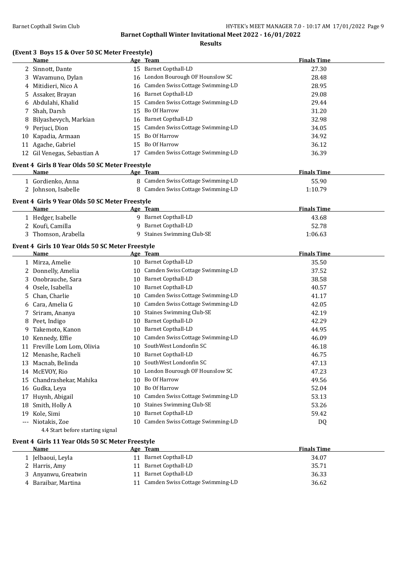**Results**

#### **(Event 3 Boys 15 & Over 50 SC Meter Freestyle)**

|     | Name                                             |    | Age Team                            | <b>Finals Time</b> |
|-----|--------------------------------------------------|----|-------------------------------------|--------------------|
|     | 2 Sinnott, Dante                                 |    | 15 Barnet Copthall-LD               | 27.30              |
| 3   | Wavamuno, Dylan                                  |    | 16 London Bourough OF Hounslow SC   | 28.48              |
|     | 4 Mitidieri, Nico A                              | 16 | Camden Swiss Cottage Swimming-LD    | 28.95              |
|     | 5 Assaker, Brayan                                | 16 | <b>Barnet Copthall-LD</b>           | 29.08              |
|     | 6 Abdulahi, Khalid                               | 15 | Camden Swiss Cottage Swimming-LD    | 29.44              |
| 7   | Shah, Darsh                                      | 15 | Bo Of Harrow                        | 31.20              |
|     | 8 Bilyashevych, Markian                          | 16 | <b>Barnet Copthall-LD</b>           | 32.98              |
|     | 9 Perjuci, Dion                                  | 15 | Camden Swiss Cottage Swimming-LD    | 34.05              |
|     | 10 Kapadia, Armaan                               | 15 | Bo Of Harrow                        | 34.92              |
| 11  | Agache, Gabriel                                  | 15 | Bo Of Harrow                        | 36.12              |
|     | 12 Gil Venegas, Sebastian A                      |    | 17 Camden Swiss Cottage Swimming-LD | 36.39              |
|     | Event 4 Girls 8 Year Olds 50 SC Meter Freestyle  |    |                                     |                    |
|     | Name                                             |    | Age Team                            | <b>Finals Time</b> |
|     | 1 Gordienko, Anna                                |    | 8 Camden Swiss Cottage Swimming-LD  | 55.90              |
|     | 2 Johnson, Isabelle                              |    | 8 Camden Swiss Cottage Swimming-LD  | 1:10.79            |
|     | Event 4 Girls 9 Year Olds 50 SC Meter Freestyle  |    |                                     |                    |
|     | Name                                             |    | Age Team                            | <b>Finals Time</b> |
|     | 1 Hedger, Isabelle                               |    | 9 Barnet Copthall-LD                | 43.68              |
|     | 2 Koufi, Camilla                                 | 9  | <b>Barnet Copthall-LD</b>           | 52.78              |
|     | 3 Thomson, Arabella                              |    | 9 Staines Swimming Club-SE          | 1:06.63            |
|     |                                                  |    |                                     |                    |
|     | Event 4 Girls 10 Year Olds 50 SC Meter Freestyle |    |                                     |                    |
|     | Name                                             |    | <u>Age Team</u>                     | <b>Finals Time</b> |
|     | 1 Mirza, Amelie                                  |    | 10 Barnet Copthall-LD               | 35.50              |
|     | 2 Donnelly, Amelia                               |    | 10 Camden Swiss Cottage Swimming-LD | 37.52              |
|     | 3 Onobrauche, Sara                               |    | 10 Barnet Copthall-LD               | 38.58              |
| 4   | Osele, Isabella                                  |    | 10 Barnet Copthall-LD               | 40.57              |
| 5.  | Chan, Charlie                                    |    | 10 Camden Swiss Cottage Swimming-LD | 41.17              |
|     | 6 Cara, Amelia G                                 |    | 10 Camden Swiss Cottage Swimming-LD | 42.05              |
| 7   | Sriram, Ananya                                   | 10 | <b>Staines Swimming Club-SE</b>     | 42.19              |
|     | 8 Peet, Indigo                                   | 10 | <b>Barnet Copthall-LD</b>           | 42.29              |
| 9   | Takemoto, Kanon                                  | 10 | <b>Barnet Copthall-LD</b>           | 44.95              |
|     | 10 Kennedy, Effie                                | 10 | Camden Swiss Cottage Swimming-LD    | 46.09              |
|     | 11 Freville Lom Lom, Olivia                      |    | 10 SouthWest Londonfin SC           | 46.18              |
|     | 12 Menashe, Racheli                              | 10 | <b>Barnet Copthall-LD</b>           | 46.75              |
|     | 13 Macnab, Belinda                               |    | 10 SouthWest Londonfin SC           | 47.13              |
|     | 14 McEVOY, Rio                                   |    | 10 London Bourough OF Hounslow SC   | 47.23              |
|     | 15 Chandrashekar, Mahika                         | 10 | Bo Of Harrow                        | 49.56              |
|     | 16 Gudka, Leya                                   | 10 | Bo Of Harrow                        | 52.04              |
|     | 17 Huynh, Abigail                                | 10 | Camden Swiss Cottage Swimming-LD    | 53.13              |
|     | 18 Smith, Holly A                                | 10 | <b>Staines Swimming Club-SE</b>     | 53.26              |
| 19  | Kole, Simi                                       | 10 | <b>Barnet Copthall-LD</b>           | 59.42              |
| --- | Niotakis, Zoe                                    | 10 | Camden Swiss Cottage Swimming-LD    | DQ                 |
|     | 4.4 Start before starting signal                 |    |                                     |                    |

#### **Event 4 Girls 11 Year Olds 50 SC Meter Freestyle**

| Name                | Age Team                         | <b>Finals Time</b> |
|---------------------|----------------------------------|--------------------|
| 1 Jelbaoui, Leyla   | 11 Barnet Copthall-LD            | 34.07              |
| 2 Harris, Amy       | 11 Barnet Copthall-LD            | 35.71              |
| 3 Anyanwu, Greatwin | 11 Barnet Copthall-LD            | 36.33              |
| 4 Baraibar, Martina | Camden Swiss Cottage Swimming-LD | 36.62              |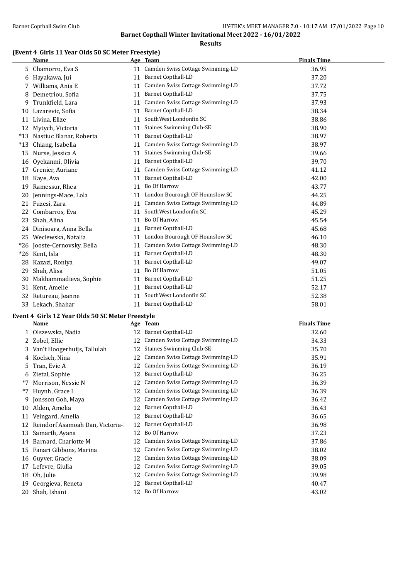#### **Results**

#### **(Event 4 Girls 11 Year Olds 50 SC Meter Freestyle)**

|       | <b>Name</b>                 |    | Age Team                            | <b>Finals Time</b> |
|-------|-----------------------------|----|-------------------------------------|--------------------|
| 5     | Chamorro, Eva S             |    | 11 Camden Swiss Cottage Swimming-LD | 36.95              |
| 6     | Hayakawa, Jui               | 11 | <b>Barnet Copthall-LD</b>           | 37.20              |
|       | Williams, Ania E            | 11 | Camden Swiss Cottage Swimming-LD    | 37.72              |
| 8     | Demetriou, Sofia            | 11 | Barnet Copthall-LD                  | 37.75              |
| 9     | Trunkfield, Lara            | 11 | Camden Swiss Cottage Swimming-LD    | 37.93              |
| 10    | Lazarevic, Sofia            | 11 | Barnet Copthall-LD                  | 38.34              |
| 11    | Livina, Elize               | 11 | SouthWest Londonfin SC              | 38.86              |
| 12    | Mytych, Victoria            | 11 | <b>Staines Swimming Club-SE</b>     | 38.90              |
| $*13$ | Nastiuc Blanar, Roberta     | 11 | <b>Barnet Copthall-LD</b>           | 38.97              |
| $*13$ | Chiang, Isabella            | 11 | Camden Swiss Cottage Swimming-LD    | 38.97              |
| 15    | Nurse, Jessica A            | 11 | <b>Staines Swimming Club-SE</b>     | 39.66              |
| 16    | Oyekanmi, Olivia            | 11 | <b>Barnet Copthall-LD</b>           | 39.70              |
| 17    | Grenier, Auriane            | 11 | Camden Swiss Cottage Swimming-LD    | 41.12              |
| 18    | Kaye, Ava                   | 11 | Barnet Copthall-LD                  | 42.00              |
| 19    | Ramessur, Rhea              | 11 | Bo Of Harrow                        | 43.77              |
| 20    | Jennings-Mace, Lola         | 11 | London Bourough OF Hounslow SC      | 44.25              |
| 21    | Fuzesi, Zara                | 11 | Camden Swiss Cottage Swimming-LD    | 44.89              |
| 22    | Combarros. Eva              | 11 | SouthWest Londonfin SC              | 45.29              |
| 23    | Shah, Alina                 | 11 | Bo Of Harrow                        | 45.54              |
|       | 24 Dinisoara, Anna Bella    | 11 | <b>Barnet Copthall-LD</b>           | 45.68              |
|       | 25 Weclewska, Natalia       | 11 | London Bourough OF Hounslow SC      | 46.10              |
|       | *26 Jooste-Cernovsky, Bella | 11 | Camden Swiss Cottage Swimming-LD    | 48.30              |
|       | *26 Kent, Isla              | 11 | <b>Barnet Copthall-LD</b>           | 48.30              |
| 28    | Kazazi, Roniya              | 11 | <b>Barnet Copthall-LD</b>           | 49.07              |
| 29    | Shah, Alisa                 | 11 | Bo Of Harrow                        | 51.05              |
| 30    | Makhammadieva, Sophie       | 11 | <b>Barnet Copthall-LD</b>           | 51.25              |
| 31    | Kent, Amelie                | 11 | <b>Barnet Copthall-LD</b>           | 52.17              |
| 32    | Retureau, Jeanne            | 11 | SouthWest Londonfin SC              | 52.38              |
| 33    | Lekach, Shahar              | 11 | <b>Barnet Copthall-LD</b>           | 58.01              |

# **Event 4 Girls 12 Year Olds 50 SC Meter Freestyle**

|    | <b>Name</b>                     |    | Age Team                         | <b>Finals Time</b> |
|----|---------------------------------|----|----------------------------------|--------------------|
|    | 1 Olszewska, Nadia              | 12 | <b>Barnet Copthall-LD</b>        | 32.60              |
|    | 2 Zobel, Ellie                  | 12 | Camden Swiss Cottage Swimming-LD | 34.33              |
| 3  | Van't Hoogerhuijs, Tallulah     | 12 | <b>Staines Swimming Club-SE</b>  | 35.70              |
|    | 4 Koelsch, Nina                 | 12 | Camden Swiss Cottage Swimming-LD | 35.91              |
| 5. | Tran, Evie A                    | 12 | Camden Swiss Cottage Swimming-LD | 36.19              |
| 6  | Zietal, Sophie                  | 12 | Barnet Copthall-LD               | 36.25              |
| *7 | Morrison, Nessie N              | 12 | Camden Swiss Cottage Swimming-LD | 36.39              |
| *7 | Huynh, Grace I                  | 12 | Camden Swiss Cottage Swimming-LD | 36.39              |
| 9. | Jonsson Goh, Maya               | 12 | Camden Swiss Cottage Swimming-LD | 36.42              |
| 10 | Alden, Amelia                   | 12 | Barnet Copthall-LD               | 36.43              |
| 11 | Veingard, Amelia                | 12 | <b>Barnet Copthall-LD</b>        | 36.65              |
| 12 | Reindorf Asamoah Dan, Victoria- | 12 | <b>Barnet Copthall-LD</b>        | 36.98              |
| 13 | Samarth, Ayana                  | 12 | Bo Of Harrow                     | 37.23              |
| 14 | Barnard, Charlotte M            | 12 | Camden Swiss Cottage Swimming-LD | 37.86              |
| 15 | Fanari Gibbons, Marina          | 12 | Camden Swiss Cottage Swimming-LD | 38.02              |
| 16 | Guyver, Gracie                  | 12 | Camden Swiss Cottage Swimming-LD | 38.09              |
| 17 | Lefevre, Giulia                 | 12 | Camden Swiss Cottage Swimming-LD | 39.05              |
| 18 | Oh, Julie                       | 12 | Camden Swiss Cottage Swimming-LD | 39.98              |
| 19 | Georgieva, Reneta               | 12 | Barnet Copthall-LD               | 40.47              |
| 20 | Shah, Ishani                    | 12 | Bo Of Harrow                     | 43.02              |
|    |                                 |    |                                  |                    |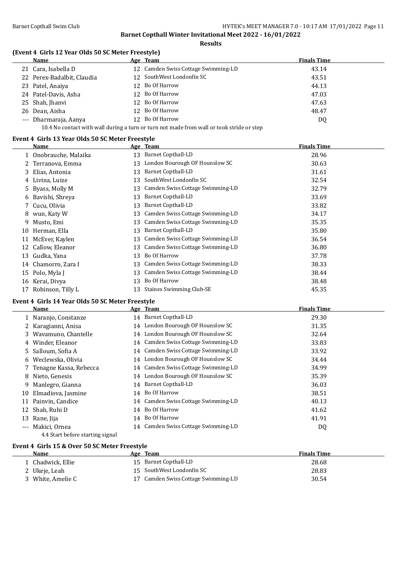**Results**

#### **(Event 4 Girls 12 Year Olds 50 SC Meter Freestyle)**

| Name                       | Age Team                                                                                  | <b>Finals Time</b> |
|----------------------------|-------------------------------------------------------------------------------------------|--------------------|
| 21 Cara, Isabella D        | 12 Camden Swiss Cottage Swimming-LD                                                       | 43.14              |
| 22 Perex-Badalbit, Claudia | 12 SouthWest Londonfin SC                                                                 | 43.51              |
| 23 Patel, Anaiya           | 12 Bo Of Harrow                                                                           | 44.13              |
| 24 Patel-Davis, Asha       | 12 Bo Of Harrow                                                                           | 47.03              |
| 25 Shah, Jhanyi            | 12 Bo Of Harrow                                                                           | 47.63              |
| 26 Dean, Aisha             | 12 Bo Of Harrow                                                                           | 48.47              |
| --- Dharmaraja, Aanya      | 12 Bo Of Harrow                                                                           | DQ                 |
|                            | 10.4 No contact with wall during a turn or turn not made from wall or took stride or step |                    |

**Event 4 Girls 13 Year Olds 50 SC Meter Freestyle**

|    | Name                |    | Age Team                         | <b>Finals Time</b> |
|----|---------------------|----|----------------------------------|--------------------|
|    | Onobrauche, Malaika | 13 | Barnet Copthall-LD               | 28.96              |
|    | Terranova, Emma     | 13 | London Bourough OF Hounslow SC   | 30.63              |
| 3  | Elias, Antonia      | 13 | <b>Barnet Copthall-LD</b>        | 31.61              |
| 4  | Livina, Luize       | 13 | SouthWest Londonfin SC           | 32.54              |
|    | 5 Byass, Molly M    | 13 | Camden Swiss Cottage Swimming-LD | 32.79              |
| 6  | Bavishi, Shreya     | 13 | <b>Barnet Copthall-LD</b>        | 33.69              |
|    | 7 Cucu, Olivia      | 13 | Barnet Copthall-LD               | 33.82              |
| 8  | wun, Katy W         | 13 | Camden Swiss Cottage Swimming-LD | 34.17              |
| 9  | Musto, Emi          | 13 | Camden Swiss Cottage Swimming-LD | 35.35              |
| 10 | Herman, Ella        | 13 | Barnet Copthall-LD               | 35.80              |
| 11 | McEver, Kaylen      | 13 | Camden Swiss Cottage Swimming-LD | 36.54              |
| 12 | Callow, Eleanor     | 13 | Camden Swiss Cottage Swimming-LD | 36.80              |
| 13 | Gudka, Yana         | 13 | Bo Of Harrow                     | 37.78              |
| 14 | Chamorro, Zara I    | 13 | Camden Swiss Cottage Swimming-LD | 38.33              |
|    | 15 Polo, Myla J     | 13 | Camden Swiss Cottage Swimming-LD | 38.44              |
|    | 16 Kerai, Divya     | 13 | Bo Of Harrow                     | 38.48              |
| 17 | Robinson, Tilly L   | 13 | <b>Staines Swimming Club-SE</b>  | 45.35              |

#### **Event 4 Girls 14 Year Olds 50 SC Meter Freestyle**

|       | Name                     |    | Age Team                            | <b>Finals Time</b> |
|-------|--------------------------|----|-------------------------------------|--------------------|
|       | 1 Naranjo, Constanze     |    | 14 Barnet Copthall-LD               | 29.30              |
|       | 2 Karagianni, Anisa      |    | 14 London Bourough OF Hounslow SC   | 31.35              |
|       | 3 Wavamuno, Chantelle    |    | 14 London Bourough OF Hounslow SC   | 32.64              |
|       | 4 Winder, Eleanor        |    | 14 Camden Swiss Cottage Swimming-LD | 33.83              |
|       | 5 Salloum, Sofia A       |    | 14 Camden Swiss Cottage Swimming-LD | 33.92              |
|       | 6 Weclewska, Olivia      |    | 14 London Bourough OF Hounslow SC   | 34.44              |
|       | 7 Tenagne Kassa, Rebecca |    | 14 Camden Swiss Cottage Swimming-LD | 34.99              |
|       | 8 Nieto, Genesis         |    | 14 London Bourough OF Hounslow SC   | 35.39              |
|       | 9 Manlegro, Gianna       |    | 14 Barnet Copthall-LD               | 36.03              |
| 10    | Elmadiova, Jasmine       |    | 14 Bo Of Harrow                     | 38.51              |
|       | 11 Painvin, Candice      |    | 14 Camden Swiss Cottage Swimming-LD | 40.13              |
|       | 12 Shah, Ruhi D          |    | 14 Bo Of Harrow                     | 41.62              |
|       | 13 Rane, Jija            | 14 | Bo Of Harrow                        | 41.91              |
| $---$ | Makici, Ornea            |    | 14 Camden Swiss Cottage Swimming-LD | DQ                 |
|       |                          |    |                                     |                    |

4.4 Start before starting signal

### **Event 4 Girls 15 & Over 50 SC Meter Freestyle**

| Name            | Age Team                            | <b>Finals Time</b> |  |
|-----------------|-------------------------------------|--------------------|--|
| Chadwick, Ellie | 15 Barnet Copthall-LD               | 28.68              |  |
| 2 Ukeje, Leah   | 15 SouthWest Londonfin SC           | 28.83              |  |
| White. Amelie C | 17 Camden Swiss Cottage Swimming-LD | 30.54              |  |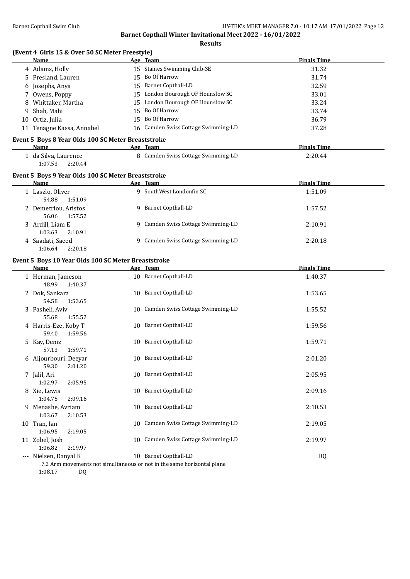**Results**

### **(Event 4 Girls 15 & Over 50 SC Meter Freestyle)**

|    | (Event 4 Girls 15 & Over 50 SC Meter Freestyle)     |    |                                     |                    |
|----|-----------------------------------------------------|----|-------------------------------------|--------------------|
|    | Name                                                |    | Age Team                            | <b>Finals Time</b> |
|    | 4 Adams, Holly                                      |    | 15 Staines Swimming Club-SE         | 31.32              |
| 5. | Presland, Lauren                                    | 15 | Bo Of Harrow                        | 31.74              |
| 6  | Josephs, Anya                                       | 15 | <b>Barnet Copthall-LD</b>           | 32.59              |
| 7  | Owens, Poppy                                        | 15 | London Bourough OF Hounslow SC      | 33.01              |
|    | Whittaker, Martha                                   | 15 | London Bourough OF Hounslow SC      | 33.24              |
| 9  | Shah, Mahi                                          | 15 | Bo Of Harrow                        | 33.74              |
| 10 | Ortiz, Julia                                        | 15 | Bo Of Harrow                        | 36.79              |
|    | 11 Tenagne Kassa, Annabel                           |    | 16 Camden Swiss Cottage Swimming-LD | 37.28              |
|    | Event 5 Boys 8 Year Olds 100 SC Meter Breaststroke  |    |                                     |                    |
|    | Name                                                |    | Age Team                            | <b>Finals Time</b> |
|    | 1 da Silva, Laurence<br>1:07.53<br>2:20.44          |    | 8 Camden Swiss Cottage Swimming-LD  | 2:20.44            |
|    | Event 5 Boys 9 Year Olds 100 SC Meter Breaststroke  |    |                                     |                    |
|    | Name                                                |    | Age Team                            | <b>Finals Time</b> |
|    | 1 Laszlo, Oliver<br>54.88<br>1:51.09                |    | 9 SouthWest Londonfin SC            | 1:51.09            |
|    | 2 Demetriou, Aristos<br>56.06<br>1:57.52            |    | 9 Barnet Copthall-LD                | 1:57.52            |
|    | 3 Ardill, Liam E<br>1:03.63<br>2:10.91              |    | 9 Camden Swiss Cottage Swimming-LD  | 2:10.91            |
|    | 4 Saadati, Saeed<br>1:06.64<br>2:20.18              | 9  | Camden Swiss Cottage Swimming-LD    | 2:20.18            |
|    | Event 5 Boys 10 Year Olds 100 SC Meter Breaststroke |    |                                     |                    |
|    | Name                                                |    | Age Team                            | <b>Finals Time</b> |
|    | 1 Herman, Jameson                                   |    | 10 Barnet Copthall-LD               | 1:40.37            |

|   | 1 Herman, Jameson<br>48.99<br>1:40.37                                                                            |    | 10 Barnet Copthall-LD               | 1:40.37 |
|---|------------------------------------------------------------------------------------------------------------------|----|-------------------------------------|---------|
|   | 2 Dok, Sankara<br>54.58<br>1:53.65                                                                               |    | 10 Barnet Copthall-LD               | 1:53.65 |
|   | 3 Pasheli, Aviv<br>55.68<br>1:55.52                                                                              |    | 10 Camden Swiss Cottage Swimming-LD | 1:55.52 |
|   | 4 Harris-Eze, Koby T<br>59.40<br>1:59.56                                                                         |    | 10 Barnet Copthall-LD               | 1:59.56 |
| 5 | Kay, Deniz<br>57.13<br>1:59.71                                                                                   | 10 | <b>Barnet Copthall-LD</b>           | 1:59.71 |
|   | 6 Aljourbouri, Deeyar<br>59.30<br>2:01.20                                                                        | 10 | <b>Barnet Copthall-LD</b>           | 2:01.20 |
|   | 7 Jalil, Ari<br>1:02.97<br>2:05.95                                                                               | 10 | <b>Barnet Copthall-LD</b>           | 2:05.95 |
|   | 8 Xie, Lewis<br>1:04.75<br>2:09.16                                                                               |    | 10 Barnet Copthall-LD               | 2:09.16 |
|   | 9 Menashe, Avriam<br>1:03.67<br>2:10.53                                                                          | 10 | <b>Barnet Copthall-LD</b>           | 2:10.53 |
|   | 10 Tran, Ian<br>1:06.95<br>2:19.05                                                                               |    | 10 Camden Swiss Cottage Swimming-LD | 2:19.05 |
|   | 11 Zobel, Josh<br>1:06.82<br>2:19.97                                                                             | 10 | Camden Swiss Cottage Swimming-LD    | 2:19.97 |
|   | --- Nielsen, Danyal K<br>7.2 Arm movements not simultaneous or not in the same horizontal plane<br>1:08.17<br>DQ |    | 10 Barnet Copthall-LD               | DQ      |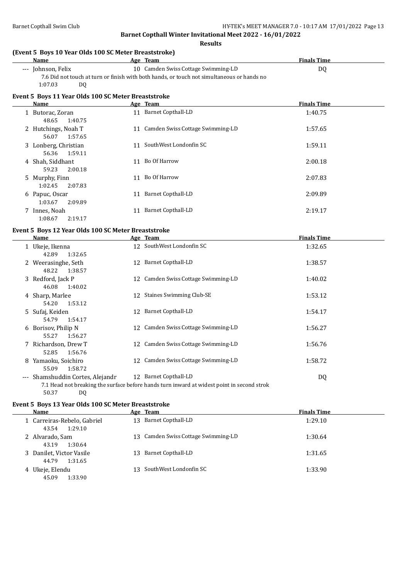**Results**

#### **(Event 5 Boys 10 Year Olds 100 SC Meter Breaststroke)**

| Name               | Team<br>Age                                                                                | <b>Finals Time</b> |
|--------------------|--------------------------------------------------------------------------------------------|--------------------|
| --- Johnson, Felix | 10 Camden Swiss Cottage Swimming-LD                                                        | D0                 |
|                    | 7.6 Did not touch at turn or finish with both hands, or touch not simultaneous or hands no |                    |
| 1:07.03<br>DO.     |                                                                                            |                    |

#### **Event 5 Boys 11 Year Olds 100 SC Meter Breaststroke**

| Name                                     |    | Age Team                            | <b>Finals Time</b> |
|------------------------------------------|----|-------------------------------------|--------------------|
| 1 Butorac, Zoran<br>1:40.75<br>48.65     | 11 | <b>Barnet Copthall-LD</b>           | 1:40.75            |
| 2 Hutchings, Noah T<br>1:57.65<br>56.07  |    | 11 Camden Swiss Cottage Swimming-LD | 1:57.65            |
| 3 Lonberg, Christian<br>1:59.11<br>56.36 |    | 11 SouthWest Londonfin SC           | 1:59.11            |
| 4 Shah, Siddhant<br>59.23<br>2:00.18     |    | 11 Bo Of Harrow                     | 2:00.18            |
| 5 Murphy, Finn<br>2:07.83<br>1:02.45     | 11 | Bo Of Harrow                        | 2:07.83            |
| 6 Papuc, Oscar<br>2:09.89<br>1:03.67     | 11 | Barnet Copthall-LD                  | 2:09.89            |
| 7 Innes, Noah<br>2:19.17<br>1:08.67      | 11 | Barnet Copthall-LD                  | 2:19.17            |

#### **Event 5 Boys 12 Year Olds 100 SC Meter Breaststroke**

|   | Name                                            |    | Age Team                                                                                                            | <b>Finals Time</b> |
|---|-------------------------------------------------|----|---------------------------------------------------------------------------------------------------------------------|--------------------|
|   | 1 Ukeje, Ikenna<br>1:32.65<br>42.89             |    | 12 SouthWest Londonfin SC                                                                                           | 1:32.65            |
|   | 2 Weerasinghe, Seth<br>48.22<br>1:38.57         |    | 12 Barnet Copthall-LD                                                                                               | 1:38.57            |
|   | 3 Redford, Jack P<br>46.08<br>1:40.02           | 12 | Camden Swiss Cottage Swimming-LD                                                                                    | 1:40.02            |
|   | 4 Sharp, Marlee<br>1:53.12<br>54.20             |    | 12 Staines Swimming Club-SE                                                                                         | 1:53.12            |
|   | 5 Sufaj, Keiden<br>1:54.17<br>54.79             |    | 12 Barnet Copthall-LD                                                                                               | 1:54.17            |
|   | 6 Borisov, Philip N<br>55.27<br>1:56.27         |    | 12 Camden Swiss Cottage Swimming-LD                                                                                 | 1:56.27            |
|   | 7 Richardson, Drew T<br>52.85<br>1:56.76        |    | 12 Camden Swiss Cottage Swimming-LD                                                                                 | 1:56.76            |
| 8 | Yamaoku, Soichiro<br>55.09<br>1:58.72           | 12 | Camden Swiss Cottage Swimming-LD                                                                                    | 1:58.72            |
|   | --- Shamshuddin Cortes, Alejandr<br>50.37<br>DQ |    | 12 Barnet Copthall-LD<br>7.1 Head not breaking the surface before hands turn inward at widest point in second strok | DQ                 |

#### **Event 5 Boys 13 Year Olds 100 SC Meter Breaststroke**

| Name                                            | Age Team                            | <b>Finals Time</b> |
|-------------------------------------------------|-------------------------------------|--------------------|
| 1 Carreiras-Rebelo, Gabriel<br>1:29.10<br>43.54 | 13 Barnet Copthall-LD               | 1:29.10            |
| 2 Alvarado, Sam<br>1:30.64<br>43.19             | 13 Camden Swiss Cottage Swimming-LD | 1:30.64            |
| 3 Danilet, Victor Vasile<br>1:31.65<br>44.79    | 13 Barnet Copthall-LD               | 1:31.65            |
| 4 Ukeje, Elendu<br>1:33.90<br>45.09             | 13 SouthWest Londonfin SC           | 1:33.90            |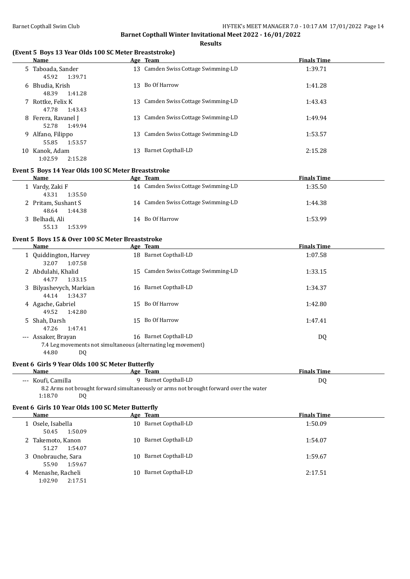$\overline{a}$ 

**Barnet Copthall Winter Invitational Meet 2022 - 16/01/2022**

#### **Results**

#### **(Event 5 Boys 13 Year Olds 100 SC Meter Breaststroke)**

| <b>Name</b>                  |         |    | Age Team                            | <b>Finals Time</b> |
|------------------------------|---------|----|-------------------------------------|--------------------|
| 5 Taboada, Sander<br>45.92   | 1:39.71 |    | 13 Camden Swiss Cottage Swimming-LD | 1:39.71            |
| 6 Bhudia, Krish<br>48.39     | 1:41.28 | 13 | Bo Of Harrow                        | 1:41.28            |
| 7 Rottke, Felix K<br>47.78   | 1:43.43 |    | 13 Camden Swiss Cottage Swimming-LD | 1:43.43            |
| 8 Ferera, Ravanel J<br>52.78 | 1:49.94 |    | 13 Camden Swiss Cottage Swimming-LD | 1:49.94            |
| 9 Alfano, Filippo<br>55.85   | 1:53.57 |    | 13 Camden Swiss Cottage Swimming-LD | 1:53.57            |
| Kanok, Adam<br>10<br>1:02.59 | 2:15.28 | 13 | Barnet Copthall-LD                  | 2:15.28            |

#### **Event 5 Boys 14 Year Olds 100 SC Meter Breaststroke**

| <b>Name</b>         | Age Team                            | <b>Finals Time</b> |  |
|---------------------|-------------------------------------|--------------------|--|
| 1 Vardy, Zaki F     | 14 Camden Swiss Cottage Swimming-LD | 1:35.50            |  |
| 43.31<br>1:35.50    |                                     |                    |  |
| 2 Pritam, Sushant S | 14 Camden Swiss Cottage Swimming-LD | 1:44.38            |  |
| 1:44.38<br>48.64    |                                     |                    |  |
| 3 Belhadi, Ali      | 14 Bo Of Harrow                     | 1:53.99            |  |
| 1:53.99<br>55.13    |                                     |                    |  |

#### **Event 5 Boys 15 & Over 100 SC Meter Breaststroke**

| Name                                                                                 |    | Age Team                            | <b>Finals Time</b> |
|--------------------------------------------------------------------------------------|----|-------------------------------------|--------------------|
| 1 Quiddington, Harvey<br>32.07<br>1:07.58                                            |    | 18 Barnet Copthall-LD               | 1:07.58            |
| 2 Abdulahi, Khalid<br>1:33.15<br>44.77                                               |    | 15 Camden Swiss Cottage Swimming-LD | 1:33.15            |
| 3 Bilyashevych, Markian<br>1:34.37<br>44.14                                          | 16 | Barnet Copthall-LD                  | 1:34.37            |
| 4 Agache, Gabriel<br>1:42.80<br>49.52                                                |    | 15 Bo Of Harrow                     | 1:42.80            |
| 5 Shah, Darsh<br>1:47.41<br>47.26                                                    | 15 | Bo Of Harrow                        | 1:47.41            |
| --- Assaker, Brayan<br>7.4 Leg movements not simultaneous (alternating leg movement) | 16 | Barnet Copthall-LD                  | DQ                 |

44.80 DQ

#### **Event 6 Girls 9 Year Olds 100 SC Meter Butterfly**

| Name               | Team<br>Age                                                                              | Finals Time |
|--------------------|------------------------------------------------------------------------------------------|-------------|
| --- Koufi, Camilla | Barnet Copthall-LD                                                                       | DC          |
|                    | 2.2.1 Arms not brought forward simultaneously or arms not brought forward over the water |             |

8.2 Arms not brought forward simultaneously or arms not brought forward over the water 1:18.70 DQ

#### **Event 6 Girls 10 Year Olds 100 SC Meter Butterfly**

| Name                                        | Age Team                  | <b>Finals Time</b> |
|---------------------------------------------|---------------------------|--------------------|
| 1 Osele, Isabella<br>1:50.09<br>50.45       | 10 Barnet Copthall-LD     | 1:50.09            |
| 2 Takemoto, Kanon<br>1:54.07<br>51.27       | 10 Barnet Copthall-LD     | 1:54.07            |
| 3 Onobrauche, Sara<br>1:59.67<br>55.90      | 10 Barnet Copthall-LD     | 1:59.67            |
| Menashe, Racheli<br>4<br>1:02.90<br>2:17.51 | Barnet Copthall-LD<br>10. | 2:17.51            |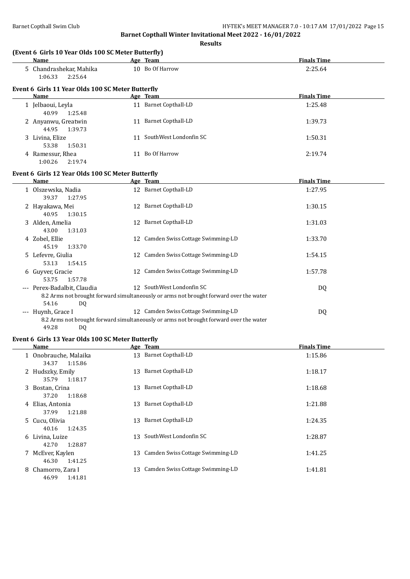**Results**

| (Event 6 Girls 10 Year Olds 100 SC Meter Butterfly)       | Age Team                                                                               |                    |
|-----------------------------------------------------------|----------------------------------------------------------------------------------------|--------------------|
| Name                                                      |                                                                                        | <b>Finals Time</b> |
| 5 Chandrashekar, Mahika<br>1:06.33<br>2:25.64             | 10 Bo Of Harrow                                                                        | 2:25.64            |
| Event 6 Girls 11 Year Olds 100 SC Meter Butterfly<br>Name | Age Team                                                                               | <b>Finals Time</b> |
|                                                           | 11 Barnet Copthall-LD                                                                  | 1:25.48            |
| 1 Jelbaoui, Leyla<br>40.99<br>1:25.48                     |                                                                                        |                    |
| 2 Anyanwu, Greatwin<br>44.95<br>1:39.73                   | 11 Barnet Copthall-LD                                                                  | 1:39.73            |
| 3 Livina, Elize<br>53.38<br>1:50.31                       | 11 SouthWest Londonfin SC                                                              | 1:50.31            |
| 4 Ramessur, Rhea<br>1:00.26<br>2:19.74                    | 11 Bo Of Harrow                                                                        | 2:19.74            |
| Event 6 Girls 12 Year Olds 100 SC Meter Butterfly         |                                                                                        |                    |
| <b>Name</b>                                               | Age Team                                                                               | <b>Finals Time</b> |
| 1 Olszewska, Nadia<br>39.37<br>1:27.95                    | 12 Barnet Copthall-LD                                                                  | 1:27.95            |
| 2 Hayakawa, Mei<br>40.95<br>1:30.15                       | 12 Barnet Copthall-LD                                                                  | 1:30.15            |
| 3 Alden, Amelia<br>43.00<br>1:31.03                       | 12 Barnet Copthall-LD                                                                  | 1:31.03            |
| 4 Zobel, Ellie<br>45.19<br>1:33.70                        | 12 Camden Swiss Cottage Swimming-LD                                                    | 1:33.70            |
| 5 Lefevre, Giulia<br>53.13<br>1:54.15                     | 12 Camden Swiss Cottage Swimming-LD                                                    | 1:54.15            |
| 6 Guyver, Gracie<br>53.75<br>1:57.78                      | 12 Camden Swiss Cottage Swimming-LD                                                    | 1:57.78            |
| --- Perex-Badalbit, Claudia                               | 12 SouthWest Londonfin SC                                                              | DQ                 |
| 54.16<br>DQ                                               | 8.2 Arms not brought forward simultaneously or arms not brought forward over the water |                    |
| --- Huynh, Grace I                                        | 12 Camden Swiss Cottage Swimming-LD                                                    | DQ                 |
| 49.28<br>DQ                                               | 8.2 Arms not brought forward simultaneously or arms not brought forward over the water |                    |
| Event 6 Girls 13 Year Olds 100 SC Meter Butterfly         |                                                                                        |                    |
| Name                                                      | Age Team                                                                               | <b>Finals Time</b> |
| 1 Onobrauche, Malaika<br>34.37<br>1:15.86                 | 13 Barnet Copthall-LD                                                                  | 1:15.86            |
| 2 Hudszky, Emily<br>35.79<br>1:18.17                      | 13 Barnet Copthall-LD                                                                  | 1:18.17            |
| 3 Bostan, Crina<br>37.20<br>1:18.68                       | 13 Barnet Copthall-LD                                                                  | 1:18.68            |
| 4 Elias, Antonia<br>37.99<br>1:21.88                      | 13 Barnet Copthall-LD                                                                  | 1:21.88            |
| 5 Cucu, Olivia<br>40.16<br>1:24.35                        | 13 Barnet Copthall-LD                                                                  | 1:24.35            |
| 6 Livina, Luize<br>42.70<br>1:28.87                       | 13 SouthWest Londonfin SC                                                              | 1:28.87            |
| 7 McEver, Kaylen<br>46.30<br>1:41.25                      | 13 Camden Swiss Cottage Swimming-LD                                                    | 1:41.25            |
| 8 Chamorro, Zara I<br>46.99<br>1:41.81                    | 13 Camden Swiss Cottage Swimming-LD                                                    | 1:41.81            |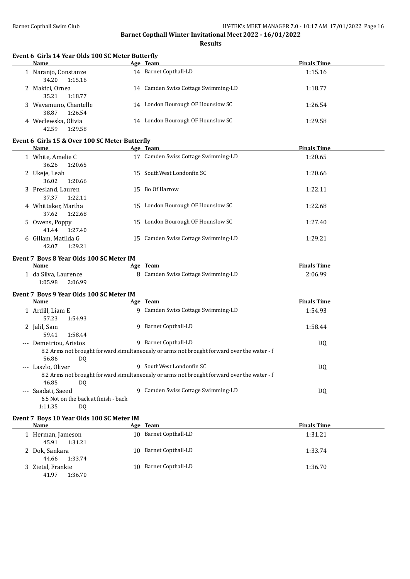**Results**

#### **Event 6 Girls 14 Year Olds 100 SC Meter Butterfly**

| <b>Name</b>                               | Age Team                             | <b>Finals Time</b> |
|-------------------------------------------|--------------------------------------|--------------------|
| 1 Naranjo, Constanze<br>34.20<br>1:15.16  | 14 Barnet Copthall-LD                | 1:15.16            |
| 2 Makici, Ornea<br>35.21<br>1:18.77       | 14 Camden Swiss Cottage Swimming-LD  | 1:18.77            |
| 3 Wavamuno, Chantelle<br>38.87<br>1:26.54 | 14 London Bourough OF Hounslow SC    | 1:26.54            |
| Weclewska, Olivia<br>42.59<br>1:29.58     | London Bourough OF Hounslow SC<br>14 | 1:29.58            |

#### **Event 6 Girls 15 & Over 100 SC Meter Butterfly**

| Name                                    |    | Age Team                            | <b>Finals Time</b> |
|-----------------------------------------|----|-------------------------------------|--------------------|
| 1 White, Amelie C<br>1:20.65<br>36.26   | 17 | Camden Swiss Cottage Swimming-LD    | 1:20.65            |
| 2 Ukeje, Leah<br>36.02<br>1:20.66       |    | 15 SouthWest Londonfin SC           | 1:20.66            |
| 3 Presland, Lauren<br>1:22.11<br>37.37  |    | 15 Bo Of Harrow                     | 1:22.11            |
| 4 Whittaker, Martha<br>1:22.68<br>37.62 |    | 15 London Bourough OF Hounslow SC   | 1:22.68            |
| 5 Owens, Poppy<br>1:27.40<br>41.44      | 15 | London Bourough OF Hounslow SC      | 1:27.40            |
| 6 Gillam, Matilda G<br>1:29.21<br>42.07 |    | 15 Camden Swiss Cottage Swimming-LD | 1:29.21            |

#### **Event 7 Boys 8 Year Olds 100 SC Meter IM**

| Name                   | Age Team                           | <b>Finals Time</b> |  |
|------------------------|------------------------------------|--------------------|--|
| .   da Silva, Laurence | 8 Camden Swiss Cottage Swimming-LD | 2:06.99            |  |
| 1:05.98<br>2:06.99     |                                    |                    |  |

#### **Event 7 Boys 9 Year Olds 100 SC Meter IM**

|       | Name                   |                                      |    | Age Team                                                                                   | <b>Finals Time</b> |  |
|-------|------------------------|--------------------------------------|----|--------------------------------------------------------------------------------------------|--------------------|--|
|       | 1 Ardill, Liam E       |                                      |    | 9 Camden Swiss Cottage Swimming-LD                                                         | 1:54.93            |  |
|       | 57.23                  | 1:54.93                              |    |                                                                                            |                    |  |
|       | 2 Jalil, Sam           |                                      | 9  | Barnet Copthall-LD                                                                         | 1:58.44            |  |
|       | 59.41                  | 1:58.44                              |    |                                                                                            |                    |  |
|       | --- Demetriou, Aristos |                                      | q. | Barnet Copthall-LD                                                                         | DQ                 |  |
|       |                        |                                      |    | 8.2 Arms not brought forward simultaneously or arms not brought forward over the water - f |                    |  |
|       | 56.86                  | DQ                                   |    |                                                                                            |                    |  |
|       | --- Laszlo, Oliver     |                                      | q. | SouthWest Londonfin SC                                                                     | DQ                 |  |
|       |                        |                                      |    | 8.2 Arms not brought forward simultaneously or arms not brought forward over the water - f |                    |  |
|       | 46.85                  | DQ                                   |    |                                                                                            |                    |  |
| $---$ | Saadati, Saeed         |                                      | q  | Camden Swiss Cottage Swimming-LD                                                           | DQ                 |  |
|       |                        | 6.5 Not on the back at finish - back |    |                                                                                            |                    |  |
|       | 1:11.35                | DO.                                  |    |                                                                                            |                    |  |

#### **Event 7 Boys 10 Year Olds 100 SC Meter IM**

| Name              | <u>Age Team</u>           | <b>Finals Time</b> |
|-------------------|---------------------------|--------------------|
| 1 Herman, Jameson | 10 Barnet Copthall-LD     | 1:31.21            |
| 1:31.21<br>45.91  |                           |                    |
| 2 Dok, Sankara    | Barnet Copthall-LD<br>10. | 1:33.74            |
| 1:33.74<br>44.66  |                           |                    |
| 3 Zietal, Frankie | Barnet Copthall-LD<br>10. | 1:36.70            |
| 1:36.70<br>41.97  |                           |                    |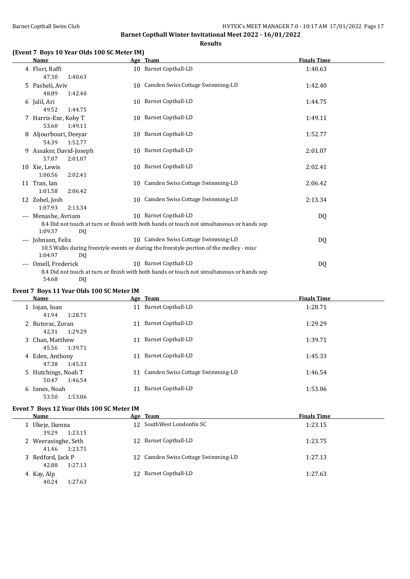**Results**

#### **(Event 7 Boys 10 Year Olds 100 SC Meter IM)**

|                     | <b>Name</b>                                  | Age Team                                                                                                                       | <b>Finals Time</b> |  |
|---------------------|----------------------------------------------|--------------------------------------------------------------------------------------------------------------------------------|--------------------|--|
|                     | 4 Flori, Raffi<br>47.30<br>1:40.63           | 10 Barnet Copthall-LD                                                                                                          | 1:40.63            |  |
|                     | 5 Pasheli, Aviv<br>48.89<br>1:42.40          | 10 Camden Swiss Cottage Swimming-LD                                                                                            | 1:42.40            |  |
|                     | 6 Jalil, Ari<br>49.52<br>1:44.75             | 10 Barnet Copthall-LD                                                                                                          | 1:44.75            |  |
|                     | 7 Harris-Eze, Koby T<br>53.60<br>1:49.11     | 10 Barnet Copthall-LD                                                                                                          | 1:49.11            |  |
|                     | 8 Aljourbouri, Deeyar<br>54.39<br>1:52.77    | 10 Barnet Copthall-LD                                                                                                          | 1:52.77            |  |
|                     | 9 Assaker, David-Joseph<br>57.07<br>2:01.07  | 10 Barnet Copthall-LD                                                                                                          | 2:01.07            |  |
|                     | 10 Xie, Lewis<br>1:00.56<br>2:02.41          | 10 Barnet Copthall-LD                                                                                                          | 2:02.41            |  |
|                     | 11 Tran, Ian<br>2:06.42<br>1:01.58           | 10 Camden Swiss Cottage Swimming-LD                                                                                            | 2:06.42            |  |
|                     | 12 Zobel, Josh<br>1:07.93<br>2:13.34         | 10 Camden Swiss Cottage Swimming-LD                                                                                            | 2:13.34            |  |
|                     | --- Menashe, Avriam<br>1:09.37<br>DQ         | 10 Barnet Copthall-LD<br>8.4 Did not touch at turn or finish with both hands or touch not simultaneous or hands sep            | DQ                 |  |
| $\cdots$            | Johnson, Felix<br>1:04.97                    | 10 Camden Swiss Cottage Swimming-LD<br>10.5 Walks during freestyle events or during the freestyle portion of the medley - misc | DQ                 |  |
| $\qquad \qquad - -$ | <b>DQ</b><br>Omell, Frederick<br>54.68<br>DQ | 10 Barnet Copthall-LD<br>8.4 Did not touch at turn or finish with both hands or touch not simultaneous or hands sep            | DQ                 |  |

#### **Event 7 Boys 11 Year Olds 100 SC Meter IM**

| Name                                    |    | Age Team                         | <b>Finals Time</b> |
|-----------------------------------------|----|----------------------------------|--------------------|
| 1 Iojan, Ioan<br>1:28.71<br>41.94       | 11 | Barnet Copthall-LD               | 1:28.71            |
| 2 Butorac, Zoran<br>1:29.29<br>42.31    | 11 | Barnet Copthall-LD               | 1:29.29            |
| 3 Chan, Matthew<br>1:39.71<br>45.56     | 11 | Barnet Copthall-LD               | 1:39.71            |
| 4 Eden, Anthony<br>47.38<br>1:45.33     | 11 | Barnet Copthall-LD               | 1:45.33            |
| 5 Hutchings, Noah T<br>1:46.54<br>50.47 | 11 | Camden Swiss Cottage Swimming-LD | 1:46.54            |
| 6 Innes, Noah<br>1:53.06<br>53.50       | 11 | <b>Barnet Copthall-LD</b>        | 1:53.06            |

#### **Event 7 Boys 12 Year Olds 100 SC Meter IM**

| Name                                  | Age Team                            | <b>Finals Time</b> |
|---------------------------------------|-------------------------------------|--------------------|
| 1 Ukeje, Ikenna<br>39.29<br>1:23.15   | 12 SouthWest Londonfin SC           | 1:23.15            |
| 2 Weerasinghe, Seth<br>41.46 1:23.75  | 12 Barnet Copthall-LD               | 1:23.75            |
| 3 Redford, Jack P<br>1:27.13<br>42.88 | 12 Camden Swiss Cottage Swimming-LD | 1:27.13            |
| 4 Kay, Alp<br>40.24<br>1:27.63        | 12 Barnet Copthall-LD               | 1:27.63            |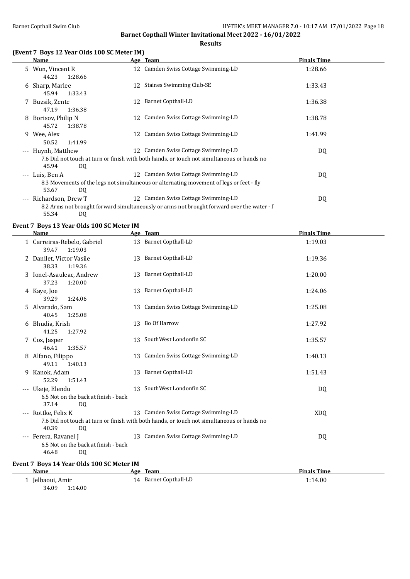#### **Results**

#### **(Event 7 Boys 12 Year Olds 100 SC Meter IM)**

|       | Name               |    | Age Team                                                                                   | <b>Finals Time</b> |
|-------|--------------------|----|--------------------------------------------------------------------------------------------|--------------------|
|       | 5 Wun, Vincent R   |    | 12 Camden Swiss Cottage Swimming-LD                                                        | 1:28.66            |
|       | 1:28.66<br>44.23   |    |                                                                                            |                    |
|       | 6 Sharp, Marlee    |    | 12 Staines Swimming Club-SE                                                                | 1:33.43            |
|       | 45.94<br>1:33.43   |    |                                                                                            |                    |
|       | 7 Buzsik, Zente    | 12 | <b>Barnet Copthall-LD</b>                                                                  | 1:36.38            |
|       | 47.19<br>1:36.38   |    |                                                                                            |                    |
| 8     | Borisov, Philip N  |    | 12 Camden Swiss Cottage Swimming-LD                                                        | 1:38.78            |
|       | 45.72<br>1:38.78   |    |                                                                                            |                    |
| 9     | Wee, Alex          |    | 12 Camden Swiss Cottage Swimming-LD                                                        | 1:41.99            |
|       | 50.52<br>1:41.99   |    |                                                                                            |                    |
| $---$ | Huynh, Matthew     |    | 12 Camden Swiss Cottage Swimming-LD                                                        | DQ                 |
|       |                    |    | 7.6 Did not touch at turn or finish with both hands, or touch not simultaneous or hands no |                    |
|       | 45.94<br>DQ        |    |                                                                                            |                    |
|       | --- Luis, Ben A    |    | 12 Camden Swiss Cottage Swimming-LD                                                        | DQ                 |
|       |                    |    | 8.3 Movements of the legs not simultaneous or alternating movement of legs or feet - fly   |                    |
|       | 53.67<br>DQ        |    |                                                                                            |                    |
| $---$ | Richardson, Drew T |    | 12 Camden Swiss Cottage Swimming-LD                                                        | DQ                 |
|       |                    |    | 8.2 Arms not brought forward simultaneously or arms not brought forward over the water - f |                    |
|       | 55.34<br>DQ        |    |                                                                                            |                    |

#### **Event 7 Boys 13 Year Olds 100 SC Meter IM**

| Name                                                                         |    | Age Team                                                                                                                          | <b>Finals Time</b> |
|------------------------------------------------------------------------------|----|-----------------------------------------------------------------------------------------------------------------------------------|--------------------|
| 1 Carreiras-Rebelo, Gabriel<br>1:19.03<br>39.47                              |    | 13 Barnet Copthall-LD                                                                                                             | 1:19.03            |
| 2 Danilet, Victor Vasile<br>38.33<br>1:19.36                                 |    | 13 Barnet Copthall-LD                                                                                                             | 1:19.36            |
| 3 Ionel-Asauleac, Andrew<br>37.23<br>1:20.00                                 |    | 13 Barnet Copthall-LD                                                                                                             | 1:20.00            |
| 4 Kaye, Joe<br>39.29<br>1:24.06                                              |    | 13 Barnet Copthall-LD                                                                                                             | 1:24.06            |
| 5 Alvarado, Sam<br>40.45<br>1:25.08                                          | 13 | Camden Swiss Cottage Swimming-LD                                                                                                  | 1:25.08            |
| 6 Bhudia, Krish<br>41.25<br>1:27.92                                          |    | 13 Bo Of Harrow                                                                                                                   | 1:27.92            |
| 7 Cox, Jasper<br>46.41<br>1:35.57                                            |    | 13 SouthWest Londonfin SC                                                                                                         | 1:35.57            |
| 8 Alfano, Filippo<br>49.11<br>1:40.13                                        | 13 | Camden Swiss Cottage Swimming-LD                                                                                                  | 1:40.13            |
| 9 Kanok, Adam<br>52.29<br>1:51.43                                            |    | 13 Barnet Copthall-LD                                                                                                             | 1:51.43            |
| --- Ukeje, Elendu<br>6.5 Not on the back at finish - back<br>37.14<br>DQ     | 13 | SouthWest Londonfin SC                                                                                                            | DQ                 |
| --- Rottke, Felix K<br>40.39<br>DQ                                           |    | 13 Camden Swiss Cottage Swimming-LD<br>7.6 Did not touch at turn or finish with both hands, or touch not simultaneous or hands no | XDQ                |
| --- Ferera, Ravanel J<br>6.5 Not on the back at finish - back<br>46.48<br>DQ |    | 13 Camden Swiss Cottage Swimming-LD                                                                                               | DQ                 |

### **Event 7 Boys 14 Year Olds 100 SC Meter IM**

| Name             | Team<br>Age           | <b>Finals Time</b> |
|------------------|-----------------------|--------------------|
| Jelbaoui, Amir   | 14 Barnet Copthall-LD | 1:14.00            |
| 34.09<br>1:14.00 |                       |                    |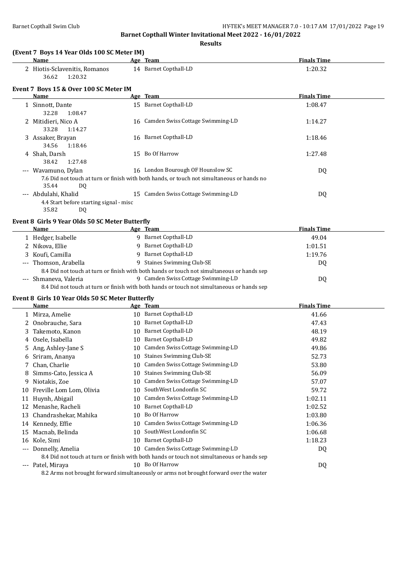**Results**

|                     | Name                                                          |    | Age Team                                                                                   | <b>Finals Time</b> |
|---------------------|---------------------------------------------------------------|----|--------------------------------------------------------------------------------------------|--------------------|
|                     | 2 Hiotis-Sclavenitis, Romanos<br>1:20.32<br>36.62             |    | 14 Barnet Copthall-LD                                                                      | 1:20.32            |
|                     | Event 7 Boys 15 & Over 100 SC Meter IM                        |    |                                                                                            |                    |
|                     | Name                                                          |    | Age Team                                                                                   | <b>Finals Time</b> |
|                     | 1 Sinnott, Dante<br>32.28<br>1:08.47                          |    | 15 Barnet Copthall-LD                                                                      | 1:08.47            |
|                     | 2 Mitidieri, Nico A<br>33.28<br>1:14.27                       |    | 16 Camden Swiss Cottage Swimming-LD                                                        | 1:14.27            |
|                     | 3 Assaker, Brayan<br>34.56<br>1:18.46                         |    | 16 Barnet Copthall-LD                                                                      | 1:18.46            |
|                     | 4 Shah, Darsh<br>38.42<br>1:27.48                             |    | 15 Bo Of Harrow                                                                            | 1:27.48            |
|                     | --- Wavamuno, Dylan                                           |    | 16 London Bourough OF Hounslow SC                                                          | DQ                 |
|                     |                                                               |    | 7.6 Did not touch at turn or finish with both hands, or touch not simultaneous or hands no |                    |
|                     | 35.44<br><b>DQ</b>                                            |    |                                                                                            |                    |
|                     | --- Abdulahi, Khalid                                          |    | 15 Camden Swiss Cottage Swimming-LD                                                        | DQ                 |
|                     | 4.4 Start before starting signal - misc<br>35.82<br><b>DQ</b> |    |                                                                                            |                    |
|                     | Event 8 Girls 9 Year Olds 50 SC Meter Butterfly               |    |                                                                                            |                    |
|                     | Name                                                          |    | Age Team                                                                                   | <b>Finals Time</b> |
|                     | 1 Hedger, Isabelle                                            |    | 9 Barnet Copthall-LD                                                                       | 49.04              |
|                     | 2 Nikova, Ellie                                               |    | 9 Barnet Copthall-LD                                                                       | 1:01.51            |
|                     | 3 Koufi, Camilla                                              |    | 9 Barnet Copthall-LD                                                                       | 1:19.76            |
|                     | --- Thomson, Arabella                                         |    | 9 Staines Swimming Club-SE                                                                 | DQ                 |
|                     |                                                               |    | 8.4 Did not touch at turn or finish with both hands or touch not simultaneous or hands sep |                    |
|                     | --- Shmaneva, Valeria                                         |    | 9 Camden Swiss Cottage Swimming-LD                                                         | DQ                 |
|                     |                                                               |    | 8.4 Did not touch at turn or finish with both hands or touch not simultaneous or hands sep |                    |
|                     | Event 8 Girls 10 Year Olds 50 SC Meter Butterfly              |    |                                                                                            |                    |
|                     | Name                                                          |    | Age Team                                                                                   | <b>Finals Time</b> |
|                     | 1 Mirza, Amelie                                               |    | 10 Barnet Copthall-LD                                                                      | 41.66              |
|                     | 2 Onobrauche, Sara                                            |    | 10 Barnet Copthall-LD                                                                      | 47.43              |
| 3                   | Takemoto, Kanon                                               |    | 10 Barnet Copthall-LD                                                                      | 48.19              |
|                     | 4 Osele, Isabella                                             |    | 10 Barnet Copthall-LD                                                                      | 49.82              |
|                     | 5 Ang, Ashley-Jane S                                          |    | 10 Camden Swiss Cottage Swimming-LD                                                        | 49.86              |
|                     | 6 Sriram, Ananya                                              |    | 10 Staines Swimming Club-SE                                                                | 52.73              |
|                     | 7 Chan, Charlie                                               |    | 10 Camden Swiss Cottage Swimming-LD                                                        | 53.80              |
| 8                   | Simms-Cato, Jessica A                                         | 10 | <b>Staines Swimming Club-SE</b>                                                            | 56.09              |
| 9.                  | Niotakis, Zoe                                                 | 10 | Camden Swiss Cottage Swimming-LD                                                           | 57.07              |
|                     | 10 Freville Lom Lom, Olivia                                   | 10 | SouthWest Londonfin SC                                                                     | 59.72              |
|                     | 11 Huynh, Abigail                                             | 10 | Camden Swiss Cottage Swimming-LD                                                           | 1:02.11            |
|                     | 12 Menashe, Racheli                                           | 10 | <b>Barnet Copthall-LD</b>                                                                  | 1:02.52            |
| 13                  | Chandrashekar, Mahika                                         | 10 | Bo Of Harrow                                                                               | 1:03.80            |
|                     | 14 Kennedy, Effie                                             | 10 | Camden Swiss Cottage Swimming-LD                                                           | 1:06.36            |
| 15                  | Macnab, Belinda                                               | 10 | SouthWest Londonfin SC                                                                     | 1:06.68            |
| 16                  | Kole, Simi                                                    |    | 10 Barnet Copthall-LD                                                                      | 1:18.23            |
| $\qquad \qquad - -$ | Donnelly, Amelia                                              |    | 10 Camden Swiss Cottage Swimming-LD                                                        | DQ                 |
|                     |                                                               |    | 8.4 Did not touch at turn or finish with both hands or touch not simultaneous or hands sep |                    |
|                     | --- Patel, Miraya                                             |    | 10 Bo Of Harrow                                                                            | DQ                 |

8.2 Arms not brought forward simultaneously or arms not brought forward over the water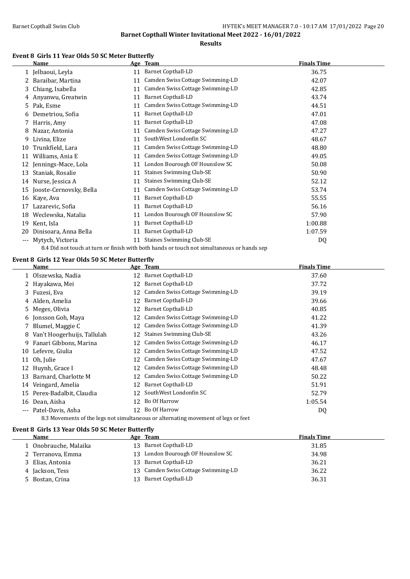**Results**

#### **Event 8 Girls 11 Year Olds 50 SC Meter Butterfly**

|         | Name                                                                                       |    | Age Team                         | <b>Finals Time</b> |  |
|---------|--------------------------------------------------------------------------------------------|----|----------------------------------|--------------------|--|
|         | 1 Jelbaoui, Leyla                                                                          | 11 | <b>Barnet Copthall-LD</b>        | 36.75              |  |
|         | Baraibar, Martina                                                                          | 11 | Camden Swiss Cottage Swimming-LD | 42.07              |  |
| 3       | Chiang, Isabella                                                                           | 11 | Camden Swiss Cottage Swimming-LD | 42.85              |  |
| 4       | Anyanwu, Greatwin                                                                          | 11 | Barnet Copthall-LD               | 43.74              |  |
| 5       | Pak, Esme                                                                                  | 11 | Camden Swiss Cottage Swimming-LD | 44.51              |  |
| 6       | Demetriou, Sofia                                                                           | 11 | <b>Barnet Copthall-LD</b>        | 47.01              |  |
|         | Harris, Amy                                                                                | 11 | <b>Barnet Copthall-LD</b>        | 47.08              |  |
| 8       | Nazar, Antonia                                                                             | 11 | Camden Swiss Cottage Swimming-LD | 47.27              |  |
| 9       | Livina, Elize                                                                              | 11 | SouthWest Londonfin SC           | 48.67              |  |
| 10      | Trunkfield, Lara                                                                           | 11 | Camden Swiss Cottage Swimming-LD | 48.80              |  |
| 11      | Williams, Ania E                                                                           | 11 | Camden Swiss Cottage Swimming-LD | 49.05              |  |
| 12      | Jennings-Mace, Lola                                                                        | 11 | London Bourough OF Hounslow SC   | 50.08              |  |
| 13      | Staniak, Rosalie                                                                           | 11 | <b>Staines Swimming Club-SE</b>  | 50.90              |  |
|         | 14 Nurse, Jessica A                                                                        | 11 | <b>Staines Swimming Club-SE</b>  | 52.12              |  |
| 15      | Jooste-Cernovsky, Bella                                                                    | 11 | Camden Swiss Cottage Swimming-LD | 53.74              |  |
| 16      | Kaye, Ava                                                                                  | 11 | <b>Barnet Copthall-LD</b>        | 55.55              |  |
| 17      | Lazarevic, Sofia                                                                           | 11 | <b>Barnet Copthall-LD</b>        | 56.16              |  |
| 18      | Weclewska, Natalia                                                                         | 11 | London Bourough OF Hounslow SC   | 57.90              |  |
| 19      | Kent, Isla                                                                                 | 11 | <b>Barnet Copthall-LD</b>        | 1:00.88            |  |
| 20      | Dinisoara, Anna Bella                                                                      | 11 | <b>Barnet Copthall-LD</b>        | 1:07.59            |  |
| $- - -$ | Mytych, Victoria                                                                           | 11 | <b>Staines Swimming Club-SE</b>  | DQ                 |  |
|         | 8.4 Did not touch at turn or finish with both hands or touch not simultaneous or hands sep |    |                                  |                    |  |

#### **Event 8 Girls 12 Year Olds 50 SC Meter Butterfly**

|          | Name                                                                               |    | Age Team                         | <b>Finals Time</b> |  |  |
|----------|------------------------------------------------------------------------------------|----|----------------------------------|--------------------|--|--|
|          | 1 Olszewska, Nadia                                                                 | 12 | Barnet Copthall-LD               | 37.60              |  |  |
|          | 2 Hayakawa, Mei                                                                    | 12 | <b>Barnet Copthall-LD</b>        | 37.72              |  |  |
|          | 3 Fuzesi, Eva                                                                      | 12 | Camden Swiss Cottage Swimming-LD | 39.19              |  |  |
|          | 4 Alden, Amelia                                                                    | 12 | <b>Barnet Copthall-LD</b>        | 39.66              |  |  |
|          | 5 Meges, Olivia                                                                    | 12 | Barnet Copthall-LD               | 40.85              |  |  |
|          | 6 Jonsson Goh, Maya                                                                | 12 | Camden Swiss Cottage Swimming-LD | 41.22              |  |  |
|          | 7 Blumel, Maggie C                                                                 | 12 | Camden Swiss Cottage Swimming-LD | 41.39              |  |  |
| 8        | Van't Hoogerhuijs, Tallulah                                                        | 12 | <b>Staines Swimming Club-SE</b>  | 43.26              |  |  |
| 9.       | Fanari Gibbons, Marina                                                             | 12 | Camden Swiss Cottage Swimming-LD | 46.17              |  |  |
|          | 10 Lefevre, Giulia                                                                 | 12 | Camden Swiss Cottage Swimming-LD | 47.52              |  |  |
|          | 11 Oh, Julie                                                                       | 12 | Camden Swiss Cottage Swimming-LD | 47.67              |  |  |
|          | 12 Huynh, Grace I                                                                  | 12 | Camden Swiss Cottage Swimming-LD | 48.48              |  |  |
| 13       | Barnard, Charlotte M                                                               | 12 | Camden Swiss Cottage Swimming-LD | 50.22              |  |  |
| 14       | Veingard, Amelia                                                                   | 12 | Barnet Copthall-LD               | 51.91              |  |  |
|          | 15 Perex-Badalbit, Claudia                                                         | 12 | SouthWest Londonfin SC           | 52.79              |  |  |
| 16       | Dean, Aisha                                                                        | 12 | Bo Of Harrow                     | 1:05.54            |  |  |
| $\cdots$ | Patel-Davis, Asha                                                                  |    | 12 Bo Of Harrow                  | DQ                 |  |  |
|          | 8.3 Movements of the legs not simultaneous or alternating movement of legs or feet |    |                                  |                    |  |  |

#### **Event 8 Girls 13 Year Olds 50 SC Meter Butterfly**

| Name                  | Age Team                               | <b>Finals Time</b> |
|-----------------------|----------------------------------------|--------------------|
| 1 Onobrauche, Malaika | 13 Barnet Copthall-LD                  | 31.85              |
| 2 Terranova, Emma     | 13 London Bourough OF Hounslow SC      | 34.98              |
| 3 Elias, Antonia      | 13 Barnet Copthall-LD                  | 36.21              |
| 4 Jackson, Tess       | Camden Swiss Cottage Swimming-LD<br>13 | 36.22              |
| 5 Bostan, Crina       | Barnet Copthall-LD<br>13.              | 36.31              |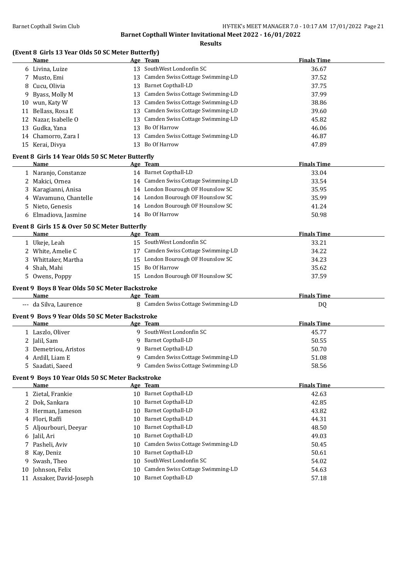**Results**

#### **(Event 8 Girls 13 Year Olds 50 SC Meter Butterfly)**

|    | Name                                                  |    | <u>Age Team</u>                     | <b>Finals Time</b> |
|----|-------------------------------------------------------|----|-------------------------------------|--------------------|
|    | 6 Livina, Luize                                       |    | 13 SouthWest Londonfin SC           | 36.67              |
|    | 7 Musto, Emi                                          |    | 13 Camden Swiss Cottage Swimming-LD | 37.52              |
| 8  | Cucu, Olivia                                          |    | 13 Barnet Copthall-LD               | 37.75              |
| 9  | Byass, Molly M                                        |    | 13 Camden Swiss Cottage Swimming-LD | 37.99              |
|    | 10 wun, Katy W                                        |    | 13 Camden Swiss Cottage Swimming-LD | 38.86              |
|    | 11 Bellass, Rosa E                                    |    | 13 Camden Swiss Cottage Swimming-LD | 39.60              |
|    | 12 Nazar, Isabelle O                                  |    | 13 Camden Swiss Cottage Swimming-LD | 45.82              |
|    | 13 Gudka, Yana                                        |    | 13 Bo Of Harrow                     | 46.06              |
|    | 14 Chamorro, Zara I                                   |    | 13 Camden Swiss Cottage Swimming-LD | 46.87              |
|    | 15 Kerai, Divya                                       |    | 13 Bo Of Harrow                     | 47.89              |
|    | Event 8 Girls 14 Year Olds 50 SC Meter Butterfly      |    |                                     |                    |
|    | Name                                                  |    | <u>Age Team</u>                     | <b>Finals Time</b> |
|    | 1 Naranjo, Constanze                                  |    | 14 Barnet Copthall-LD               | 33.04              |
|    | 2 Makici, Ornea                                       |    | 14 Camden Swiss Cottage Swimming-LD | 33.54              |
| 3  | Karagianni, Anisa                                     |    | 14 London Bourough OF Hounslow SC   | 35.95              |
| 4  | Wavamuno, Chantelle                                   |    | 14 London Bourough OF Hounslow SC   | 35.99              |
| 5. | Nieto, Genesis                                        |    | 14 London Bourough OF Hounslow SC   | 41.24              |
| 6  | Elmadiova, Jasmine                                    |    | 14 Bo Of Harrow                     | 50.98              |
|    |                                                       |    |                                     |                    |
|    | Event 8 Girls 15 & Over 50 SC Meter Butterfly<br>Name |    | Age Team                            | <b>Finals Time</b> |
|    | 1 Ukeje, Leah                                         |    | 15 SouthWest Londonfin SC           | 33.21              |
|    | 2 White, Amelie C                                     |    | 17 Camden Swiss Cottage Swimming-LD | 34.22              |
|    | 3 Whittaker, Martha                                   |    | 15 London Bourough OF Hounslow SC   | 34.23              |
|    | 4 Shah, Mahi                                          |    | 15 Bo Of Harrow                     | 35.62              |
|    | 5 Owens, Poppy                                        |    | 15 London Bourough OF Hounslow SC   | 37.59              |
|    |                                                       |    |                                     |                    |
|    | Event 9 Boys 8 Year Olds 50 SC Meter Backstroke       |    |                                     |                    |
|    | Name                                                  |    | Age Team                            | <b>Finals Time</b> |
|    | --- da Silva, Laurence                                |    | 8 Camden Swiss Cottage Swimming-LD  | DQ                 |
|    | Event 9 Boys 9 Year Olds 50 SC Meter Backstroke       |    |                                     |                    |
|    | Name                                                  |    | Age Team                            | <b>Finals Time</b> |
|    | 1 Laszlo, Oliver                                      |    | 9 SouthWest Londonfin SC            | 45.77              |
|    | 2 Jalil, Sam                                          |    | 9 Barnet Copthall-LD                | 50.55              |
|    | 3 Demetriou, Aristos                                  |    | 9 Barnet Copthall-LD                | 50.70              |
|    | 4 Ardill, Liam E                                      |    | 9 Camden Swiss Cottage Swimming-LD  | 51.08              |
|    | 5 Saadati, Saeed                                      |    | 9 Camden Swiss Cottage Swimming-LD  | 58.56              |
|    | Event 9 Boys 10 Year Olds 50 SC Meter Backstroke      |    |                                     |                    |
|    | Name                                                  |    | Age Team                            | <b>Finals Time</b> |
|    | 1 Zietal, Frankie                                     |    | 10 Barnet Copthall-LD               | 42.63              |
| 2  | Dok, Sankara                                          | 10 | <b>Barnet Copthall-LD</b>           | 42.85              |
| 3  | Herman, Jameson                                       | 10 | <b>Barnet Copthall-LD</b>           | 43.82              |
| 4  | Flori, Raffi                                          | 10 | <b>Barnet Copthall-LD</b>           | 44.31              |
| 5  | Aljourbouri, Deeyar                                   | 10 | <b>Barnet Copthall-LD</b>           | 48.50              |
| 6  | Jalil, Ari                                            | 10 | <b>Barnet Copthall-LD</b>           | 49.03              |
| 7  | Pasheli, Aviv                                         | 10 | Camden Swiss Cottage Swimming-LD    | 50.45              |
| 8  | Kay, Deniz                                            | 10 | <b>Barnet Copthall-LD</b>           | 50.61              |
| 9  | Swash, Theo                                           | 10 | SouthWest Londonfin SC              | 54.02              |
| 10 | Johnson, Felix                                        | 10 | Camden Swiss Cottage Swimming-LD    | 54.63              |
|    | 11 Assaker, David-Joseph                              | 10 | <b>Barnet Copthall-LD</b>           | 57.18              |
|    |                                                       |    |                                     |                    |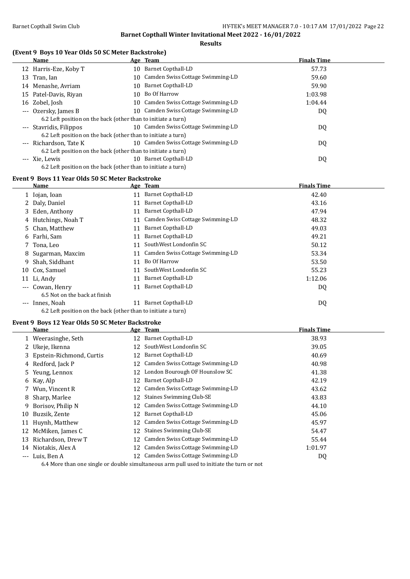**Results**

#### **(Event 9 Boys 10 Year Olds 50 SC Meter Backstroke)**

| Name                                                          |     | Age Team                            | <b>Finals Time</b> |  |
|---------------------------------------------------------------|-----|-------------------------------------|--------------------|--|
| 12 Harris-Eze, Koby T                                         |     | 10 Barnet Copthall-LD               | 57.73              |  |
| 13 Tran, Ian                                                  |     | 10 Camden Swiss Cottage Swimming-LD | 59.60              |  |
| 14 Menashe, Avriam                                            |     | 10 Barnet Copthall-LD               | 59.90              |  |
| 15 Patel-Davis, Riyan                                         | 10. | Bo Of Harrow                        | 1:03.98            |  |
| 16 Zobel, Josh                                                |     | 10 Camden Swiss Cottage Swimming-LD | 1:04.44            |  |
| --- Ozersky, James B                                          |     | 10 Camden Swiss Cottage Swimming-LD | DQ                 |  |
| 6.2 Left position on the back (other than to initiate a turn) |     |                                     |                    |  |
| --- Stavridis, Filippos                                       |     | 10 Camden Swiss Cottage Swimming-LD | DQ                 |  |
| 6.2 Left position on the back (other than to initiate a turn) |     |                                     |                    |  |
| --- Richardson, Tate K                                        |     | 10 Camden Swiss Cottage Swimming-LD | DQ                 |  |
| 6.2 Left position on the back (other than to initiate a turn) |     |                                     |                    |  |
| --- Xie. Lewis                                                | 10  | Barnet Copthall-LD                  | DQ                 |  |
| 6.2 Left position on the back (other than to initiate a turn) |     |                                     |                    |  |
| <b>Evant Q. Rovs 11 Vaar Olds 50 SC Mater Rackstroke</b>      |     |                                     |                    |  |

#### **Event 9 Boys 11 Year Olds 50 SC Meter Backstroke**

| Name                                                          |    | Age Team                            | <b>Finals Time</b> |
|---------------------------------------------------------------|----|-------------------------------------|--------------------|
| 1 Iojan, Ioan                                                 | 11 | <b>Barnet Copthall-LD</b>           | 42.40              |
| 2 Daly, Daniel                                                | 11 | <b>Barnet Copthall-LD</b>           | 43.16              |
| 3 Eden, Anthony                                               | 11 | <b>Barnet Copthall-LD</b>           | 47.94              |
| 4 Hutchings, Noah T                                           |    | Camden Swiss Cottage Swimming-LD    | 48.32              |
| 5 Chan, Matthew                                               | 11 | Barnet Copthall-LD                  | 49.03              |
| 6 Farhi, Sam                                                  | 11 | <b>Barnet Copthall-LD</b>           | 49.21              |
| 7 Tona, Leo                                                   | 11 | SouthWest Londonfin SC              | 50.12              |
| 8 Sugarman, Maxcim                                            |    | 11 Camden Swiss Cottage Swimming-LD | 53.34              |
| 9 Shah, Siddhant                                              | 11 | Bo Of Harrow                        | 53.50              |
| 10 Cox, Samuel                                                | 11 | SouthWest Londonfin SC              | 55.23              |
| 11 Li, Andy                                                   | 11 | Barnet Copthall-LD                  | 1:12.06            |
| --- Cowan, Henry                                              | 11 | <b>Barnet Copthall-LD</b>           | DQ                 |
| 6.5 Not on the back at finish                                 |    |                                     |                    |
| --- Innes, Noah                                               | 11 | Barnet Copthall-LD                  | DQ                 |
| 6.2 Left position on the back (other than to initiate a turn) |    |                                     |                    |

#### **Event 9 Boys 12 Year Olds 50 SC Meter Backstroke**

|                     | Name                     |     | Age Team                                                                                  | <b>Finals Time</b> |  |
|---------------------|--------------------------|-----|-------------------------------------------------------------------------------------------|--------------------|--|
|                     | 1 Weerasinghe, Seth      |     | 12 Barnet Copthall-LD                                                                     | 38.93              |  |
|                     | 2 Ukeje, Ikenna          | 12  | SouthWest Londonfin SC                                                                    | 39.05              |  |
| 3.                  | Epstein-Richmond, Curtis | 12  | <b>Barnet Copthall-LD</b>                                                                 | 40.69              |  |
| 4                   | Redford, Jack P          | 12  | Camden Swiss Cottage Swimming-LD                                                          | 40.98              |  |
|                     | 5 Yeung, Lennox          | 12  | London Bourough OF Hounslow SC                                                            | 41.38              |  |
|                     | 6 Kay, Alp               | 12  | Barnet Copthall-LD                                                                        | 42.19              |  |
|                     | Wun, Vincent R           | 12  | Camden Swiss Cottage Swimming-LD                                                          | 43.62              |  |
| 8                   | Sharp, Marlee            | 12  | <b>Staines Swimming Club-SE</b>                                                           | 43.83              |  |
| 9                   | Borisov, Philip N        | 12  | Camden Swiss Cottage Swimming-LD                                                          | 44.10              |  |
| 10                  | Buzsik, Zente            | 12  | Barnet Copthall-LD                                                                        | 45.06              |  |
| 11                  | Huynh, Matthew           | 12  | Camden Swiss Cottage Swimming-LD                                                          | 45.97              |  |
|                     | 12 McMiken, James C      |     | 12 Staines Swimming Club-SE                                                               | 54.47              |  |
| 13                  | Richardson, Drew T       | 12  | Camden Swiss Cottage Swimming-LD                                                          | 55.44              |  |
|                     | 14 Niotakis, Alex A      | 12  | Camden Swiss Cottage Swimming-LD                                                          | 1:01.97            |  |
| $\qquad \qquad - -$ | Luis, Ben A              | 12. | Camden Swiss Cottage Swimming-LD                                                          | DQ                 |  |
|                     |                          |     | 6.4 More than one single or double simultaneous arm pull used to initiate the turn or not |                    |  |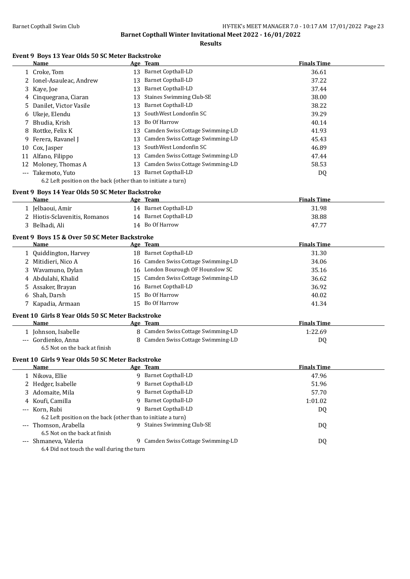**Results**

#### **Event 9 Boys 13 Year Olds 50 SC Meter Backstroke**

|    | Name                                                                |    | Age Team                            | <b>Finals Time</b> |  |
|----|---------------------------------------------------------------------|----|-------------------------------------|--------------------|--|
|    | 1 Croke, Tom                                                        |    | 13 Barnet Copthall-LD               | 36.61              |  |
|    | 2 Ionel-Asauleac, Andrew                                            | 13 | <b>Barnet Copthall-LD</b>           | 37.22              |  |
| 3  | Kaye, Joe                                                           | 13 | <b>Barnet Copthall-LD</b>           | 37.44              |  |
|    | Cinquegrana, Ciaran                                                 | 13 | <b>Staines Swimming Club-SE</b>     | 38.00              |  |
|    | Danilet, Victor Vasile                                              | 13 | <b>Barnet Copthall-LD</b>           | 38.22              |  |
| b  | Ukeje, Elendu                                                       | 13 | SouthWest Londonfin SC              | 39.29              |  |
|    | Bhudia, Krish                                                       | 13 | Bo Of Harrow                        | 40.14              |  |
| 8  | Rottke, Felix K                                                     | 13 | Camden Swiss Cottage Swimming-LD    | 41.93              |  |
| 9  | Ferera, Ravanel J                                                   | 13 | Camden Swiss Cottage Swimming-LD    | 45.43              |  |
| 10 | Cox, Jasper                                                         | 13 | SouthWest Londonfin SC              | 46.89              |  |
|    | 11 Alfano, Filippo                                                  |    | 13 Camden Swiss Cottage Swimming-LD | 47.44              |  |
|    | 12 Moloney, Thomas A                                                |    | 13 Camden Swiss Cottage Swimming-LD | 58.53              |  |
|    | --- Takemoto, Yuto                                                  |    | 13 Barnet Copthall-LD               | DQ                 |  |
|    | 6.2 Left position on the back (other than to initiate a turn)       |    |                                     |                    |  |
|    | Event 9 Boys 14 Year Olds 50 SC Meter Backstroke                    |    |                                     |                    |  |
|    | Name                                                                |    | Age Team                            | <b>Finals Time</b> |  |
|    | 1 Jelbaoui, Amir                                                    |    | 14 Barnet Copthall-LD               | 31.98              |  |
|    | 2 Hiotis-Sclavenitis, Romanos                                       |    | 14 Barnet Copthall-LD               | 38.88              |  |
|    | 3 Belhadi, Ali                                                      |    | 14 Bo Of Harrow                     | 47.77              |  |
|    |                                                                     |    |                                     |                    |  |
|    | Event 9 Boys 15 & Over 50 SC Meter Backstroke<br>Name               |    | Age Team                            | <b>Finals Time</b> |  |
|    | 1 Quiddington, Harvey                                               |    | 18 Barnet Copthall-LD               | 31.30              |  |
|    | 2 Mitidieri, Nico A                                                 |    | 16 Camden Swiss Cottage Swimming-LD | 34.06              |  |
| 3  | Wavamuno, Dylan                                                     |    | 16 London Bourough OF Hounslow SC   | 35.16              |  |
| 4  | Abdulahi, Khalid                                                    | 15 | Camden Swiss Cottage Swimming-LD    | 36.62              |  |
| 5  | Assaker, Brayan                                                     | 16 | <b>Barnet Copthall-LD</b>           | 36.92              |  |
| 6  | Shah, Darsh                                                         | 15 | Bo Of Harrow                        | 40.02              |  |
|    | 7 Kapadia, Armaan                                                   |    | 15 Bo Of Harrow                     | 41.34              |  |
|    |                                                                     |    |                                     |                    |  |
|    | Event 10 Girls 8 Year Olds 50 SC Meter Backstroke                   |    |                                     |                    |  |
|    | Name                                                                |    | Age Team                            | <b>Finals Time</b> |  |
|    | 1 Johnson, Isabelle                                                 |    | 8 Camden Swiss Cottage Swimming-LD  | 1:22.69            |  |
|    | --- Gordienko, Anna                                                 |    | 8 Camden Swiss Cottage Swimming-LD  | DQ                 |  |
|    | 6.5 Not on the back at finish                                       |    |                                     |                    |  |
|    | Event 10 Girls 9 Year Olds 50 SC Meter Backstroke                   |    |                                     |                    |  |
|    | Name                                                                |    | Age Team                            | <b>Finals Time</b> |  |
|    | 1 Nikova, Ellie                                                     |    | 9 Barnet Copthall-LD                | 47.96              |  |
|    | 2 Hedger, Isabelle                                                  |    | 9 Barnet Copthall-LD                | 51.96              |  |
| 3  | Adomaite, Mila                                                      | 9. | <b>Barnet Copthall-LD</b>           | 57.70              |  |
| 4  | Koufi, Camilla                                                      | 9  | <b>Barnet Copthall-LD</b>           | 1:01.02            |  |
|    | Korn, Rubi                                                          | 9  | <b>Barnet Copthall-LD</b>           | DQ                 |  |
|    | 6.2 Left position on the back (other than to initiate a turn)       |    |                                     |                    |  |
|    | --- Thomson, Arabella                                               |    | 9 Staines Swimming Club-SE          | DQ                 |  |
|    | 6.5 Not on the back at finish                                       |    | 9 Camden Swiss Cottage Swimming-LD  |                    |  |
|    | --- Shmaneva, Valeria<br>6.4 Did not touch the wall during the turn |    |                                     | DQ                 |  |
|    |                                                                     |    |                                     |                    |  |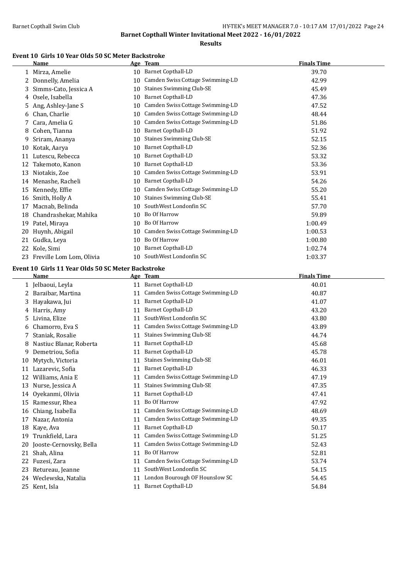**Results**

#### **Event 10 Girls 10 Year Olds 50 SC Meter Backstroke**

|    | Name                     |    | Age Team                         | <b>Finals Time</b> |  |
|----|--------------------------|----|----------------------------------|--------------------|--|
|    | 1 Mirza, Amelie          | 10 | Barnet Copthall-LD               | 39.70              |  |
| 2. | Donnelly, Amelia         | 10 | Camden Swiss Cottage Swimming-LD | 42.99              |  |
| 3  | Simms-Cato, Jessica A    | 10 | <b>Staines Swimming Club-SE</b>  | 45.49              |  |
| 4  | Osele, Isabella          | 10 | <b>Barnet Copthall-LD</b>        | 47.36              |  |
| 5  | Ang, Ashley-Jane S       | 10 | Camden Swiss Cottage Swimming-LD | 47.52              |  |
| 6  | Chan, Charlie            | 10 | Camden Swiss Cottage Swimming-LD | 48.44              |  |
|    | Cara, Amelia G           | 10 | Camden Swiss Cottage Swimming-LD | 51.86              |  |
| 8  | Cohen, Tianna            | 10 | Barnet Copthall-LD               | 51.92              |  |
| 9  | Sriram, Ananya           | 10 | <b>Staines Swimming Club-SE</b>  | 52.15              |  |
| 10 | Kotak, Aarya             | 10 | Barnet Copthall-LD               | 52.36              |  |
| 11 | Lutescu, Rebecca         | 10 | Barnet Copthall-LD               | 53.32              |  |
| 12 | Takemoto, Kanon          | 10 | <b>Barnet Copthall-LD</b>        | 53.36              |  |
| 13 | Niotakis, Zoe            | 10 | Camden Swiss Cottage Swimming-LD | 53.91              |  |
| 14 | Menashe, Racheli         | 10 | Barnet Copthall-LD               | 54.26              |  |
| 15 | Kennedy, Effie           | 10 | Camden Swiss Cottage Swimming-LD | 55.20              |  |
| 16 | Smith, Holly A           | 10 | <b>Staines Swimming Club-SE</b>  | 55.41              |  |
| 17 | Macnab, Belinda          | 10 | SouthWest Londonfin SC           | 57.70              |  |
| 18 | Chandrashekar, Mahika    | 10 | Bo Of Harrow                     | 59.89              |  |
| 19 | Patel, Miraya            | 10 | Bo Of Harrow                     | 1:00.49            |  |
| 20 | Huynh, Abigail           | 10 | Camden Swiss Cottage Swimming-LD | 1:00.53            |  |
| 21 | Gudka, Leya              | 10 | Bo Of Harrow                     | 1:00.80            |  |
| 22 | Kole, Simi               | 10 | Barnet Copthall-LD               | 1:02.74            |  |
| 23 | Freville Lom Lom, Olivia | 10 | SouthWest Londonfin SC           | 1:03.37            |  |

#### **Event 10 Girls 11 Year Olds 50 SC Meter Backstroke**

|    | <b>Name</b>             |    | Age Team                         | <b>Finals Time</b> |
|----|-------------------------|----|----------------------------------|--------------------|
|    | 1 Jelbaoui, Leyla       | 11 | <b>Barnet Copthall-LD</b>        | 40.01              |
| 2. | Baraibar, Martina       | 11 | Camden Swiss Cottage Swimming-LD | 40.87              |
| 3  | Hayakawa, Jui           | 11 | <b>Barnet Copthall-LD</b>        | 41.07              |
| 4  | Harris, Amy             | 11 | <b>Barnet Copthall-LD</b>        | 43.20              |
| 5. | Livina, Elize           | 11 | SouthWest Londonfin SC           | 43.80              |
| 6  | Chamorro, Eva S         | 11 | Camden Swiss Cottage Swimming-LD | 43.89              |
|    | Staniak, Rosalie        | 11 | <b>Staines Swimming Club-SE</b>  | 44.74              |
| 8  | Nastiuc Blanar, Roberta | 11 | <b>Barnet Copthall-LD</b>        | 45.68              |
| 9  | Demetriou, Sofia        | 11 | <b>Barnet Copthall-LD</b>        | 45.78              |
| 10 | Mytych, Victoria        | 11 | <b>Staines Swimming Club-SE</b>  | 46.01              |
| 11 | Lazarevic, Sofia        | 11 | <b>Barnet Copthall-LD</b>        | 46.33              |
| 12 | Williams, Ania E        | 11 | Camden Swiss Cottage Swimming-LD | 47.19              |
| 13 | Nurse, Jessica A        | 11 | <b>Staines Swimming Club-SE</b>  | 47.35              |
| 14 | Ovekanmi, Olivia        | 11 | <b>Barnet Copthall-LD</b>        | 47.41              |
| 15 | Ramessur, Rhea          | 11 | Bo Of Harrow                     | 47.92              |
| 16 | Chiang, Isabella        | 11 | Camden Swiss Cottage Swimming-LD | 48.69              |
| 17 | Nazar, Antonia          | 11 | Camden Swiss Cottage Swimming-LD | 49.35              |
| 18 | Kaye, Ava               | 11 | Barnet Copthall-LD               | 50.17              |
| 19 | Trunkfield, Lara        | 11 | Camden Swiss Cottage Swimming-LD | 51.25              |
| 20 | Jooste-Cernovsky, Bella | 11 | Camden Swiss Cottage Swimming-LD | 52.43              |
| 21 | Shah, Alina             | 11 | <b>Bo Of Harrow</b>              | 52.81              |
| 22 | Fuzesi, Zara            | 11 | Camden Swiss Cottage Swimming-LD | 53.74              |
| 23 | Retureau, Jeanne        | 11 | SouthWest Londonfin SC           | 54.15              |
| 24 | Weclewska, Natalia      | 11 | London Bourough OF Hounslow SC   | 54.45              |
| 25 | Kent, Isla              | 11 | <b>Barnet Copthall-LD</b>        | 54.84              |
|    |                         |    |                                  |                    |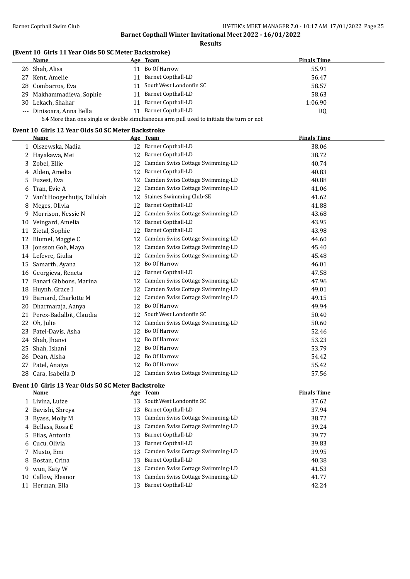**Results**

#### **(Event 10 Girls 11 Year Olds 50 SC Meter Backstroke)**

| Name                                                                                      |    | Age Team                  | <b>Finals Time</b> |  |  |  |
|-------------------------------------------------------------------------------------------|----|---------------------------|--------------------|--|--|--|
| 26 Shah, Alisa                                                                            | 11 | Bo Of Harrow              | 55.91              |  |  |  |
| 27 Kent, Amelie                                                                           | 11 | <b>Barnet Copthall-LD</b> | 56.47              |  |  |  |
| 28 Combarros, Eva                                                                         | 11 | SouthWest Londonfin SC    | 58.57              |  |  |  |
| 29 Makhammadieva, Sophie                                                                  | 11 | <b>Barnet Copthall-LD</b> | 58.63              |  |  |  |
| 30 Lekach, Shahar                                                                         | 11 | Barnet Copthall-LD        | 1:06.90            |  |  |  |
| --- Dinisoara, Anna Bella                                                                 | 11 | Barnet Copthall-LD        | DQ                 |  |  |  |
| 6.4 More than one single or double simultaneous arm pull used to initiate the turn or not |    |                           |                    |  |  |  |

#### **Event 10 Girls 12 Year Olds 50 SC Meter Backstroke**

|    | Name                        |    | Age Team                            | <b>Finals Time</b> |
|----|-----------------------------|----|-------------------------------------|--------------------|
|    | 1 Olszewska, Nadia          |    | 12 Barnet Copthall-LD               | 38.06              |
|    | 2 Hayakawa, Mei             | 12 | <b>Barnet Copthall-LD</b>           | 38.72              |
| 3  | Zobel, Ellie                | 12 | Camden Swiss Cottage Swimming-LD    | 40.74              |
|    | 4 Alden, Amelia             | 12 | Barnet Copthall-LD                  | 40.83              |
| 5. | Fuzesi, Eva                 | 12 | Camden Swiss Cottage Swimming-LD    | 40.88              |
| 6  | Tran, Evie A                | 12 | Camden Swiss Cottage Swimming-LD    | 41.06              |
|    | Van't Hoogerhuijs, Tallulah | 12 | <b>Staines Swimming Club-SE</b>     | 41.62              |
| 8  | Meges, Olivia               | 12 | Barnet Copthall-LD                  | 41.88              |
| 9  | Morrison, Nessie N          | 12 | Camden Swiss Cottage Swimming-LD    | 43.68              |
| 10 | Veingard, Amelia            | 12 | <b>Barnet Copthall-LD</b>           | 43.95              |
| 11 | Zietal, Sophie              | 12 | <b>Barnet Copthall-LD</b>           | 43.98              |
| 12 | Blumel, Maggie C            | 12 | Camden Swiss Cottage Swimming-LD    | 44.60              |
| 13 | Jonsson Goh, Maya           | 12 | Camden Swiss Cottage Swimming-LD    | 45.40              |
|    | 14 Lefevre, Giulia          | 12 | Camden Swiss Cottage Swimming-LD    | 45.48              |
| 15 | Samarth, Ayana              | 12 | Bo Of Harrow                        | 46.01              |
| 16 | Georgieva, Reneta           | 12 | <b>Barnet Copthall-LD</b>           | 47.58              |
| 17 | Fanari Gibbons, Marina      | 12 | Camden Swiss Cottage Swimming-LD    | 47.96              |
| 18 | Huynh, Grace I              | 12 | Camden Swiss Cottage Swimming-LD    | 49.01              |
| 19 | Barnard, Charlotte M        | 12 | Camden Swiss Cottage Swimming-LD    | 49.15              |
| 20 | Dharmaraja, Aanya           | 12 | Bo Of Harrow                        | 49.94              |
| 21 | Perex-Badalbit, Claudia     | 12 | SouthWest Londonfin SC              | 50.40              |
| 22 | Oh, Julie                   | 12 | Camden Swiss Cottage Swimming-LD    | 50.60              |
| 23 | Patel-Davis, Asha           | 12 | Bo Of Harrow                        | 52.46              |
|    | 24 Shah, Jhanvi             | 12 | Bo Of Harrow                        | 53.23              |
| 25 | Shah, Ishani                | 12 | Bo Of Harrow                        | 53.79              |
| 26 | Dean, Aisha                 | 12 | Bo Of Harrow                        | 54.42              |
|    | 27 Patel, Anaiya            | 12 | Bo Of Harrow                        | 55.42              |
| 28 | Cara, Isabella D            |    | 12 Camden Swiss Cottage Swimming-LD | 57.56              |

### **Event 10 Girls 13 Year Olds 50 SC Meter Backstroke**

| Name               |     | Age Team                            | <b>Finals Time</b> |
|--------------------|-----|-------------------------------------|--------------------|
| 1 Livina, Luize    |     | 13 SouthWest Londonfin SC           | 37.62              |
| 2 Bavishi, Shreya  |     | 13 Barnet Copthall-LD               | 37.94              |
| 3 Byass, Molly M   |     | 13 Camden Swiss Cottage Swimming-LD | 38.72              |
| 4 Bellass, Rosa E  |     | 13 Camden Swiss Cottage Swimming-LD | 39.24              |
| 5 Elias, Antonia   |     | 13 Barnet Copthall-LD               | 39.77              |
| 6 Cucu, Olivia     | 13  | Barnet Copthall-LD                  | 39.83              |
| 7 Musto, Emi       |     | 13 Camden Swiss Cottage Swimming-LD | 39.95              |
| 8 Bostan, Crina    | 13. | Barnet Copthall-LD                  | 40.38              |
| 9 wun, Katy W      |     | 13 Camden Swiss Cottage Swimming-LD | 41.53              |
| 10 Callow, Eleanor |     | 13 Camden Swiss Cottage Swimming-LD | 41.77              |
| 11 Herman, Ella    | 13. | <b>Barnet Copthall-LD</b>           | 42.24              |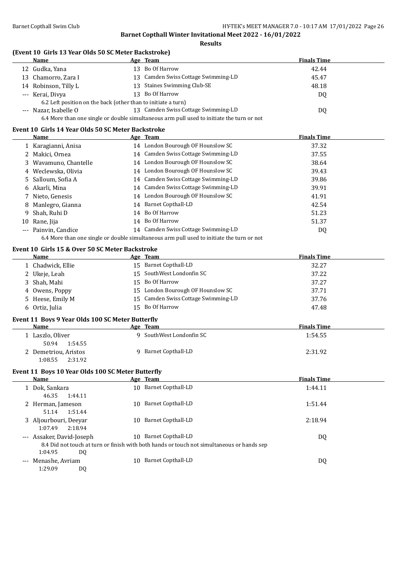**Results**

#### **(Event 10 Girls 13 Year Olds 50 SC Meter Backstroke)**

| Name                                                          | Age Team                                                                                  | <b>Finals Time</b> |  |
|---------------------------------------------------------------|-------------------------------------------------------------------------------------------|--------------------|--|
| 12 Gudka, Yana                                                | 13 Bo Of Harrow                                                                           | 42.44              |  |
| 13 Chamorro, Zara I                                           | 13 Camden Swiss Cottage Swimming-LD                                                       | 45.47              |  |
| 14 Robinson, Tilly L                                          | 13 Staines Swimming Club-SE                                                               | 48.18              |  |
| --- Kerai, Divya                                              | 13 Bo Of Harrow                                                                           | DQ                 |  |
| 6.2 Left position on the back (other than to initiate a turn) |                                                                                           |                    |  |
| --- Nazar, Isabelle O                                         | 13 Camden Swiss Cottage Swimming-LD                                                       | DQ                 |  |
|                                                               | 6.4 More than one single or double simultaneous arm pull used to initiate the turn or not |                    |  |

#### **Event 10 Girls 14 Year Olds 50 SC Meter Backstroke**

|    | Name                  | Age Team                                                                                  | <b>Finals Time</b> |
|----|-----------------------|-------------------------------------------------------------------------------------------|--------------------|
|    | 1 Karagianni, Anisa   | 14 London Bourough OF Hounslow SC                                                         | 37.32              |
|    | 2 Makici, Ornea       | 14 Camden Swiss Cottage Swimming-LD                                                       | 37.55              |
|    | 3 Wavamuno, Chantelle | 14 London Bourough OF Hounslow SC                                                         | 38.64              |
|    | 4 Weclewska, Olivia   | 14 London Bourough OF Hounslow SC                                                         | 39.43              |
|    | 5 Salloum, Sofia A    | 14 Camden Swiss Cottage Swimming-LD                                                       | 39.86              |
|    | 6 Akarli, Mina        | 14 Camden Swiss Cottage Swimming-LD                                                       | 39.91              |
|    | 7 Nieto, Genesis      | 14 London Bourough OF Hounslow SC                                                         | 41.91              |
|    | 8 Manlegro, Gianna    | 14 Barnet Copthall-LD                                                                     | 42.54              |
|    | 9 Shah, Ruhi D        | 14 Bo Of Harrow                                                                           | 51.23              |
| 10 | Rane, Jija            | 14 Bo Of Harrow                                                                           | 51.37              |
|    | --- Painvin, Candice  | 14 Camden Swiss Cottage Swimming-LD                                                       | DQ                 |
|    |                       | 6.4 More than one single or double simultaneous arm pull used to initiate the turn or not |                    |

#### **Event 10 Girls 15 & Over 50 SC Meter Backstroke**

| Name              | Age Team                            | <b>Finals Time</b> |
|-------------------|-------------------------------------|--------------------|
| 1 Chadwick, Ellie | 15 Barnet Copthall-LD               | 32.27              |
| 2 Ukeje, Leah     | 15 SouthWest Londonfin SC           | 37.22              |
| 3 Shah, Mahi      | 15 Bo Of Harrow                     | 37.27              |
| 4 Owens, Poppy    | 15 London Bourough OF Hounslow SC   | 37.71              |
| 5 Heese, Emily M  | 15 Camden Swiss Cottage Swimming-LD | 37.76              |
| 6 Ortiz, Julia    | 15 Bo Of Harrow                     | 47.48              |

#### **Event 11 Boys 9 Year Olds 100 SC Meter Butterfly**

| <b>Name</b>          | Age Team                 | <b>Finals Time</b> |
|----------------------|--------------------------|--------------------|
| Laszlo, Oliver       | 9 SouthWest Londonfin SC | 1:54.55            |
| 50.94<br>1:54.55     |                          |                    |
| 2 Demetriou, Aristos | 9 Barnet Copthall-LD     | 2:31.92            |
| 1:08.55<br>2:31.92   |                          |                    |

#### **Event 11 Boys 10 Year Olds 100 SC Meter Butterfly**

|       | Name                      |     | Age Team                                                                                   | <b>Finals Time</b> |
|-------|---------------------------|-----|--------------------------------------------------------------------------------------------|--------------------|
|       | Dok, Sankara              | 10  | <b>Barnet Copthall-LD</b>                                                                  | 1:44.11            |
|       | 46.35<br>1:44.11          |     |                                                                                            |                    |
|       | 2 Herman, Jameson         | 10  | Barnet Copthall-LD                                                                         | 1:51.44            |
|       | 1:51.44<br>51.14          |     |                                                                                            |                    |
|       | 3 Aljourbouri, Deeyar     | 10  | Barnet Copthall-LD                                                                         | 2:18.94            |
|       | 1:07.49<br>2:18.94        |     |                                                                                            |                    |
|       | --- Assaker, David-Joseph | 10. | Barnet Copthall-LD                                                                         | DQ                 |
|       |                           |     | 8.4 Did not touch at turn or finish with both hands or touch not simultaneous or hands sep |                    |
|       | 1:04.95<br>DQ             |     |                                                                                            |                    |
| $---$ | Menashe, Avriam           | 10  | Barnet Copthall-LD                                                                         | DQ                 |
|       | 1:29.09<br>DQ             |     |                                                                                            |                    |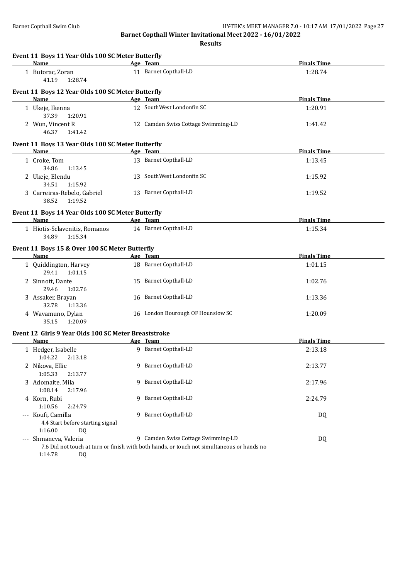**Results**

| Name<br>Age Team<br>11 Barnet Copthall-LD<br>1:28.74<br>1 Butorac, Zoran<br>41.19<br>1:28.74<br>Event 11 Boys 12 Year Olds 100 SC Meter Butterfly<br>Age Team<br><b>Finals Time</b><br><b>Name</b><br>12 SouthWest Londonfin SC<br>1 Ukeje, Ikenna<br>1:20.91<br>37.39<br>1:20.91<br>2 Wun, Vincent R<br>12 Camden Swiss Cottage Swimming-LD<br>1:41.42<br>46.37<br>1:41.42<br>Event 11 Boys 13 Year Olds 100 SC Meter Butterfly<br>Age Team<br><b>Finals Time</b><br>Name<br>13 Barnet Copthall-LD<br>1 Croke, Tom<br>1:13.45<br>34.86<br>1:13.45<br>13 SouthWest Londonfin SC<br>2 Ukeje, Elendu<br>1:15.92<br>34.51<br>1:15.92<br>13 Barnet Copthall-LD<br>3 Carreiras-Rebelo, Gabriel<br>1:19.52<br>38.52<br>1:19.52<br>Event 11 Boys 14 Year Olds 100 SC Meter Butterfly<br><b>Finals Time</b><br><b>Name</b><br>Age Team<br>14 Barnet Copthall-LD<br>1 Hiotis-Sclavenitis, Romanos<br>1:15.34<br>34.89<br>1:15.34<br>Event 11 Boys 15 & Over 100 SC Meter Butterfly<br><b>Finals Time</b><br>Name<br>Age Team<br>18 Barnet Copthall-LD<br>1 Quiddington, Harvey<br>1:01.15<br>29.41<br>1:01.15<br>15 Barnet Copthall-LD<br>2 Sinnott, Dante<br>1:02.76<br>29.46<br>1:02.76<br>16 Barnet Copthall-LD<br>3 Assaker, Brayan<br>1:13.36<br>32.78<br>1:13.36<br>16 London Bourough OF Hounslow SC<br>4 Wavamuno, Dylan<br>1:20.09<br>35.15<br>1:20.09<br>Event 12 Girls 9 Year Olds 100 SC Meter Breaststroke<br><b>Finals Time</b><br>Age Team<br>Name<br>9 Barnet Copthall-LD<br>1 Hedger, Isabelle<br>2:13.18<br>1:04.22  2:13.18<br>9 Barnet Copthall-LD<br>2 Nikova, Ellie<br>2:13.77<br>1:05.33<br>2:13.77<br>9 Barnet Copthall-LD<br>3 Adomaite, Mila<br>2:17.96<br>1:08.14<br>2:17.96<br>9 Barnet Copthall-LD<br>4 Korn, Rubi<br>2:24.79<br>1:10.56<br>2:24.79<br>--- Koufi, Camilla<br>9 Barnet Copthall-LD<br>DQ<br>4.4 Start before starting signal<br>1:16.00<br>DQ<br>9 Camden Swiss Cottage Swimming-LD<br>--- Shmaneva, Valeria<br>DQ | Event 11 Boys 11 Year Olds 100 SC Meter Butterfly |  |                    |  |
|-------------------------------------------------------------------------------------------------------------------------------------------------------------------------------------------------------------------------------------------------------------------------------------------------------------------------------------------------------------------------------------------------------------------------------------------------------------------------------------------------------------------------------------------------------------------------------------------------------------------------------------------------------------------------------------------------------------------------------------------------------------------------------------------------------------------------------------------------------------------------------------------------------------------------------------------------------------------------------------------------------------------------------------------------------------------------------------------------------------------------------------------------------------------------------------------------------------------------------------------------------------------------------------------------------------------------------------------------------------------------------------------------------------------------------------------------------------------------------------------------------------------------------------------------------------------------------------------------------------------------------------------------------------------------------------------------------------------------------------------------------------------------------------------------------------------------------------------------------------------------------------------------------------------------------------------------------|---------------------------------------------------|--|--------------------|--|
|                                                                                                                                                                                                                                                                                                                                                                                                                                                                                                                                                                                                                                                                                                                                                                                                                                                                                                                                                                                                                                                                                                                                                                                                                                                                                                                                                                                                                                                                                                                                                                                                                                                                                                                                                                                                                                                                                                                                                       |                                                   |  | <b>Finals Time</b> |  |
|                                                                                                                                                                                                                                                                                                                                                                                                                                                                                                                                                                                                                                                                                                                                                                                                                                                                                                                                                                                                                                                                                                                                                                                                                                                                                                                                                                                                                                                                                                                                                                                                                                                                                                                                                                                                                                                                                                                                                       |                                                   |  |                    |  |
|                                                                                                                                                                                                                                                                                                                                                                                                                                                                                                                                                                                                                                                                                                                                                                                                                                                                                                                                                                                                                                                                                                                                                                                                                                                                                                                                                                                                                                                                                                                                                                                                                                                                                                                                                                                                                                                                                                                                                       |                                                   |  |                    |  |
|                                                                                                                                                                                                                                                                                                                                                                                                                                                                                                                                                                                                                                                                                                                                                                                                                                                                                                                                                                                                                                                                                                                                                                                                                                                                                                                                                                                                                                                                                                                                                                                                                                                                                                                                                                                                                                                                                                                                                       |                                                   |  |                    |  |
|                                                                                                                                                                                                                                                                                                                                                                                                                                                                                                                                                                                                                                                                                                                                                                                                                                                                                                                                                                                                                                                                                                                                                                                                                                                                                                                                                                                                                                                                                                                                                                                                                                                                                                                                                                                                                                                                                                                                                       |                                                   |  |                    |  |
|                                                                                                                                                                                                                                                                                                                                                                                                                                                                                                                                                                                                                                                                                                                                                                                                                                                                                                                                                                                                                                                                                                                                                                                                                                                                                                                                                                                                                                                                                                                                                                                                                                                                                                                                                                                                                                                                                                                                                       |                                                   |  |                    |  |
|                                                                                                                                                                                                                                                                                                                                                                                                                                                                                                                                                                                                                                                                                                                                                                                                                                                                                                                                                                                                                                                                                                                                                                                                                                                                                                                                                                                                                                                                                                                                                                                                                                                                                                                                                                                                                                                                                                                                                       |                                                   |  |                    |  |
|                                                                                                                                                                                                                                                                                                                                                                                                                                                                                                                                                                                                                                                                                                                                                                                                                                                                                                                                                                                                                                                                                                                                                                                                                                                                                                                                                                                                                                                                                                                                                                                                                                                                                                                                                                                                                                                                                                                                                       |                                                   |  |                    |  |
|                                                                                                                                                                                                                                                                                                                                                                                                                                                                                                                                                                                                                                                                                                                                                                                                                                                                                                                                                                                                                                                                                                                                                                                                                                                                                                                                                                                                                                                                                                                                                                                                                                                                                                                                                                                                                                                                                                                                                       |                                                   |  |                    |  |
|                                                                                                                                                                                                                                                                                                                                                                                                                                                                                                                                                                                                                                                                                                                                                                                                                                                                                                                                                                                                                                                                                                                                                                                                                                                                                                                                                                                                                                                                                                                                                                                                                                                                                                                                                                                                                                                                                                                                                       |                                                   |  |                    |  |
|                                                                                                                                                                                                                                                                                                                                                                                                                                                                                                                                                                                                                                                                                                                                                                                                                                                                                                                                                                                                                                                                                                                                                                                                                                                                                                                                                                                                                                                                                                                                                                                                                                                                                                                                                                                                                                                                                                                                                       |                                                   |  |                    |  |
|                                                                                                                                                                                                                                                                                                                                                                                                                                                                                                                                                                                                                                                                                                                                                                                                                                                                                                                                                                                                                                                                                                                                                                                                                                                                                                                                                                                                                                                                                                                                                                                                                                                                                                                                                                                                                                                                                                                                                       |                                                   |  |                    |  |
|                                                                                                                                                                                                                                                                                                                                                                                                                                                                                                                                                                                                                                                                                                                                                                                                                                                                                                                                                                                                                                                                                                                                                                                                                                                                                                                                                                                                                                                                                                                                                                                                                                                                                                                                                                                                                                                                                                                                                       |                                                   |  |                    |  |
|                                                                                                                                                                                                                                                                                                                                                                                                                                                                                                                                                                                                                                                                                                                                                                                                                                                                                                                                                                                                                                                                                                                                                                                                                                                                                                                                                                                                                                                                                                                                                                                                                                                                                                                                                                                                                                                                                                                                                       |                                                   |  |                    |  |
|                                                                                                                                                                                                                                                                                                                                                                                                                                                                                                                                                                                                                                                                                                                                                                                                                                                                                                                                                                                                                                                                                                                                                                                                                                                                                                                                                                                                                                                                                                                                                                                                                                                                                                                                                                                                                                                                                                                                                       |                                                   |  |                    |  |
|                                                                                                                                                                                                                                                                                                                                                                                                                                                                                                                                                                                                                                                                                                                                                                                                                                                                                                                                                                                                                                                                                                                                                                                                                                                                                                                                                                                                                                                                                                                                                                                                                                                                                                                                                                                                                                                                                                                                                       |                                                   |  |                    |  |
|                                                                                                                                                                                                                                                                                                                                                                                                                                                                                                                                                                                                                                                                                                                                                                                                                                                                                                                                                                                                                                                                                                                                                                                                                                                                                                                                                                                                                                                                                                                                                                                                                                                                                                                                                                                                                                                                                                                                                       |                                                   |  |                    |  |
|                                                                                                                                                                                                                                                                                                                                                                                                                                                                                                                                                                                                                                                                                                                                                                                                                                                                                                                                                                                                                                                                                                                                                                                                                                                                                                                                                                                                                                                                                                                                                                                                                                                                                                                                                                                                                                                                                                                                                       |                                                   |  |                    |  |
|                                                                                                                                                                                                                                                                                                                                                                                                                                                                                                                                                                                                                                                                                                                                                                                                                                                                                                                                                                                                                                                                                                                                                                                                                                                                                                                                                                                                                                                                                                                                                                                                                                                                                                                                                                                                                                                                                                                                                       |                                                   |  |                    |  |
|                                                                                                                                                                                                                                                                                                                                                                                                                                                                                                                                                                                                                                                                                                                                                                                                                                                                                                                                                                                                                                                                                                                                                                                                                                                                                                                                                                                                                                                                                                                                                                                                                                                                                                                                                                                                                                                                                                                                                       |                                                   |  |                    |  |
|                                                                                                                                                                                                                                                                                                                                                                                                                                                                                                                                                                                                                                                                                                                                                                                                                                                                                                                                                                                                                                                                                                                                                                                                                                                                                                                                                                                                                                                                                                                                                                                                                                                                                                                                                                                                                                                                                                                                                       |                                                   |  |                    |  |
|                                                                                                                                                                                                                                                                                                                                                                                                                                                                                                                                                                                                                                                                                                                                                                                                                                                                                                                                                                                                                                                                                                                                                                                                                                                                                                                                                                                                                                                                                                                                                                                                                                                                                                                                                                                                                                                                                                                                                       |                                                   |  |                    |  |
|                                                                                                                                                                                                                                                                                                                                                                                                                                                                                                                                                                                                                                                                                                                                                                                                                                                                                                                                                                                                                                                                                                                                                                                                                                                                                                                                                                                                                                                                                                                                                                                                                                                                                                                                                                                                                                                                                                                                                       |                                                   |  |                    |  |
|                                                                                                                                                                                                                                                                                                                                                                                                                                                                                                                                                                                                                                                                                                                                                                                                                                                                                                                                                                                                                                                                                                                                                                                                                                                                                                                                                                                                                                                                                                                                                                                                                                                                                                                                                                                                                                                                                                                                                       |                                                   |  |                    |  |
|                                                                                                                                                                                                                                                                                                                                                                                                                                                                                                                                                                                                                                                                                                                                                                                                                                                                                                                                                                                                                                                                                                                                                                                                                                                                                                                                                                                                                                                                                                                                                                                                                                                                                                                                                                                                                                                                                                                                                       |                                                   |  |                    |  |
|                                                                                                                                                                                                                                                                                                                                                                                                                                                                                                                                                                                                                                                                                                                                                                                                                                                                                                                                                                                                                                                                                                                                                                                                                                                                                                                                                                                                                                                                                                                                                                                                                                                                                                                                                                                                                                                                                                                                                       |                                                   |  |                    |  |
|                                                                                                                                                                                                                                                                                                                                                                                                                                                                                                                                                                                                                                                                                                                                                                                                                                                                                                                                                                                                                                                                                                                                                                                                                                                                                                                                                                                                                                                                                                                                                                                                                                                                                                                                                                                                                                                                                                                                                       |                                                   |  |                    |  |
|                                                                                                                                                                                                                                                                                                                                                                                                                                                                                                                                                                                                                                                                                                                                                                                                                                                                                                                                                                                                                                                                                                                                                                                                                                                                                                                                                                                                                                                                                                                                                                                                                                                                                                                                                                                                                                                                                                                                                       |                                                   |  |                    |  |
| 7.6 Did not touch at turn or finish with both hands, or touch not simultaneous or hands no                                                                                                                                                                                                                                                                                                                                                                                                                                                                                                                                                                                                                                                                                                                                                                                                                                                                                                                                                                                                                                                                                                                                                                                                                                                                                                                                                                                                                                                                                                                                                                                                                                                                                                                                                                                                                                                            |                                                   |  |                    |  |

1:14.78 DQ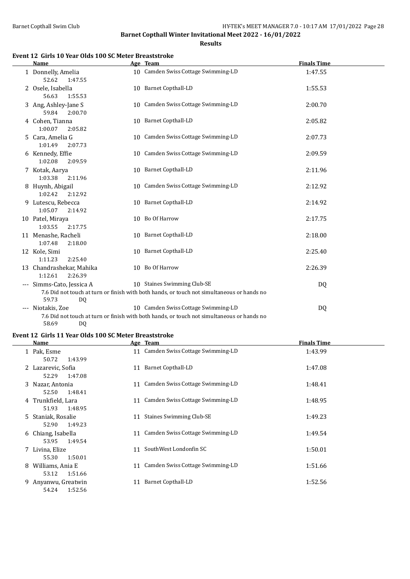**Results**

#### **Event 12 Girls 10 Year Olds 100 SC Meter Breaststroke**

| <b>Name</b>                                    | Age Team                                                                                                                          | <b>Finals Time</b> |  |
|------------------------------------------------|-----------------------------------------------------------------------------------------------------------------------------------|--------------------|--|
| 1 Donnelly, Amelia<br>52.62<br>1:47.55         | 10 Camden Swiss Cottage Swimming-LD                                                                                               | 1:47.55            |  |
| 2 Osele, Isabella<br>56.63<br>1:55.53          | 10 Barnet Copthall-LD                                                                                                             | 1:55.53            |  |
| 3 Ang, Ashley-Jane S<br>59.84<br>2:00.70       | 10 Camden Swiss Cottage Swimming-LD                                                                                               | 2:00.70            |  |
| 4 Cohen, Tianna<br>1:00.07<br>2:05.82          | 10 Barnet Copthall-LD                                                                                                             | 2:05.82            |  |
| 5 Cara, Amelia G<br>1:01.49<br>2:07.73         | 10 Camden Swiss Cottage Swimming-LD                                                                                               | 2:07.73            |  |
| 6 Kennedy, Effie<br>1:02.08<br>2:09.59         | 10 Camden Swiss Cottage Swimming-LD                                                                                               | 2:09.59            |  |
| 7 Kotak, Aarya<br>1:03.38<br>2:11.96           | 10 Barnet Copthall-LD                                                                                                             | 2:11.96            |  |
| 8 Huynh, Abigail<br>1:02.42<br>2:12.92         | 10 Camden Swiss Cottage Swimming-LD                                                                                               | 2:12.92            |  |
| 9 Lutescu, Rebecca<br>1:05.07<br>2:14.92       | 10 Barnet Copthall-LD                                                                                                             | 2:14.92            |  |
| 10 Patel, Miraya<br>1:03.55<br>2:17.75         | 10 Bo Of Harrow                                                                                                                   | 2:17.75            |  |
| 11 Menashe, Racheli<br>1:07.48<br>2:18.00      | 10 Barnet Copthall-LD                                                                                                             | 2:18.00            |  |
| 12 Kole, Simi<br>1:11.23<br>2:25.40            | 10 Barnet Copthall-LD                                                                                                             | 2:25.40            |  |
| 13 Chandrashekar, Mahika<br>1:12.61<br>2:26.39 | 10 Bo Of Harrow                                                                                                                   | 2:26.39            |  |
| --- Simms-Cato, Jessica A<br>59.73<br>DQ       | 10 Staines Swimming Club-SE<br>7.6 Did not touch at turn or finish with both hands, or touch not simultaneous or hands no         | DQ                 |  |
| --- Niotakis, Zoe                              | 10 Camden Swiss Cottage Swimming-LD<br>7.6 Did not touch at turn or finish with both hands, or touch not simultaneous or hands no | DQ                 |  |

58.69 DQ

#### **Event 12 Girls 11 Year Olds 100 SC Meter Breaststroke**

|   | Name                                 |    | Age Team                            | <b>Finals Time</b> |
|---|--------------------------------------|----|-------------------------------------|--------------------|
|   | 1 Pak, Esme                          |    | 11 Camden Swiss Cottage Swimming-LD | 1:43.99            |
|   | 1:43.99<br>50.72                     |    |                                     |                    |
|   | 2 Lazarevic, Sofia                   | 11 | Barnet Copthall-LD                  | 1:47.08            |
|   | 1:47.08<br>52.29                     |    |                                     |                    |
|   | 3 Nazar, Antonia<br>1:48.41<br>52.50 |    | 11 Camden Swiss Cottage Swimming-LD | 1:48.41            |
|   | 4 Trunkfield, Lara                   |    | 11 Camden Swiss Cottage Swimming-LD | 1:48.95            |
|   | 51.93<br>1:48.95                     |    |                                     |                    |
|   | 5 Staniak, Rosalie                   | 11 | <b>Staines Swimming Club-SE</b>     | 1:49.23            |
|   | 52.90<br>1:49.23                     |    |                                     |                    |
| 6 | Chiang, Isabella                     |    | 11 Camden Swiss Cottage Swimming-LD | 1:49.54            |
|   | 1:49.54<br>53.95                     |    |                                     |                    |
|   | 7 Livina, Elize                      | 11 | SouthWest Londonfin SC              | 1:50.01            |
|   | 55.30<br>1:50.01                     |    |                                     |                    |
| 8 | Williams, Ania E                     |    | 11 Camden Swiss Cottage Swimming-LD | 1:51.66            |
|   | 53.12<br>1:51.66                     |    |                                     |                    |
| 9 | Anyanwu, Greatwin                    | 11 | Barnet Copthall-LD                  | 1:52.56            |
|   | 1:52.56<br>54.24                     |    |                                     |                    |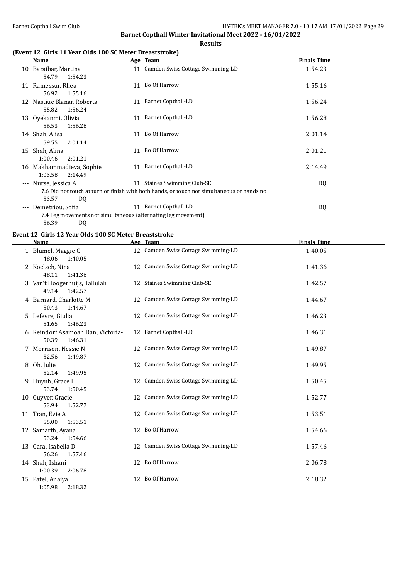#### **Results**

#### **(Event 12 Girls 11 Year Olds 100 SC Meter Breaststroke)**

|                     | Name                                                                                                            |    | Age Team                                                                                                                  | <b>Finals Time</b> |
|---------------------|-----------------------------------------------------------------------------------------------------------------|----|---------------------------------------------------------------------------------------------------------------------------|--------------------|
|                     | 10 Baraibar, Martina<br>54.79<br>1:54.23                                                                        |    | 11 Camden Swiss Cottage Swimming-LD                                                                                       | 1:54.23            |
|                     | 11 Ramessur, Rhea<br>56.92<br>1:55.16                                                                           |    | 11 Bo Of Harrow                                                                                                           | 1:55.16            |
|                     | 12 Nastiuc Blanar, Roberta<br>55.82<br>1:56.24                                                                  | 11 | Barnet Copthall-LD                                                                                                        | 1:56.24            |
|                     | 13 Oyekanmi, Olivia<br>56.53<br>1:56.28                                                                         |    | 11 Barnet Copthall-LD                                                                                                     | 1:56.28            |
|                     | 14 Shah, Alisa<br>59.55<br>2:01.14                                                                              | 11 | Bo Of Harrow                                                                                                              | 2:01.14            |
|                     | 15 Shah, Alina<br>1:00.46<br>2:01.21                                                                            |    | 11 Bo Of Harrow                                                                                                           | 2:01.21            |
|                     | 16 Makhammadieva, Sophie<br>1:03.58<br>2:14.49                                                                  | 11 | <b>Barnet Copthall-LD</b>                                                                                                 | 2:14.49            |
| $\qquad \qquad - -$ | Nurse, Jessica A                                                                                                |    | 11 Staines Swimming Club-SE<br>7.6 Did not touch at turn or finish with both hands, or touch not simultaneous or hands no | DQ                 |
| $---$               | 53.57<br>DQ<br>Demetriou, Sofia<br>7.4 Leg movements not simultaneous (alternating leg movement)<br>56.39<br>DQ |    | 11 Barnet Copthall-LD                                                                                                     | DQ                 |
|                     |                                                                                                                 |    |                                                                                                                           |                    |

#### **Event 12 Girls 12 Year Olds 100 SC Meter Breaststroke**

| <b>Name</b>                                            | Age Team                            | <b>Finals Time</b> |
|--------------------------------------------------------|-------------------------------------|--------------------|
| 1 Blumel, Maggie C<br>48.06<br>1:40.05                 | 12 Camden Swiss Cottage Swimming-LD | 1:40.05            |
| 2 Koelsch, Nina<br>48.11<br>1:41.36                    | 12 Camden Swiss Cottage Swimming-LD | 1:41.36            |
| 3 Van't Hoogerhuijs, Tallulah<br>49.14<br>1:42.57      | 12 Staines Swimming Club-SE         | 1:42.57            |
| 4 Barnard, Charlotte M<br>50.43<br>1:44.67             | 12 Camden Swiss Cottage Swimming-LD | 1:44.67            |
| 5 Lefevre, Giulia<br>51.65<br>1:46.23                  | 12 Camden Swiss Cottage Swimming-LD | 1:46.23            |
| 6 Reindorf Asamoah Dan, Victoria-l<br>50.39<br>1:46.31 | 12 Barnet Copthall-LD               | 1:46.31            |
| 7 Morrison, Nessie N<br>52.56<br>1:49.87               | 12 Camden Swiss Cottage Swimming-LD | 1:49.87            |
| 8 Oh, Julie<br>52.14<br>1:49.95                        | 12 Camden Swiss Cottage Swimming-LD | 1:49.95            |
| 9 Huynh, Grace I<br>53.74<br>1:50.45                   | 12 Camden Swiss Cottage Swimming-LD | 1:50.45            |
| 10 Guyver, Gracie<br>53.94<br>1:52.77                  | 12 Camden Swiss Cottage Swimming-LD | 1:52.77            |
| 11 Tran, Evie A<br>55.00<br>1:53.51                    | 12 Camden Swiss Cottage Swimming-LD | 1:53.51            |
| 12 Samarth, Ayana<br>53.24<br>1:54.66                  | 12 Bo Of Harrow                     | 1:54.66            |
| 13 Cara, Isabella D<br>56.26<br>1:57.46                | 12 Camden Swiss Cottage Swimming-LD | 1:57.46            |
| 14 Shah, Ishani<br>1:00.39<br>2:06.78                  | 12 Bo Of Harrow                     | 2:06.78            |
| 15 Patel, Anaiya<br>1:05.98<br>2:18.32                 | 12 Bo Of Harrow                     | 2:18.32            |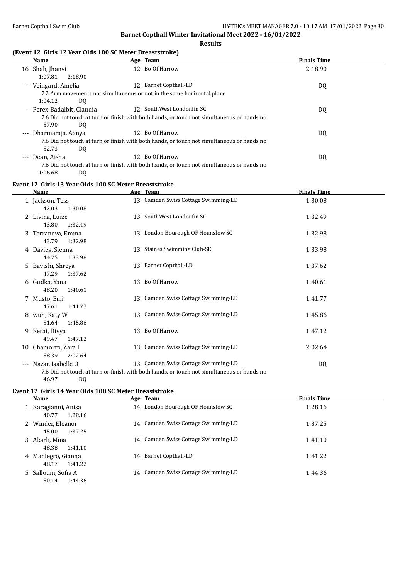#### **Results**

#### **(Event 12 Girls 12 Year Olds 100 SC Meter Breaststroke)**

| Name                                                                   |                 | Age Team                                                                                   | <b>Finals Time</b> |
|------------------------------------------------------------------------|-----------------|--------------------------------------------------------------------------------------------|--------------------|
| 16 Shah, Jhanyi                                                        | 12.             | Bo Of Harrow                                                                               | 2:18.90            |
| 2:18.90<br>1:07.81                                                     |                 |                                                                                            |                    |
| --- Veingard, Amelia                                                   | 12.             | Barnet Copthall-LD                                                                         | DQ                 |
| 7.2 Arm movements not simultaneous or not in the same horizontal plane |                 |                                                                                            |                    |
| 1:04.12<br>DQ                                                          |                 |                                                                                            |                    |
| --- Perex-Badalbit, Claudia                                            |                 | 12 SouthWest Londonfin SC                                                                  | DQ                 |
|                                                                        |                 | 7.6 Did not touch at turn or finish with both hands, or touch not simultaneous or hands no |                    |
| 57.90<br>DQ                                                            |                 |                                                                                            |                    |
| --- Dharmaraja, Aanya                                                  | 12 <sup>1</sup> | Bo Of Harrow                                                                               | DQ                 |
|                                                                        |                 | 7.6 Did not touch at turn or finish with both hands, or touch not simultaneous or hands no |                    |
| 52.73<br>DQ                                                            |                 |                                                                                            |                    |
| --- Dean, Aisha                                                        | 12.             | Bo Of Harrow                                                                               | DQ                 |
|                                                                        |                 | 7.6 Did not touch at turn or finish with both hands, or touch not simultaneous or hands no |                    |
| 1:06.68<br>D <sub>0</sub>                                              |                 |                                                                                            |                    |

#### **Event 12 Girls 13 Year Olds 100 SC Meter Breaststroke**

| Name                                    | Age Team                                                                                                                          | <b>Finals Time</b> |
|-----------------------------------------|-----------------------------------------------------------------------------------------------------------------------------------|--------------------|
| 1 Jackson, Tess<br>42.03<br>1:30.08     | 13 Camden Swiss Cottage Swimming-LD                                                                                               | 1:30.08            |
| 2 Livina, Luize<br>1:32.49<br>43.80     | 13 SouthWest Londonfin SC                                                                                                         | 1:32.49            |
| 3 Terranova, Emma<br>43.79<br>1:32.98   | 13 London Bourough OF Hounslow SC                                                                                                 | 1:32.98            |
| 4 Davies, Sienna<br>44.75<br>1:33.98    | 13 Staines Swimming Club-SE                                                                                                       | 1:33.98            |
| 5 Bavishi, Shreya<br>47.29<br>1:37.62   | 13 Barnet Copthall-LD                                                                                                             | 1:37.62            |
| 6 Gudka, Yana<br>48.20<br>1:40.61       | 13 Bo Of Harrow                                                                                                                   | 1:40.61            |
| 7 Musto, Emi<br>1:41.77<br>47.61        | 13 Camden Swiss Cottage Swimming-LD                                                                                               | 1:41.77            |
| 8 wun, Katy W<br>51.64<br>1:45.86       | 13 Camden Swiss Cottage Swimming-LD                                                                                               | 1:45.86            |
| 9 Kerai, Divya<br>49.47<br>1:47.12      | 13 Bo Of Harrow                                                                                                                   | 1:47.12            |
| 10 Chamorro, Zara I<br>58.39<br>2:02.64 | 13 Camden Swiss Cottage Swimming-LD                                                                                               | 2:02.64            |
| --- Nazar, Isabelle O<br>46.97<br>DQ    | 13 Camden Swiss Cottage Swimming-LD<br>7.6 Did not touch at turn or finish with both hands, or touch not simultaneous or hands no | DQ                 |

# **Event 12 Girls 14 Year Olds 100 SC Meter Breaststroke**

| Name                                    | Age Team                            | <b>Finals Time</b> |
|-----------------------------------------|-------------------------------------|--------------------|
| 1 Karagianni, Anisa<br>1:28.16<br>40.77 | 14 London Bourough OF Hounslow SC   | 1:28.16            |
| 2 Winder, Eleanor<br>1:37.25<br>45.00   | 14 Camden Swiss Cottage Swimming-LD | 1:37.25            |
| 3 Akarli, Mina<br>48.38<br>1:41.10      | 14 Camden Swiss Cottage Swimming-LD | 1:41.10            |
| 4 Manlegro, Gianna<br>1:41.22<br>48.17  | Barnet Copthall-LD<br>14            | 1:41.22            |
| 5 Salloum, Sofia A<br>1:44.36<br>50.14  | 14 Camden Swiss Cottage Swimming-LD | 1:44.36            |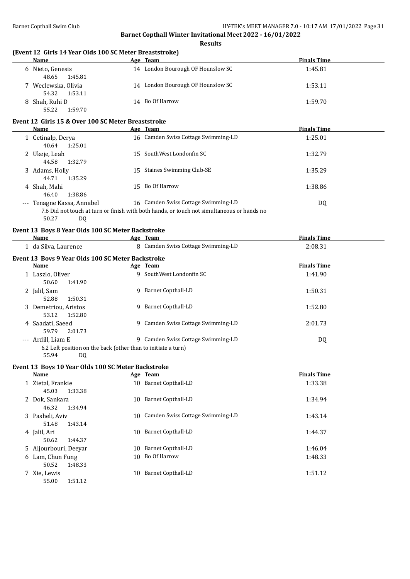| (Event 12 Girls 14 Year Olds 100 SC Meter Breaststroke)<br><b>Name</b>       | Age Team                                                                                   | <b>Finals Time</b> |
|------------------------------------------------------------------------------|--------------------------------------------------------------------------------------------|--------------------|
| 6 Nieto, Genesis<br>48.65<br>1:45.81                                         | 14 London Bourough OF Hounslow SC                                                          | 1:45.81            |
| 7 Weclewska, Olivia<br>54.32<br>1:53.11                                      | 14 London Bourough OF Hounslow SC                                                          | 1:53.11            |
| 8 Shah, Ruhi D<br>55.22<br>1:59.70                                           | 14 Bo Of Harrow                                                                            | 1:59.70            |
| Event 12 Girls 15 & Over 100 SC Meter Breaststroke                           |                                                                                            |                    |
| <b>Name</b>                                                                  | Age Team                                                                                   | <b>Finals Time</b> |
| 1 Cetinalp, Derya<br>40.64<br>1:25.01                                        | 16 Camden Swiss Cottage Swimming-LD                                                        | 1:25.01            |
| 2 Ukeje, Leah<br>44.58<br>1:32.79                                            | 15 SouthWest Londonfin SC                                                                  | 1:32.79            |
| 3 Adams, Holly<br>44.71<br>1:35.29                                           | 15 Staines Swimming Club-SE                                                                | 1:35.29            |
| 4 Shah, Mahi<br>46.40<br>1:38.86                                             | 15 Bo Of Harrow                                                                            | 1:38.86            |
| --- Tenagne Kassa, Annabel                                                   | 16 Camden Swiss Cottage Swimming-LD                                                        | DQ                 |
| 50.27<br>DQ                                                                  | 7.6 Did not touch at turn or finish with both hands, or touch not simultaneous or hands no |                    |
| Event 13 Boys 8 Year Olds 100 SC Meter Backstroke<br>Name                    | Age Team                                                                                   | <b>Finals Time</b> |
| 1 da Silva, Laurence                                                         | 8 Camden Swiss Cottage Swimming-LD                                                         | 2:08.31            |
| Event 13 Boys 9 Year Olds 100 SC Meter Backstroke                            |                                                                                            |                    |
| Name                                                                         | Age Team                                                                                   | <b>Finals Time</b> |
| 1 Laszlo, Oliver<br>50.60<br>1:41.90                                         | 9 SouthWest Londonfin SC                                                                   | 1:41.90            |
| 2 Jalil, Sam<br>52.88<br>1:50.31                                             | 9 Barnet Copthall-LD                                                                       | 1:50.31            |
| 3 Demetriou, Aristos<br>53.12<br>1:52.80                                     | 9 Barnet Copthall-LD                                                                       | 1:52.80            |
| 4 Saadati, Saeed<br>59.79<br>2:01.73                                         | 9 Camden Swiss Cottage Swimming-LD                                                         | 2:01.73            |
| --- Ardill, Liam E                                                           | 9 Camden Swiss Cottage Swimming-LD                                                         | DQ                 |
| 6.2 Left position on the back (other than to initiate a turn)<br>55.94<br>DQ |                                                                                            |                    |
| Event 13 Boys 10 Year Olds 100 SC Meter Backstroke                           |                                                                                            |                    |
| <u>Name</u>                                                                  | Age Team                                                                                   | <b>Finals Time</b> |
| 1 Zietal, Frankie<br>45.03<br>1:33.38                                        | 10 Barnet Copthall-LD                                                                      | 1:33.38            |
| 2 Dok, Sankara<br>46.32<br>1:34.94                                           | 10 Barnet Copthall-LD                                                                      | 1:34.94            |
| 3 Pasheli, Aviv<br>51.48<br>1:43.14                                          | 10 Camden Swiss Cottage Swimming-LD                                                        | 1:43.14            |
| 4 Jalil, Ari<br>50.62<br>1:44.37                                             | 10 Barnet Copthall-LD                                                                      | 1:44.37            |
| 5 Aljourbouri, Deeyar                                                        | 10 Barnet Copthall-LD                                                                      | 1:46.04            |
| 6 Lam, Chun Fung<br>50.52<br>1:48.33                                         | 10 Bo Of Harrow                                                                            | 1:48.33            |
| 7 Xie, Lewis<br>1:51.12<br>55.00                                             | 10 Barnet Copthall-LD                                                                      | 1:51.12            |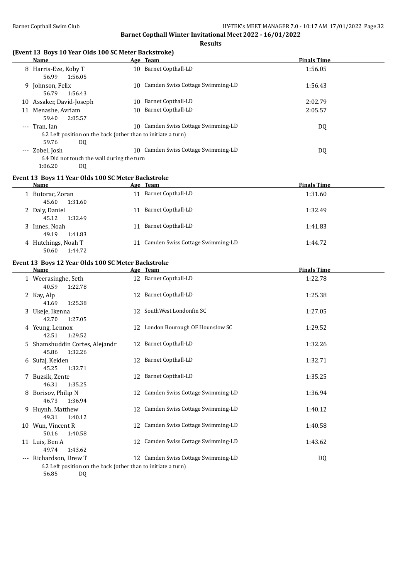**Results**

#### **(Event 13 Boys 10 Year Olds 100 SC Meter Backstroke)**

|    | <b>Name</b>                                                   |     | Age Team                         | <b>Finals Time</b> |
|----|---------------------------------------------------------------|-----|----------------------------------|--------------------|
|    | 8 Harris-Eze, Koby T                                          |     | 10 Barnet Copthall-LD            | 1:56.05            |
|    | 1:56.05<br>56.99                                              |     |                                  |                    |
|    | 9 Johnson, Felix                                              | 10. | Camden Swiss Cottage Swimming-LD | 1:56.43            |
|    | 56.79<br>1:56.43                                              |     |                                  |                    |
| 10 | Assaker, David-Joseph                                         | 10  | Barnet Copthall-LD               | 2:02.79            |
| 11 | Menashe, Avriam                                               | 10. | Barnet Copthall-LD               | 2:05.57            |
|    | 2:05.57<br>59.40                                              |     |                                  |                    |
|    | --- Tran. Ian                                                 | 10. | Camden Swiss Cottage Swimming-LD | DQ                 |
|    | 6.2 Left position on the back (other than to initiate a turn) |     |                                  |                    |
|    | 59.76<br>DQ                                                   |     |                                  |                    |
|    | --- Zobel, Josh                                               | 10. | Camden Swiss Cottage Swimming-LD | DQ                 |
|    | 6.4 Did not touch the wall during the turn                    |     |                                  |                    |
|    | 1:06.20<br>DO.                                                |     |                                  |                    |

#### **Event 13 Boys 11 Year Olds 100 SC Meter Backstroke**

| Name                                    | Age Team                            | <b>Finals Time</b> |
|-----------------------------------------|-------------------------------------|--------------------|
| 1 Butorac, Zoran<br>1:31.60<br>45.60    | <b>Barnet Copthall-LD</b><br>11     | 1:31.60            |
| 2 Daly, Daniel<br>1:32.49<br>45.12      | Barnet Copthall-LD<br>11            | 1:32.49            |
| 3 Innes, Noah<br>1:41.83<br>49.19       | Barnet Copthall-LD<br>11            | 1:41.83            |
| 4 Hutchings, Noah T<br>50.60<br>1:44.72 | 11 Camden Swiss Cottage Swimming-LD | 1:44.72            |

# **Event 13 Boys 12 Year Olds 100 SC Meter Backstroke**

|   | <b>Name</b>                                                                                            |    | Age Team                            | <b>Finals Time</b> |
|---|--------------------------------------------------------------------------------------------------------|----|-------------------------------------|--------------------|
|   | 1 Weerasinghe, Seth<br>40.59<br>1:22.78                                                                |    | 12 Barnet Copthall-LD               | 1:22.78            |
|   | 2 Kay, Alp<br>1:25.38<br>41.69                                                                         |    | 12 Barnet Copthall-LD               | 1:25.38            |
|   | 3 Ukeje, Ikenna<br>42.70<br>1:27.05                                                                    |    | 12 SouthWest Londonfin SC           | 1:27.05            |
|   | 4 Yeung, Lennox<br>42.51<br>1:29.52                                                                    |    | 12 London Bourough OF Hounslow SC   | 1:29.52            |
|   | 5 Shamshuddin Cortes, Alejandr<br>1:32.26<br>45.86                                                     |    | 12 Barnet Copthall-LD               | 1:32.26            |
|   | 6 Sufaj, Keiden<br>45.25<br>1:32.71                                                                    |    | 12 Barnet Copthall-LD               | 1:32.71            |
|   | 7 Buzsik, Zente<br>46.31<br>1:35.25                                                                    |    | 12 Barnet Copthall-LD               | 1:35.25            |
| 8 | Borisov, Philip N<br>46.73<br>1:36.94                                                                  |    | 12 Camden Swiss Cottage Swimming-LD | 1:36.94            |
|   | 9 Huynh, Matthew<br>1:40.12<br>49.31                                                                   |    | 12 Camden Swiss Cottage Swimming-LD | 1:40.12            |
|   | 10 Wun, Vincent R<br>1:40.58<br>50.16                                                                  | 12 | Camden Swiss Cottage Swimming-LD    | 1:40.58            |
|   | 11 Luis, Ben A<br>49.74<br>1:43.62                                                                     | 12 | Camden Swiss Cottage Swimming-LD    | 1:43.62            |
|   | --- Richardson, Drew T<br>6.2 Left position on the back (other than to initiate a turn)<br>56.85<br>DQ |    | 12 Camden Swiss Cottage Swimming-LD | DQ                 |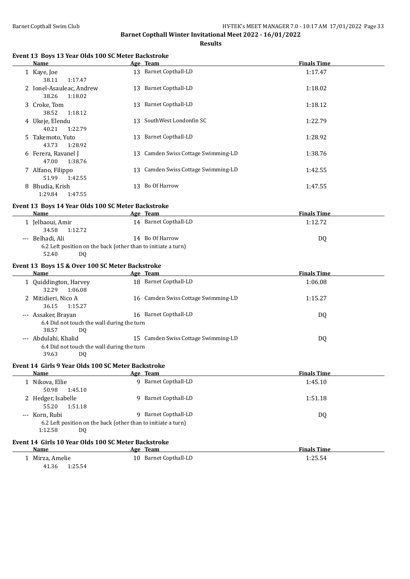**Results**

#### **Event 13 Boys 13 Year Olds 100 SC Meter Backstroke**

| Name                                         |    | Age Team                            | <b>Finals Time</b> |
|----------------------------------------------|----|-------------------------------------|--------------------|
| 1 Kaye, Joe<br>1:17.47<br>38.11              | 13 | <b>Barnet Copthall-LD</b>           | 1:17.47            |
| 2 Ionel-Asauleac, Andrew<br>1:18.02<br>38.26 |    | 13 Barnet Copthall-LD               | 1:18.02            |
| 3 Croke, Tom<br>38.52<br>1:18.12             | 13 | Barnet Copthall-LD                  | 1:18.12            |
| 4 Ukeje, Elendu<br>1:22.79<br>40.21          | 13 | SouthWest Londonfin SC              | 1:22.79            |
| 5 Takemoto, Yuto<br>43.73<br>1:28.92         | 13 | Barnet Copthall-LD                  | 1:28.92            |
| 6 Ferera, Ravanel J<br>47.00<br>1:38.76      | 13 | Camden Swiss Cottage Swimming-LD    | 1:38.76            |
| 7 Alfano, Filippo<br>1:42.55<br>51.99        |    | 13 Camden Swiss Cottage Swimming-LD | 1:42.55            |
| 8 Bhudia, Krish<br>1:29.84<br>1:47.55        | 13 | Bo Of Harrow                        | 1:47.55            |
|                                              |    |                                     |                    |

#### **Event 13 Boys 14 Year Olds 100 SC Meter Backstroke**

| Name             | Age Team                                                      | <b>Finals Time</b> |
|------------------|---------------------------------------------------------------|--------------------|
| Jelbaoui, Amir   | 14 Barnet Copthall-LD                                         | 1:12.72            |
| 1:12.72<br>34.58 |                                                               |                    |
| --- Belhadi, Ali | 14 Bo Of Harrow                                               | D <sub>0</sub>     |
|                  | 6.2 Left position on the back (other than to initiate a turn) |                    |

52.40 DQ

#### **Event 13 Boys 15 & Over 100 SC Meter Backstroke**

|       | Name                                       |     | Age Team                            | <b>Finals Time</b> |  |
|-------|--------------------------------------------|-----|-------------------------------------|--------------------|--|
|       | 1 Quiddington, Harvey<br>32.29<br>1:06.08  |     | 18 Barnet Copthall-LD               | 1:06.08            |  |
|       | 2 Mitidieri, Nico A<br>1:15.27<br>36.15    |     | 16 Camden Swiss Cottage Swimming-LD | 1:15.27            |  |
| $---$ | Assaker, Brayan                            | 16. | Barnet Copthall-LD                  | DQ                 |  |
|       | 6.4 Did not touch the wall during the turn |     |                                     |                    |  |
|       | 38.57<br>DO.                               |     |                                     |                    |  |
|       | --- Abdulahi, Khalid                       | 15  | Camden Swiss Cottage Swimming-LD    | DQ                 |  |
|       | 6.4 Did not touch the wall during the turn |     |                                     |                    |  |
|       | 39.63<br>DO                                |     |                                     |                    |  |

#### **Event 14 Girls 9 Year Olds 100 SC Meter Backstroke**

| Name               |                                                               | Age Team           | <b>Finals Time</b> |
|--------------------|---------------------------------------------------------------|--------------------|--------------------|
| 1 Nikova, Ellie    | Q.                                                            | Barnet Copthall-LD | 1:45.10            |
| 50.98              | 1:45.10                                                       |                    |                    |
| 2 Hedger, Isabelle | 9.                                                            | Barnet Copthall-LD | 1:51.18            |
| 55.20              | 1:51.18                                                       |                    |                    |
| --- Korn, Rubi     | 9.                                                            | Barnet Copthall-LD | DQ                 |
|                    | 6.2 Left position on the back (other than to initiate a turn) |                    |                    |
| 1:12.58            | DQ                                                            |                    |                    |
|                    |                                                               |                    |                    |

#### **Event 14 Girls 10 Year Olds 100 SC Meter Backstroke**

| Name             | Team<br>Age              | <b>Finals Time</b> |
|------------------|--------------------------|--------------------|
| Mirza, Amelie    | Barnet Copthall-LD<br>10 | 1.4J.JT            |
| 25.54:،<br>41.36 |                          |                    |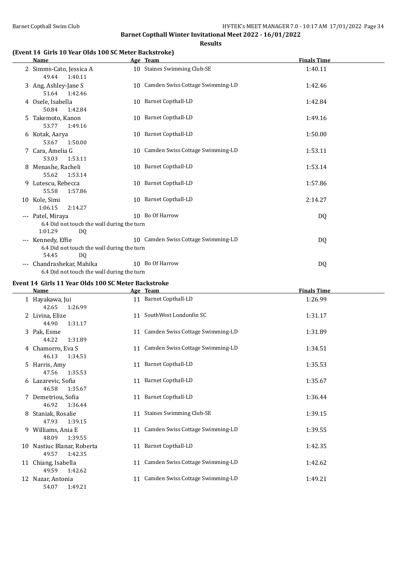**Results**

#### **(Event 14 Girls 10 Year Olds 100 SC Meter Backstroke)**

|                     | <b>Name</b>                                                                       | Age Team                            | <b>Finals Time</b> |
|---------------------|-----------------------------------------------------------------------------------|-------------------------------------|--------------------|
|                     | 2 Simms-Cato, Jessica A<br>49.44<br>1:40.11                                       | 10 Staines Swimming Club-SE         | 1:40.11            |
|                     | 3 Ang, Ashley-Jane S<br>51.64 1:42.46                                             | 10 Camden Swiss Cottage Swimming-LD | 1:42.46            |
|                     | 4 Osele, Isabella<br>50.84<br>1:42.84                                             | 10 Barnet Copthall-LD               | 1:42.84            |
|                     | 5 Takemoto, Kanon<br>53.77<br>1:49.16                                             | 10 Barnet Copthall-LD               | 1:49.16            |
|                     | 6 Kotak, Aarya<br>53.67<br>1:50.00                                                | 10 Barnet Copthall-LD               | 1:50.00            |
|                     | 7 Cara, Amelia G<br>1:53.11<br>53.03                                              | 10 Camden Swiss Cottage Swimming-LD | 1:53.11            |
|                     | 8 Menashe, Racheli<br>55.62<br>1:53.14                                            | 10 Barnet Copthall-LD               | 1:53.14            |
|                     | 9 Lutescu, Rebecca<br>55.58<br>1:57.86                                            | 10 Barnet Copthall-LD               | 1:57.86            |
|                     | 10 Kole, Simi<br>1:06.15<br>2:14.27                                               | 10 Barnet Copthall-LD               | 2:14.27            |
|                     | --- Patel, Miraya<br>6.4 Did not touch the wall during the turn<br>1:01.29<br>DQ. | 10 Bo Of Harrow                     | DQ                 |
|                     | --- Kennedy, Effie<br>6.4 Did not touch the wall during the turn<br>54.45<br>DQ.  | 10 Camden Swiss Cottage Swimming-LD | DQ                 |
| $\qquad \qquad - -$ | Chandrashekar, Mahika<br>6.4 Did not touch the wall during the turn               | 10 Bo Of Harrow                     | DQ                 |

#### **Event 14 Girls 11 Year Olds 100 SC Meter Backstroke**

| <b>Name</b>                                    |    | Age Team                            | <b>Finals Time</b> |
|------------------------------------------------|----|-------------------------------------|--------------------|
| 1 Hayakawa, Jui<br>42.65<br>1:26.99            |    | 11 Barnet Copthall-LD               | 1:26.99            |
| 2 Livina, Elize<br>44.90<br>1:31.17            |    | 11 SouthWest Londonfin SC           | 1:31.17            |
| 3 Pak, Esme<br>44.22<br>1:31.89                |    | 11 Camden Swiss Cottage Swimming-LD | 1:31.89            |
| 4 Chamorro, Eva S<br>46.13<br>1:34.51          | 11 | Camden Swiss Cottage Swimming-LD    | 1:34.51            |
| 5 Harris, Amy<br>47.56<br>1:35.53              |    | 11 Barnet Copthall-LD               | 1:35.53            |
| 6 Lazarevic, Sofia<br>1:35.67<br>46.58         |    | 11 Barnet Copthall-LD               | 1:35.67            |
| 7 Demetriou, Sofia<br>46.92<br>1:36.44         |    | 11 Barnet Copthall-LD               | 1:36.44            |
| 8 Staniak, Rosalie<br>47.93<br>1:39.15         | 11 | <b>Staines Swimming Club-SE</b>     | 1:39.15            |
| 9 Williams, Ania E<br>48.09<br>1:39.55         |    | 11 Camden Swiss Cottage Swimming-LD | 1:39.55            |
| 10 Nastiuc Blanar, Roberta<br>1:42.35<br>49.57 |    | 11 Barnet Copthall-LD               | 1:42.35            |
| 11 Chiang, Isabella<br>49.59<br>1:42.62        |    | 11 Camden Swiss Cottage Swimming-LD | 1:42.62            |
| 12 Nazar, Antonia<br>54.07<br>1:49.21          | 11 | Camden Swiss Cottage Swimming-LD    | 1:49.21            |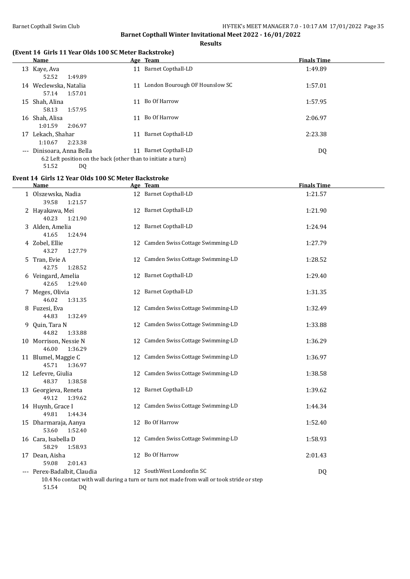**Results**

#### **(Event 14 Girls 11 Year Olds 100 SC Meter Backstroke)**

|       | <b>Name</b>                                                   |    | Age Team                       | <b>Finals Time</b> |
|-------|---------------------------------------------------------------|----|--------------------------------|--------------------|
|       | 13 Kaye, Ava                                                  | 11 | <b>Barnet Copthall-LD</b>      | 1:49.89            |
|       | 52.52<br>1:49.89                                              |    |                                |                    |
| 14    | Weclewska, Natalia                                            | 11 | London Bourough OF Hounslow SC | 1:57.01            |
|       | 1:57.01<br>57.14                                              |    |                                |                    |
|       | 15 Shah, Alina                                                | 11 | Bo Of Harrow                   | 1:57.95            |
|       | 1:57.95<br>58.13                                              |    |                                |                    |
|       | 16 Shah, Alisa                                                | 11 | Bo Of Harrow                   | 2:06.97            |
|       | 2:06.97<br>1:01.59                                            |    |                                |                    |
| 17    | Lekach, Shahar                                                | 11 | Barnet Copthall-LD             | 2:23.38            |
|       | 2:23.38<br>1:10.67                                            |    |                                |                    |
| $---$ | Dinisoara, Anna Bella                                         | 11 | Barnet Copthall-LD             | DQ                 |
|       | 6.2 Left position on the back (other than to initiate a turn) |    |                                |                    |

#### 51.52 DQ **Event 14 Girls 12 Year Olds 100 SC Meter Backstroke**

| <b>Name</b>                                | Age Team                                                                                                               | <b>Finals Time</b> |
|--------------------------------------------|------------------------------------------------------------------------------------------------------------------------|--------------------|
| 1 Olszewska, Nadia<br>39.58<br>1:21.57     | 12 Barnet Copthall-LD                                                                                                  | 1:21.57            |
| 2 Hayakawa, Mei<br>40.23<br>1:21.90        | 12 Barnet Copthall-LD                                                                                                  | 1:21.90            |
| 3 Alden, Amelia<br>41.65<br>1:24.94        | 12 Barnet Copthall-LD                                                                                                  | 1:24.94            |
| 4 Zobel, Ellie<br>43.27<br>1:27.79         | 12 Camden Swiss Cottage Swimming-LD                                                                                    | 1:27.79            |
| 5 Tran, Evie A<br>42.75<br>1:28.52         | 12 Camden Swiss Cottage Swimming-LD                                                                                    | 1:28.52            |
| 6 Veingard, Amelia<br>42.65<br>1:29.40     | 12 Barnet Copthall-LD                                                                                                  | 1:29.40            |
| 7 Meges, Olivia<br>46.02<br>1:31.35        | 12 Barnet Copthall-LD                                                                                                  | 1:31.35            |
| 8 Fuzesi, Eva<br>1:32.49<br>44.83          | 12 Camden Swiss Cottage Swimming-LD                                                                                    | 1:32.49            |
| 9 Quin, Tara N<br>44.82<br>1:33.88         | 12 Camden Swiss Cottage Swimming-LD                                                                                    | 1:33.88            |
| 10 Morrison, Nessie N<br>46.00<br>1:36.29  | 12 Camden Swiss Cottage Swimming-LD                                                                                    | 1:36.29            |
| 11 Blumel, Maggie C<br>45.71<br>1:36.97    | 12 Camden Swiss Cottage Swimming-LD                                                                                    | 1:36.97            |
| 12 Lefevre, Giulia<br>48.37<br>1:38.58     | 12 Camden Swiss Cottage Swimming-LD                                                                                    | 1:38.58            |
| 13 Georgieva, Reneta<br>49.12<br>1:39.62   | 12 Barnet Copthall-LD                                                                                                  | 1:39.62            |
| 14 Huynh, Grace I<br>49.81<br>1:44.34      | 12 Camden Swiss Cottage Swimming-LD                                                                                    | 1:44.34            |
| 15 Dharmaraja, Aanya<br>1:52.40<br>53.60   | 12 Bo Of Harrow                                                                                                        | 1:52.40            |
| 16 Cara, Isabella D<br>58.29<br>1:58.93    | 12 Camden Swiss Cottage Swimming-LD                                                                                    | 1:58.93            |
| 17 Dean, Aisha<br>59.08<br>2:01.43         | 12 Bo Of Harrow                                                                                                        | 2:01.43            |
| --- Perex-Badalbit, Claudia<br>51.54<br>DQ | 12 SouthWest Londonfin SC<br>10.4 No contact with wall during a turn or turn not made from wall or took stride or step | DQ                 |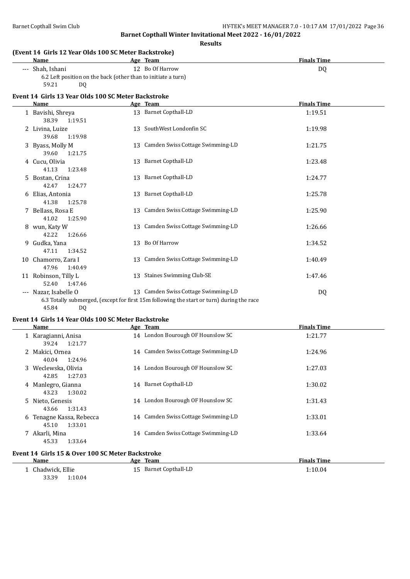**Results**

#### **(Event 14 Girls 12 Year Olds 100 SC Meter Backstroke)**

| Name             | Age Team                                                      | <b>Finals Time</b> |
|------------------|---------------------------------------------------------------|--------------------|
| --- Shah. Ishani | 12 Bo Of Harrow                                               | D <sub>0</sub>     |
|                  | 6.2 Left position on the back (other than to initiate a turn) |                    |
| 59.21<br>D0      |                                                               |                    |

#### **Event 14 Girls 13 Year Olds 100 SC Meter Backstroke**

|                     | Name                                     | Age Team                                                                                                                         | <b>Finals Time</b> |
|---------------------|------------------------------------------|----------------------------------------------------------------------------------------------------------------------------------|--------------------|
|                     | 1 Bavishi, Shreya<br>38.39<br>1:19.51    | 13 Barnet Copthall-LD                                                                                                            | 1:19.51            |
|                     | 2 Livina, Luize<br>39.68<br>1:19.98      | 13 SouthWest Londonfin SC                                                                                                        | 1:19.98            |
|                     | 3 Byass, Molly M<br>39.60<br>1:21.75     | 13 Camden Swiss Cottage Swimming-LD                                                                                              | 1:21.75            |
|                     | 4 Cucu, Olivia<br>41.13<br>1:23.48       | 13 Barnet Copthall-LD                                                                                                            | 1:23.48            |
|                     | 5 Bostan, Crina<br>42.47<br>1:24.77      | 13 Barnet Copthall-LD                                                                                                            | 1:24.77            |
|                     | 6 Elias, Antonia<br>41.38<br>1:25.78     | 13 Barnet Copthall-LD                                                                                                            | 1:25.78            |
|                     | 7 Bellass, Rosa E<br>41.02<br>1:25.90    | 13 Camden Swiss Cottage Swimming-LD                                                                                              | 1:25.90            |
|                     | 8 wun, Katy W<br>42.22<br>1:26.66        | 13 Camden Swiss Cottage Swimming-LD                                                                                              | 1:26.66            |
|                     | 9 Gudka, Yana<br>1:34.52<br>47.11        | 13 Bo Of Harrow                                                                                                                  | 1:34.52            |
|                     | 10 Chamorro, Zara I<br>47.96<br>1:40.49  | 13 Camden Swiss Cottage Swimming-LD                                                                                              | 1:40.49            |
|                     | 11 Robinson, Tilly L<br>52.40<br>1:47.46 | 13 Staines Swimming Club-SE                                                                                                      | 1:47.46            |
| $\qquad \qquad - -$ | Nazar, Isabelle O                        | 13 Camden Swiss Cottage Swimming-LD<br>6.3 Totally submerged, (except for first 15m following the start or turn) during the race | DQ                 |

o.5 rotany submergence.<br>45.84 DQ

#### **Event 14 Girls 14 Year Olds 100 SC Meter Backstroke**

| Name                                 |         | Age Team                            | <b>Finals Time</b> |
|--------------------------------------|---------|-------------------------------------|--------------------|
| 1 Karagianni, Anisa<br>39.24 1:21.77 |         | 14 London Bourough OF Hounslow SC   | 1:21.77            |
| 2 Makici, Ornea<br>40.04             | 1:24.96 | 14 Camden Swiss Cottage Swimming-LD | 1:24.96            |
| 3 Weclewska, Olivia<br>42.85         | 1:27.03 | 14 London Bourough OF Hounslow SC   | 1:27.03            |
| 4 Manlegro, Gianna<br>43.23          | 1:30.02 | 14 Barnet Copthall-LD               | 1:30.02            |
| 5 Nieto, Genesis<br>43.66            | 1:31.43 | 14 London Bourough OF Hounslow SC   | 1:31.43            |
| 6 Tenagne Kassa, Rebecca<br>45.10    | 1:33.01 | 14 Camden Swiss Cottage Swimming-LD | 1:33.01            |
| 7 Akarli, Mina<br>45.33              | 1:33.64 | 14 Camden Swiss Cottage Swimming-LD | 1:33.64            |

#### **Event 14 Girls 15 & Over 100 SC Meter Backstroke**

| Name             | Team<br>Age        | <b>Finals Time</b> |
|------------------|--------------------|--------------------|
| Chadwick, Ellie  | Barnet Copthall-LD | 1:10.04            |
| 33.39<br>1:10.04 |                    |                    |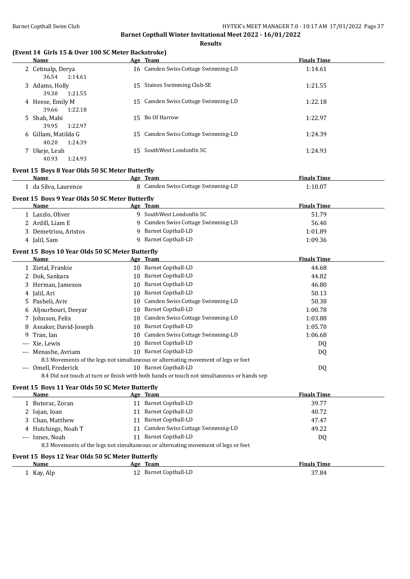**Results**

#### **(Event 14 Girls 15 & Over 100 SC Meter Backstroke)**

|          | Name                                             | Age Team                                                                                   | <b>Finals Time</b> |
|----------|--------------------------------------------------|--------------------------------------------------------------------------------------------|--------------------|
|          | 2 Cetinalp, Derya<br>36.54<br>1:14.61            | 16 Camden Swiss Cottage Swimming-LD                                                        | 1:14.61            |
|          | 3 Adams, Holly<br>39.30<br>1:21.55               | 15 Staines Swimming Club-SE                                                                | 1:21.55            |
|          | 4 Heese, Emily M<br>39.66<br>1:22.18             | 15 Camden Swiss Cottage Swimming-LD                                                        | 1:22.18            |
|          | 5 Shah, Mahi<br>39.95<br>1:22.97                 | 15 Bo Of Harrow                                                                            | 1:22.97            |
|          | 6 Gillam, Matilda G<br>40.20<br>1:24.39          | 15 Camden Swiss Cottage Swimming-LD                                                        | 1:24.39            |
|          | 7 Ukeje, Leah<br>40.93<br>1:24.93                | 15 SouthWest Londonfin SC                                                                  | 1:24.93            |
|          | Event 15 Boys 8 Year Olds 50 SC Meter Butterfly  |                                                                                            |                    |
|          | Name                                             | Age Team                                                                                   | <b>Finals Time</b> |
|          | 1 da Silva, Laurence                             | 8 Camden Swiss Cottage Swimming-LD                                                         | 1:10.07            |
|          | Event 15 Boys 9 Year Olds 50 SC Meter Butterfly  |                                                                                            |                    |
|          | Name                                             | Age Team                                                                                   | <b>Finals Time</b> |
|          | 1 Laszlo, Oliver                                 | 9 SouthWest Londonfin SC                                                                   | 51.79              |
|          | 2 Ardill, Liam E                                 | 9 Camden Swiss Cottage Swimming-LD                                                         | 56.40              |
|          | 3 Demetriou, Aristos                             | 9 Barnet Copthall-LD                                                                       | 1:01.89            |
|          | 4 Jalil, Sam                                     | 9 Barnet Copthall-LD                                                                       | 1:09.36            |
|          | Event 15 Boys 10 Year Olds 50 SC Meter Butterfly |                                                                                            |                    |
|          | Name                                             | Age Team                                                                                   | <b>Finals Time</b> |
|          | 1 Zietal, Frankie                                | 10 Barnet Copthall-LD                                                                      | 44.68              |
|          | 2 Dok, Sankara                                   | 10 Barnet Copthall-LD                                                                      | 44.82              |
|          | 3 Herman, Jameson                                | 10 Barnet Copthall-LD                                                                      | 46.80              |
|          | 4 Jalil, Ari                                     | 10 Barnet Copthall-LD                                                                      | 50.13              |
|          | 5 Pasheli, Aviv                                  | 10 Camden Swiss Cottage Swimming-LD                                                        | 50.38              |
|          | 6 Aljourbouri, Deeyar                            | 10 Barnet Copthall-LD                                                                      | 1:00.78            |
|          | 7 Johnson, Felix                                 | 10 Camden Swiss Cottage Swimming-LD                                                        | 1:03.88            |
|          | 8 Assaker, David-Joseph                          | 10 Barnet Copthall-LD                                                                      | 1:05.70            |
| 9        | Tran, Ian                                        | 10 Camden Swiss Cottage Swimming-LD                                                        | 1:06.68            |
| ---      | Xie, Lewis                                       | 10 Barnet Copthall-LD                                                                      | DQ                 |
| $\cdots$ | Menashe, Avriam                                  | 10 Barnet Copthall-LD                                                                      | DQ                 |
|          |                                                  | 8.3 Movements of the legs not simultaneous or alternating movement of legs or feet         |                    |
|          | --- Omell, Frederick                             | 10 Barnet Copthall-LD                                                                      | DQ                 |
|          |                                                  | 8.4 Did not touch at turn or finish with both hands or touch not simultaneous or hands sep |                    |
|          | Event 15 Boys 11 Year Olds 50 SC Meter Butterfly |                                                                                            |                    |
|          | Name                                             | Age Team                                                                                   | <b>Finals Time</b> |
|          | 1 Butorac, Zoran                                 | 11 Barnet Copthall-LD                                                                      | 39.77              |
|          | 2 Iojan, Ioan                                    | 11 Barnet Copthall-LD                                                                      | 40.72              |
|          | 3 Chan, Matthew                                  | 11 Barnet Copthall-LD                                                                      | 47.47              |
|          | 4 Hutchings, Noah T                              | 11 Camden Swiss Cottage Swimming-LD                                                        | 49.22              |
|          | --- Innes, Noah                                  | 11 Barnet Copthall-LD                                                                      | DQ                 |
|          |                                                  | 8.3 Movements of the legs not simultaneous or alternating movement of legs or feet         |                    |
|          | Event 15 Boys 12 Year Olds 50 SC Meter Butterfly |                                                                                            |                    |
|          | Name                                             | Age Team                                                                                   | <b>Finals Time</b> |
|          | 1 Kay, Alp                                       | 12 Barnet Copthall-LD                                                                      | 37.84              |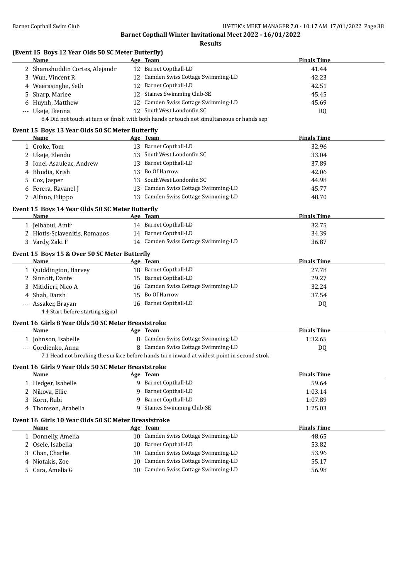**Results**

|  | (Event 15 Boys 12 Year Olds 50 SC Meter Butterfly) |  |
|--|----------------------------------------------------|--|
|  |                                                    |  |

|    | Name                                                 |    | Age Team                                                                                   | <b>Finals Time</b> |
|----|------------------------------------------------------|----|--------------------------------------------------------------------------------------------|--------------------|
|    | 2 Shamshuddin Cortes, Alejandr                       |    | 12 Barnet Copthall-LD                                                                      | 41.44              |
|    | 3 Wun, Vincent R                                     |    | 12 Camden Swiss Cottage Swimming-LD                                                        | 42.23              |
|    | 4 Weerasinghe, Seth                                  |    | 12 Barnet Copthall-LD                                                                      | 42.51              |
| 5. | Sharp, Marlee                                        |    | 12 Staines Swimming Club-SE                                                                | 45.45              |
|    | Huynh, Matthew                                       |    | 12 Camden Swiss Cottage Swimming-LD                                                        | 45.69              |
|    | --- Ukeje, Ikenna                                    |    | 12 SouthWest Londonfin SC                                                                  | DQ                 |
|    |                                                      |    | 8.4 Did not touch at turn or finish with both hands or touch not simultaneous or hands sep |                    |
|    | Event 15 Boys 13 Year Olds 50 SC Meter Butterfly     |    |                                                                                            |                    |
|    | Name                                                 |    | Age Team                                                                                   | <b>Finals Time</b> |
|    | 1 Croke, Tom                                         |    | 13 Barnet Copthall-LD                                                                      | 32.96              |
|    | 2 Ukeje, Elendu                                      |    | 13 SouthWest Londonfin SC                                                                  | 33.04              |
|    | 3 Ionel-Asauleac, Andrew                             |    | 13 Barnet Copthall-LD                                                                      | 37.89              |
|    | 4 Bhudia, Krish                                      |    | 13 Bo Of Harrow                                                                            | 42.06              |
|    | 5 Cox, Jasper                                        |    | 13 SouthWest Londonfin SC                                                                  | 44.98              |
|    | 6 Ferera, Ravanel J                                  |    | 13 Camden Swiss Cottage Swimming-LD                                                        | 45.77              |
|    | 7 Alfano, Filippo                                    |    | 13 Camden Swiss Cottage Swimming-LD                                                        | 48.70              |
|    |                                                      |    |                                                                                            |                    |
|    | Event 15 Boys 14 Year Olds 50 SC Meter Butterfly     |    |                                                                                            |                    |
|    | <b>Name</b>                                          |    | Age Team                                                                                   | <b>Finals Time</b> |
|    | 1 Jelbaoui, Amir                                     |    | 14 Barnet Copthall-LD<br>14 Barnet Copthall-LD                                             | 32.75              |
|    | 2 Hiotis-Sclavenitis, Romanos                        |    |                                                                                            | 34.39              |
|    | 3 Vardy, Zaki F                                      |    | 14 Camden Swiss Cottage Swimming-LD                                                        | 36.87              |
|    | Event 15 Boys 15 & Over 50 SC Meter Butterfly        |    |                                                                                            |                    |
|    | Name                                                 |    | Age Team                                                                                   | <b>Finals Time</b> |
|    | 1 Quiddington, Harvey                                |    | 18 Barnet Copthall-LD                                                                      | 27.78              |
|    | 2 Sinnott, Dante                                     |    | 15 Barnet Copthall-LD                                                                      | 29.27              |
|    | 3 Mitidieri, Nico A                                  |    | 16 Camden Swiss Cottage Swimming-LD                                                        | 32.24              |
|    | 4 Shah, Darsh                                        |    | 15 Bo Of Harrow                                                                            | 37.54              |
|    | --- Assaker, Brayan                                  |    | 16 Barnet Copthall-LD                                                                      | DQ                 |
|    | 4.4 Start before starting signal                     |    |                                                                                            |                    |
|    | Event 16 Girls 8 Year Olds 50 SC Meter Breaststroke  |    |                                                                                            |                    |
|    | Name                                                 |    | Age Team                                                                                   | <b>Finals Time</b> |
|    | 1 Johnson, Isabelle                                  |    | 8 Camden Swiss Cottage Swimming-LD                                                         | 1:32.65            |
|    | --- Gordienko, Anna                                  |    | 8 Camden Swiss Cottage Swimming-LD                                                         | DQ                 |
|    |                                                      |    | 7.1 Head not breaking the surface before hands turn inward at widest point in second strok |                    |
|    | Event 16 Girls 9 Year Olds 50 SC Meter Breaststroke  |    |                                                                                            |                    |
|    | <u>Name</u>                                          |    | Age Team                                                                                   | <b>Finals Time</b> |
|    | 1 Hedger, Isabelle                                   |    | 9 Barnet Copthall-LD                                                                       | 59.64              |
|    | 2 Nikova, Ellie                                      | 9  | <b>Barnet Copthall-LD</b>                                                                  | 1:03.14            |
| 3  | Korn, Rubi                                           | 9  | <b>Barnet Copthall-LD</b>                                                                  | 1:07.89            |
|    | 4 Thomson, Arabella                                  | 9  | <b>Staines Swimming Club-SE</b>                                                            | 1:25.03            |
|    | Event 16 Girls 10 Year Olds 50 SC Meter Breaststroke |    |                                                                                            |                    |
|    | <b>Name</b>                                          |    | Age Team                                                                                   | <b>Finals Time</b> |
|    | 1 Donnelly, Amelia                                   |    | 10 Camden Swiss Cottage Swimming-LD                                                        | 48.65              |
|    | 2 Osele, Isabella                                    | 10 | <b>Barnet Copthall-LD</b>                                                                  | 53.82              |
| 3  | Chan, Charlie                                        | 10 | Camden Swiss Cottage Swimming-LD                                                           | 53.96              |
| 4  | Niotakis, Zoe                                        | 10 | Camden Swiss Cottage Swimming-LD                                                           | 55.17              |
| 5. | Cara, Amelia G                                       |    | 10 Camden Swiss Cottage Swimming-LD                                                        | 56.98              |
|    |                                                      |    |                                                                                            |                    |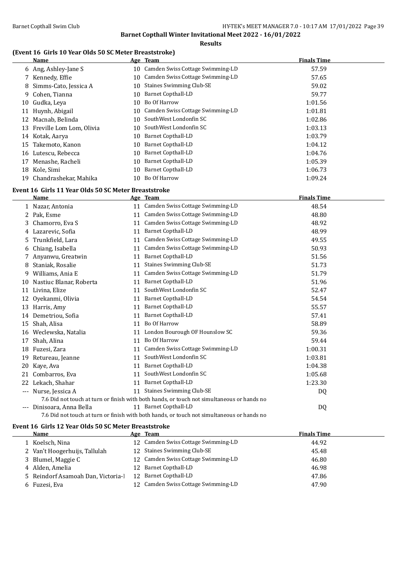#### **Results**

### **(Event 16 Girls 10 Year Olds 50 SC Meter Breaststroke)**

|    | <b>Name</b>              |    | Age Team                         | <b>Finals Time</b> |
|----|--------------------------|----|----------------------------------|--------------------|
|    | 6 Ang, Ashley-Jane S     | 10 | Camden Swiss Cottage Swimming-LD | 57.59              |
|    | 7 Kennedy, Effie         | 10 | Camden Swiss Cottage Swimming-LD | 57.65              |
|    | 8 Simms-Cato, Jessica A  | 10 | <b>Staines Swimming Club-SE</b>  | 59.02              |
|    | 9 Cohen, Tianna          | 10 | <b>Barnet Copthall-LD</b>        | 59.77              |
| 10 | Gudka, Leva              | 10 | Bo Of Harrow                     | 1:01.56            |
| 11 | Huynh, Abigail           | 10 | Camden Swiss Cottage Swimming-LD | 1:01.81            |
| 12 | Macnab, Belinda          | 10 | SouthWest Londonfin SC           | 1:02.86            |
| 13 | Freville Lom Lom, Olivia | 10 | SouthWest Londonfin SC           | 1:03.13            |
|    | 14 Kotak, Aarya          | 10 | Barnet Copthall-LD               | 1:03.79            |
| 15 | Takemoto, Kanon          | 10 | Barnet Copthall-LD               | 1:04.12            |
| 16 | Lutescu, Rebecca         | 10 | Barnet Copthall-LD               | 1:04.76            |
| 17 | Menashe, Racheli         | 10 | <b>Barnet Copthall-LD</b>        | 1:05.39            |
| 18 | Kole, Simi               | 10 | Barnet Copthall-LD               | 1:06.73            |
| 19 | Chandrashekar, Mahika    | 10 | Bo Of Harrow                     | 1:09.24            |
|    |                          |    |                                  |                    |

#### **Event 16 Girls 11 Year Olds 50 SC Meter Breaststroke**

|     | Name                    |    | Age Team                                                                                   | <b>Finals Time</b> |  |
|-----|-------------------------|----|--------------------------------------------------------------------------------------------|--------------------|--|
|     | Nazar, Antonia          | 11 | Camden Swiss Cottage Swimming-LD                                                           | 48.54              |  |
| 2   | Pak, Esme               | 11 | Camden Swiss Cottage Swimming-LD                                                           | 48.80              |  |
| 3   | Chamorro, Eva S         | 11 | Camden Swiss Cottage Swimming-LD                                                           | 48.92              |  |
| 4   | Lazarevic, Sofia        | 11 | <b>Barnet Copthall-LD</b>                                                                  | 48.99              |  |
| 5   | Trunkfield, Lara        | 11 | Camden Swiss Cottage Swimming-LD                                                           | 49.55              |  |
| 6   | Chiang, Isabella        | 11 | Camden Swiss Cottage Swimming-LD                                                           | 50.93              |  |
|     | Anyanwu, Greatwin       | 11 | Barnet Copthall-LD                                                                         | 51.56              |  |
| 8   | Staniak, Rosalie        | 11 | <b>Staines Swimming Club-SE</b>                                                            | 51.73              |  |
| 9   | Williams, Ania E        | 11 | Camden Swiss Cottage Swimming-LD                                                           | 51.79              |  |
| 10  | Nastiuc Blanar, Roberta | 11 | Barnet Copthall-LD                                                                         | 51.96              |  |
| 11  | Livina, Elize           | 11 | SouthWest Londonfin SC                                                                     | 52.47              |  |
| 12  | Oyekanmi, Olivia        | 11 | <b>Barnet Copthall-LD</b>                                                                  | 54.54              |  |
| 13  | Harris, Amy             | 11 | Barnet Copthall-LD                                                                         | 55.57              |  |
| 14  | Demetriou, Sofia        | 11 | <b>Barnet Copthall-LD</b>                                                                  | 57.41              |  |
| 15  | Shah, Alisa             | 11 | Bo Of Harrow                                                                               | 58.89              |  |
| 16  | Weclewska, Natalia      | 11 | London Bourough OF Hounslow SC                                                             | 59.36              |  |
| 17  | Shah, Alina             | 11 | Bo Of Harrow                                                                               | 59.44              |  |
| 18  | Fuzesi, Zara            | 11 | Camden Swiss Cottage Swimming-LD                                                           | 1:00.31            |  |
| 19  | Retureau, Jeanne        | 11 | SouthWest Londonfin SC                                                                     | 1:03.81            |  |
| 20  | Kaye, Ava               | 11 | Barnet Copthall-LD                                                                         | 1:04.38            |  |
| 21  | Combarros, Eva          | 11 | SouthWest Londonfin SC                                                                     | 1:05.68            |  |
| 22  | Lekach, Shahar          | 11 | <b>Barnet Copthall-LD</b>                                                                  | 1:23.30            |  |
| --- | Nurse, Jessica A        | 11 | <b>Staines Swimming Club-SE</b>                                                            | DQ                 |  |
|     |                         |    | 7.6 Did not touch at turn or finish with both hands, or touch not simultaneous or hands no |                    |  |
| --- | Dinisoara, Anna Bella   |    | 11 Barnet Copthall-LD                                                                      | DQ                 |  |
|     |                         |    |                                                                                            |                    |  |

#### 7.6 Did not touch at turn or finish with both hands, or touch not simultaneous or hands no

#### **Event 16 Girls 12 Year Olds 50 SC Meter Breaststroke**

| Name                               | Age Team                            | <b>Finals Time</b> |
|------------------------------------|-------------------------------------|--------------------|
| 1 Koelsch, Nina                    | 12 Camden Swiss Cottage Swimming-LD | 44.92              |
| 2 Van't Hoogerhuijs, Tallulah      | 12 Staines Swimming Club-SE         | 45.48              |
| 3 Blumel, Maggie C                 | 12 Camden Swiss Cottage Swimming-LD | 46.80              |
| 4 Alden, Amelia                    | 12 Barnet Copthall-LD               | 46.98              |
| 5 Reindorf Asamoah Dan, Victoria-l | 12 Barnet Copthall-LD               | 47.86              |
| 6 Fuzesi, Eva                      | 12 Camden Swiss Cottage Swimming-LD | 47.90              |
|                                    |                                     |                    |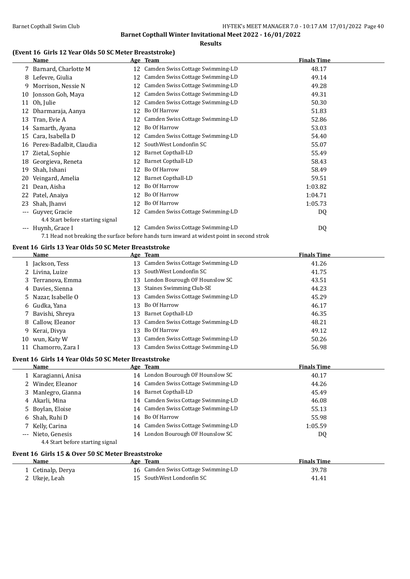#### **(Event 16 Girls 12 Year Olds 50 SC Meter Breaststroke)**

|       | Name                             |    | Age Team                                                                                   | <b>Finals Time</b> |
|-------|----------------------------------|----|--------------------------------------------------------------------------------------------|--------------------|
|       | 7 Barnard, Charlotte M           |    | 12 Camden Swiss Cottage Swimming-LD                                                        | 48.17              |
| 8     | Lefevre, Giulia                  | 12 | Camden Swiss Cottage Swimming-LD                                                           | 49.14              |
| 9     | Morrison, Nessie N               | 12 | Camden Swiss Cottage Swimming-LD                                                           | 49.28              |
| 10    | Jonsson Goh, Maya                | 12 | Camden Swiss Cottage Swimming-LD                                                           | 49.31              |
| 11    | Oh, Julie                        | 12 | Camden Swiss Cottage Swimming-LD                                                           | 50.30              |
| 12    | Dharmaraja, Aanya                | 12 | Bo Of Harrow                                                                               | 51.83              |
| 13    | Tran, Evie A                     | 12 | Camden Swiss Cottage Swimming-LD                                                           | 52.86              |
| 14    | Samarth, Ayana                   | 12 | Bo Of Harrow                                                                               | 53.03              |
| 15    | Cara, Isabella D                 | 12 | Camden Swiss Cottage Swimming-LD                                                           | 54.40              |
| 16    | Perex-Badalbit, Claudia          | 12 | SouthWest Londonfin SC                                                                     | 55.07              |
| 17    | Zietal, Sophie                   | 12 | <b>Barnet Copthall-LD</b>                                                                  | 55.49              |
| 18    | Georgieva, Reneta                | 12 | <b>Barnet Copthall-LD</b>                                                                  | 58.43              |
| 19    | Shah, Ishani                     | 12 | Bo Of Harrow                                                                               | 58.49              |
| 20    | Veingard, Amelia                 | 12 | Barnet Copthall-LD                                                                         | 59.51              |
| 21    | Dean, Aisha                      | 12 | Bo Of Harrow                                                                               | 1:03.82            |
| 22    | Patel, Anaiya                    | 12 | Bo Of Harrow                                                                               | 1:04.71            |
| 23    | Shah, Jhanvi                     | 12 | Bo Of Harrow                                                                               | 1:05.73            |
|       | Guyver, Gracie                   | 12 | Camden Swiss Cottage Swimming-LD                                                           | DQ                 |
|       | 4.4 Start before starting signal |    |                                                                                            |                    |
| $---$ | Huynh, Grace I                   | 12 | Camden Swiss Cottage Swimming-LD                                                           | DQ                 |
|       |                                  |    | 7.1 Head not breaking the surface before hands turn inward at widest point in second strok |                    |

#### **Event 16 Girls 13 Year Olds 50 SC Meter Breaststroke**

|    | Name                |     | Age Team                            | <b>Finals Time</b> |
|----|---------------------|-----|-------------------------------------|--------------------|
|    | 1 Jackson, Tess     |     | 13 Camden Swiss Cottage Swimming-LD | 41.26              |
|    | 2 Livina, Luize     |     | 13 SouthWest Londonfin SC           | 41.75              |
|    | 3 Terranova, Emma   |     | 13 London Bourough OF Hounslow SC   | 43.51              |
|    | 4 Davies, Sienna    | 13. | Staines Swimming Club-SE            | 44.23              |
|    | 5 Nazar, Isabelle O |     | 13 Camden Swiss Cottage Swimming-LD | 45.29              |
|    | 6 Gudka, Yana       |     | 13 Bo Of Harrow                     | 46.17              |
|    | 7 Bavishi, Shreya   |     | 13 Barnet Copthall-LD               | 46.35              |
|    | 8 Callow, Eleanor   |     | 13 Camden Swiss Cottage Swimming-LD | 48.21              |
|    | 9 Kerai, Divya      |     | 13 Bo Of Harrow                     | 49.12              |
| 10 | wun, Katy W         |     | 13 Camden Swiss Cottage Swimming-LD | 50.26              |
|    | Chamorro, Zara I    |     | 13 Camden Swiss Cottage Swimming-LD | 56.98              |

#### **Event 16 Girls 14 Year Olds 50 SC Meter Breaststroke**

| <b>Name</b>         | Age Team                            | <b>Finals Time</b> |  |
|---------------------|-------------------------------------|--------------------|--|
| 1 Karagianni, Anisa | 14 London Bourough OF Hounslow SC   | 40.17              |  |
| 2 Winder, Eleanor   | 14 Camden Swiss Cottage Swimming-LD | 44.26              |  |
| 3 Manlegro, Gianna  | 14 Barnet Copthall-LD               | 45.49              |  |
| 4 Akarli, Mina      | 14 Camden Swiss Cottage Swimming-LD | 46.08              |  |
| 5 Boylan, Eloise    | 14 Camden Swiss Cottage Swimming-LD | 55.13              |  |
| 6 Shah, Ruhi D      | 14 Bo Of Harrow                     | 55.98              |  |
| 7 Kelly, Carina     | 14 Camden Swiss Cottage Swimming-LD | 1:05.59            |  |
| --- Nieto, Genesis  | 14 London Bourough OF Hounslow SC   | DQ                 |  |
| $\cdots$            |                                     |                    |  |

### 4.4 Start before starting signal

|  |  |  |  | Event 16  Girls 15 & Over 50 SC Meter Breaststroke |
|--|--|--|--|----------------------------------------------------|
|--|--|--|--|----------------------------------------------------|

| Name              | Age Team                            | <b>Finals Time</b> |  |
|-------------------|-------------------------------------|--------------------|--|
| 1 Cetinalp, Derya | 16 Camden Swiss Cottage Swimming-LD | 39.78              |  |
| 2 Ukeje, Leah     | 15 SouthWest Londonfin SC           | 41.41              |  |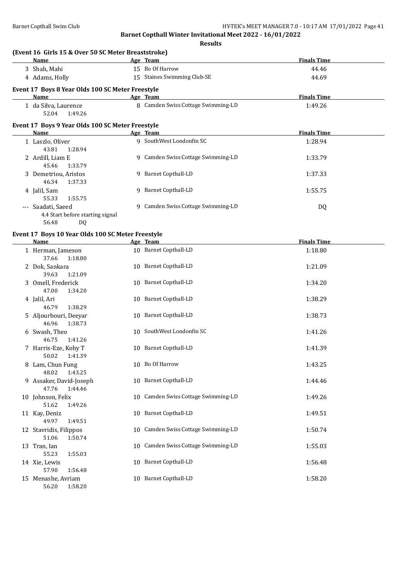|                                                                                                                                                                                                                                                                                     | <b>Results</b>                      |                    |
|-------------------------------------------------------------------------------------------------------------------------------------------------------------------------------------------------------------------------------------------------------------------------------------|-------------------------------------|--------------------|
| (Event 16 Girls 15 & Over 50 SC Meter Breaststroke)                                                                                                                                                                                                                                 |                                     | <b>Finals Time</b> |
| Name<br>3 Shah, Mahi                                                                                                                                                                                                                                                                | Age Team<br>15 Bo Of Harrow         | 44.46              |
| 4 Adams, Holly                                                                                                                                                                                                                                                                      | 15 Staines Swimming Club-SE         | 44.69              |
|                                                                                                                                                                                                                                                                                     |                                     |                    |
| Event 17 Boys 8 Year Olds 100 SC Meter Freestyle<br><b>Name</b>                                                                                                                                                                                                                     | Age Team                            | <b>Finals Time</b> |
| 1 da Silva, Laurence                                                                                                                                                                                                                                                                | 8 Camden Swiss Cottage Swimming-LD  | 1:49.26            |
| 52.04<br>1:49.26                                                                                                                                                                                                                                                                    |                                     |                    |
| Event 17 Boys 9 Year Olds 100 SC Meter Freestyle                                                                                                                                                                                                                                    |                                     |                    |
| Name                                                                                                                                                                                                                                                                                | Age Team                            | <b>Finals Time</b> |
| 1 Laszlo, Oliver<br>43.81<br>1:28.94                                                                                                                                                                                                                                                | 9 SouthWest Londonfin SC            | 1:28.94            |
| 2 Ardill, Liam E<br>45.46<br>1:33.79                                                                                                                                                                                                                                                | 9 Camden Swiss Cottage Swimming-LD  | 1:33.79            |
| 3 Demetriou, Aristos<br>46.34<br>1:37.33                                                                                                                                                                                                                                            | 9 Barnet Copthall-LD                | 1:37.33            |
| 4 Jalil, Sam<br>55.33<br>1:55.75                                                                                                                                                                                                                                                    | 9 Barnet Copthall-LD                | 1:55.75            |
| --- Saadati, Saeed<br>4.4 Start before starting signal<br>56.48<br>DQ                                                                                                                                                                                                               | 9 Camden Swiss Cottage Swimming-LD  | DQ                 |
| Event 17 Boys 10 Year Olds 100 SC Meter Freestyle<br>Name and the state of the state of the state of the state of the state of the state of the state of the state of the state of the state of the state of the state of the state of the state of the state of the state of the s | Age Team                            | <b>Finals Time</b> |
| 1 Herman, Jameson                                                                                                                                                                                                                                                                   | 10 Barnet Copthall-LD               | 1:18.80            |
| 37.66<br>1:18.80                                                                                                                                                                                                                                                                    |                                     |                    |
| 2 Dok, Sankara<br>39.63<br>1:21.09                                                                                                                                                                                                                                                  | 10 Barnet Copthall-LD               | 1:21.09            |
| 3 Omell, Frederick                                                                                                                                                                                                                                                                  | 10 Barnet Copthall-LD               | 1:34.20            |
| 1:34.20<br>47.00                                                                                                                                                                                                                                                                    |                                     |                    |
| 4 Jalil, Ari                                                                                                                                                                                                                                                                        | 10 Barnet Copthall-LD               | 1:38.29            |
| 46.79<br>1:38.29                                                                                                                                                                                                                                                                    |                                     |                    |
| 5 Aljourbouri, Deeyar<br>46.96<br>1:38.73                                                                                                                                                                                                                                           | 10 Barnet Copthall-LD               | 1:38.73            |
| 6 Swash, Theo                                                                                                                                                                                                                                                                       | 10 SouthWest Londonfin SC           | 1:41.26            |
| 46.75<br>1:41.26                                                                                                                                                                                                                                                                    |                                     |                    |
| 7 Harris-Eze, Koby T<br>50.02<br>1:41.39                                                                                                                                                                                                                                            | 10 Barnet Copthall-LD               | 1:41.39            |
| 8 Lam, Chun Fung<br>48.02<br>1:43.25                                                                                                                                                                                                                                                | 10 Bo Of Harrow                     | 1:43.25            |
| 9 Assaker, David-Joseph<br>47.76<br>1:44.46                                                                                                                                                                                                                                         | 10 Barnet Copthall-LD               | 1:44.46            |
| 10 Johnson, Felix<br>51.62<br>1:49.26                                                                                                                                                                                                                                               | 10 Camden Swiss Cottage Swimming-LD | 1:49.26            |
| 11 Kay, Deniz                                                                                                                                                                                                                                                                       | 10 Barnet Copthall-LD               | 1:49.51            |
| 49.97<br>1:49.51                                                                                                                                                                                                                                                                    |                                     |                    |
| 12 Stavridis, Filippos<br>51.06<br>1:50.74                                                                                                                                                                                                                                          | 10 Camden Swiss Cottage Swimming-LD | 1:50.74            |
| 13 Tran, Ian                                                                                                                                                                                                                                                                        | 10 Camden Swiss Cottage Swimming-LD | 1:55.03            |
| 55.23<br>1:55.03<br>14 Xie, Lewis                                                                                                                                                                                                                                                   | 10 Barnet Copthall-LD               | 1:56.48            |
| 57.90<br>1:56.48                                                                                                                                                                                                                                                                    |                                     |                    |
| 15 Menashe, Avriam<br>56.20<br>1:58.20                                                                                                                                                                                                                                              | 10 Barnet Copthall-LD               | 1:58.20            |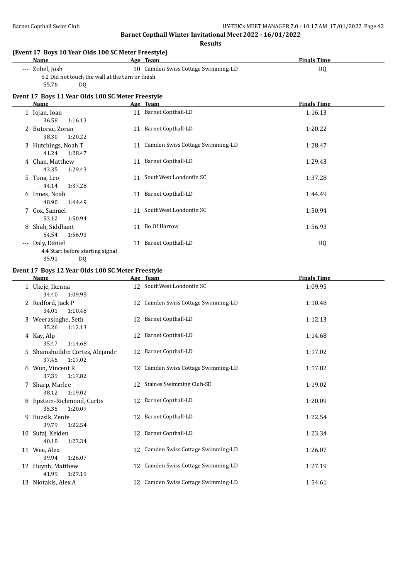#### Barnet Copthall Swim Club **HY-TEK's MEET MANAGER 7.0 - 10:17 AM 17/01/2022** Page 42

**Barnet Copthall Winter Invitational Meet 2022 - 16/01/2022**

**Results**

#### **(Event 17 Boys 10 Year Olds 100 SC Meter Freestyle)**

| Name            | Age Team                                         | <b>Finals Time</b> |
|-----------------|--------------------------------------------------|--------------------|
| --- Zobel, Josh | 10 Camden Swiss Cottage Swimming-LD              | DO                 |
|                 | 5.2 Did not touch the wall at the turn or finish |                    |
| 55.76<br>D0     |                                                  |                    |

#### **Event 17 Boys 11 Year Olds 100 SC Meter Freestyle**

| Name                             |    | Age Team                            | <b>Finals Time</b> |
|----------------------------------|----|-------------------------------------|--------------------|
| 1 Iojan, Ioan                    | 11 | <b>Barnet Copthall-LD</b>           | 1:16.13            |
| 36.58<br>1:16.13                 |    |                                     |                    |
| 2 Butorac, Zoran                 |    | 11 Barnet Copthall-LD               | 1:20.22            |
| 38.30<br>1:20.22                 |    |                                     |                    |
| 3 Hutchings, Noah T              |    | 11 Camden Swiss Cottage Swimming-LD | 1:28.47            |
| 41.24<br>1:28.47                 |    |                                     |                    |
| 4 Chan, Matthew                  | 11 | Barnet Copthall-LD                  | 1:29.43            |
| 43.35<br>1:29.43                 |    |                                     |                    |
| 5 Tona, Leo                      | 11 | SouthWest Londonfin SC              | 1:37.28            |
| 44.14<br>1:37.28                 |    |                                     |                    |
| 6 Innes, Noah                    | 11 | <b>Barnet Copthall-LD</b>           | 1:44.49            |
| 48.90<br>1:44.49                 |    |                                     |                    |
| 7 Cox, Samuel                    | 11 | SouthWest Londonfin SC              | 1:50.94            |
| 1:50.94<br>53.12                 |    |                                     |                    |
| Shah, Siddhant<br>8              | 11 | Bo Of Harrow                        | 1:56.93            |
| 54.54<br>1:56.93                 |    |                                     |                    |
| Daly, Daniel<br>$---$            | 11 | <b>Barnet Copthall-LD</b>           | DQ                 |
|                                  |    |                                     |                    |
| 4.4 Start before starting signal |    |                                     |                    |
| 35.91<br>DQ                      |    |                                     |                    |

#### **Event 17 Boys 12 Year Olds 100 SC Meter Freestyle**

|    | <b>Name</b>                                      |    | Age Team                            | <b>Finals Time</b> |
|----|--------------------------------------------------|----|-------------------------------------|--------------------|
|    | 1 Ukeje, Ikenna<br>34.40<br>1:09.95              |    | 12 SouthWest Londonfin SC           | 1:09.95            |
|    | 2 Redford, Jack P<br>34.01<br>1:10.48            |    | 12 Camden Swiss Cottage Swimming-LD | 1:10.48            |
|    | 3 Weerasinghe, Seth<br>35.26<br>1:12.13          |    | 12 Barnet Copthall-LD               | 1:12.13            |
|    | 4 Kay, Alp<br>35.47<br>1:14.68                   |    | 12 Barnet Copthall-LD               | 1:14.68            |
| 5. | Shamshuddin Cortes, Alejandr<br>37.45<br>1:17.02 |    | 12 Barnet Copthall-LD               | 1:17.02            |
|    | 6 Wun, Vincent R<br>37.39<br>1:17.82             |    | 12 Camden Swiss Cottage Swimming-LD | 1:17.82            |
|    | 7 Sharp, Marlee<br>38.12<br>1:19.02              |    | 12 Staines Swimming Club-SE         | 1:19.02            |
|    | Epstein-Richmond, Curtis<br>35.35<br>1:20.09     |    | 12 Barnet Copthall-LD               | 1:20.09            |
| 9  | Buzsik, Zente<br>39.79<br>1:22.54                |    | 12 Barnet Copthall-LD               | 1:22.54            |
| 10 | Sufaj, Keiden<br>40.18<br>1:23.34                |    | 12 Barnet Copthall-LD               | 1:23.34            |
|    | 11 Wee, Alex<br>39.94<br>1:26.07                 |    | 12 Camden Swiss Cottage Swimming-LD | 1:26.07            |
|    | 12 Huynh, Matthew<br>41.99<br>1:27.19            | 12 | Camden Swiss Cottage Swimming-LD    | 1:27.19            |
|    | 13 Niotakis, Alex A                              |    | 12 Camden Swiss Cottage Swimming-LD | 1:54.61            |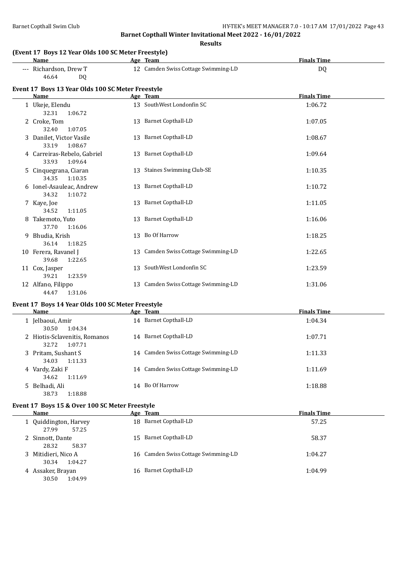**Results**

|   |                                                             | ncourc                              |                    |
|---|-------------------------------------------------------------|-------------------------------------|--------------------|
|   | (Event 17 Boys 12 Year Olds 100 SC Meter Freestyle)<br>Name | Age Team                            | <b>Finals Time</b> |
|   | --- Richardson, Drew T<br>46.64<br>DQ.                      | 12 Camden Swiss Cottage Swimming-LD | DQ                 |
|   | Event 17 Boys 13 Year Olds 100 SC Meter Freestyle<br>Name   | Age Team                            | <b>Finals Time</b> |
|   | 1 Ukeje, Elendu<br>32.31<br>1:06.72                         | 13 SouthWest Londonfin SC           | 1:06.72            |
|   | 2 Croke, Tom<br>32.40<br>1:07.05                            | 13 Barnet Copthall-LD               | 1:07.05            |
|   | 3 Danilet, Victor Vasile<br>33.19<br>1:08.67                | 13 Barnet Copthall-LD               | 1:08.67            |
|   | 4 Carreiras-Rebelo, Gabriel<br>33.93<br>1:09.64             | 13 Barnet Copthall-LD               | 1:09.64            |
|   | 5 Cinquegrana, Ciaran<br>34.35<br>1:10.35                   | 13 Staines Swimming Club-SE         | 1:10.35            |
|   | 6 Ionel-Asauleac, Andrew<br>34.32<br>1:10.72                | 13 Barnet Copthall-LD               | 1:10.72            |
|   | 7 Kaye, Joe<br>34.52<br>1:11.05                             | 13 Barnet Copthall-LD               | 1:11.05            |
| 8 | Takemoto, Yuto<br>37.70<br>1:16.06                          | 13 Barnet Copthall-LD               | 1:16.06            |
|   | 9 Bhudia, Krish<br>36.14<br>1:18.25                         | 13 Bo Of Harrow                     | 1:18.25            |
|   | 10 Ferera, Ravanel J<br>39.68<br>1:22.65                    | 13 Camden Swiss Cottage Swimming-LD | 1:22.65            |
|   | 11 Cox, Jasper<br>39.21<br>1:23.59                          | 13 SouthWest Londonfin SC           | 1:23.59            |
|   | 12 Alfano, Filippo                                          | 13 Camden Swiss Cottage Swimming-LD | 1:31.06            |

#### **Event 17 Boys 14 Year Olds 100 SC Meter Freestyle**

44.47 1:31.06

| Name                         |                                          | Age Team                            | <b>Finals Time</b> |
|------------------------------|------------------------------------------|-------------------------------------|--------------------|
| 1 Jelbaoui, Amir<br>30.50    | 1:04.34                                  | 14 Barnet Copthall-LD               | 1:04.34            |
| 32.72                        | 2 Hiotis-Sclavenitis, Romanos<br>1:07.71 | 14 Barnet Copthall-LD               | 1:07.71            |
| 3 Pritam, Sushant S<br>34.03 | 1:11.33                                  | 14 Camden Swiss Cottage Swimming-LD | 1:11.33            |
| 4 Vardy, Zaki F<br>34.62     | 1:11.69                                  | 14 Camden Swiss Cottage Swimming-LD | 1:11.69            |
| 5 Belhadi, Ali<br>38.73      | 1:18.88                                  | 14 Bo Of Harrow                     | 1:18.88            |

#### **Event 17 Boys 15 & Over 100 SC Meter Freestyle**

| Name                                    | Age Team                            | <b>Finals Time</b> |
|-----------------------------------------|-------------------------------------|--------------------|
| 1 Quiddington, Harvey<br>27.99<br>57.25 | 18 Barnet Copthall-LD               | 57.25              |
| 2 Sinnott, Dante<br>28.32<br>58.37      | 15 Barnet Copthall-LD               | 58.37              |
| 3 Mitidieri, Nico A<br>1:04.27<br>30.34 | 16 Camden Swiss Cottage Swimming-LD | 1:04.27            |
| 4 Assaker, Brayan<br>30.50<br>1:04.99   | 16 Barnet Copthall-LD               | 1:04.99            |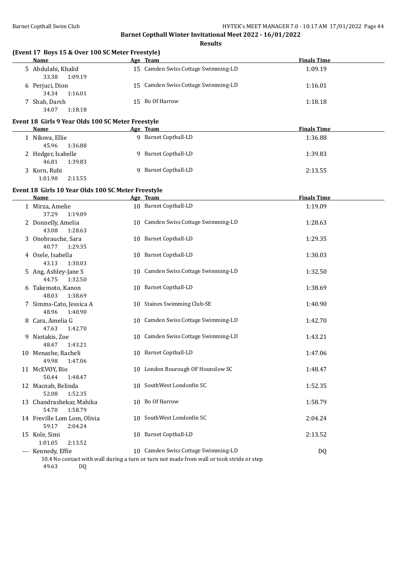| (Event 17 Boys 15 & Over 100 SC Meter Freestyle)<br>Name | Age Team                                                                                  | <b>Finals Time</b> |  |
|----------------------------------------------------------|-------------------------------------------------------------------------------------------|--------------------|--|
| 5 Abdulahi, Khalid<br>33.38<br>1:09.19                   | 15 Camden Swiss Cottage Swimming-LD                                                       | 1:09.19            |  |
| 6 Perjuci, Dion<br>34.34<br>1:16.01                      | 15 Camden Swiss Cottage Swimming-LD                                                       | 1:16.01            |  |
| 7 Shah, Darsh<br>34.07<br>1:18.18                        | 15 Bo Of Harrow                                                                           | 1:18.18            |  |
| Event 18 Girls 9 Year Olds 100 SC Meter Freestyle        |                                                                                           |                    |  |
| <b>Name</b>                                              | Age Team                                                                                  | <b>Finals Time</b> |  |
| 1 Nikova, Ellie<br>45.96<br>1:36.88                      | 9 Barnet Copthall-LD                                                                      | 1:36.88            |  |
| 2 Hedger, Isabelle<br>46.81<br>1:39.83                   | 9 Barnet Copthall-LD                                                                      | 1:39.83            |  |
| 3 Korn, Rubi<br>1:01.90<br>2:13.55                       | 9 Barnet Copthall-LD                                                                      | 2:13.55            |  |
| Event 18 Girls 10 Year Olds 100 SC Meter Freestyle       |                                                                                           |                    |  |
| Name                                                     | Age Team                                                                                  | <b>Finals Time</b> |  |
| 1 Mirza, Amelie<br>37.29<br>1:19.09                      | 10 Barnet Copthall-LD                                                                     | 1:19.09            |  |
| 2 Donnelly, Amelia<br>43.08<br>1:28.63                   | 10 Camden Swiss Cottage Swimming-LD                                                       | 1:28.63            |  |
| 3 Onobrauche, Sara<br>40.77<br>1:29.35                   | 10 Barnet Copthall-LD                                                                     | 1:29.35            |  |
| 4 Osele, Isabella<br>43.13<br>1:30.03                    | 10 Barnet Copthall-LD                                                                     | 1:30.03            |  |
| 5 Ang, Ashley-Jane S<br>44.75<br>1:32.50                 | 10 Camden Swiss Cottage Swimming-LD                                                       | 1:32.50            |  |
| 6 Takemoto, Kanon<br>48.03<br>1:38.69                    | 10 Barnet Copthall-LD                                                                     | 1:38.69            |  |
| 7 Simms-Cato, Jessica A<br>48.96<br>1:40.90              | 10 Staines Swimming Club-SE                                                               | 1:40.90            |  |
| 8 Cara, Amelia G<br>47.63<br>1:42.70                     | 10 Camden Swiss Cottage Swimming-LD                                                       | 1:42.70            |  |
| 9 Niotakis, Zoe<br>48.47<br>1:43.21                      | 10 Camden Swiss Cottage Swimming-LD                                                       | 1:43.21            |  |
| 10 Menashe, Racheli<br>49.98<br>1:47.06                  | 10 Barnet Copthall-LD                                                                     | 1:47.06            |  |
| 11 McEVOY, Rio<br>50.44<br>1:48.47                       | 10 London Bourough OF Hounslow SC                                                         | 1:48.47            |  |
| 12 Macnab, Belinda<br>52.08<br>1:52.35                   | 10 SouthWest Londonfin SC                                                                 | 1:52.35            |  |
| 13 Chandrashekar, Mahika<br>54.70<br>1:58.79             | 10 Bo Of Harrow                                                                           | 1:58.79            |  |
| 14 Freville Lom Lom, Olivia<br>59.17<br>2:04.24          | 10 SouthWest Londonfin SC                                                                 | 2:04.24            |  |
| 15 Kole, Simi<br>1:01.05<br>2:13.52                      | 10 Barnet Copthall-LD                                                                     | 2:13.52            |  |
| --- Kennedy, Effie                                       | 10 Camden Swiss Cottage Swimming-LD                                                       | DQ                 |  |
|                                                          | 10.4 No contact with wall during a turn or turn not made from wall or took stride or step |                    |  |

49.63 DQ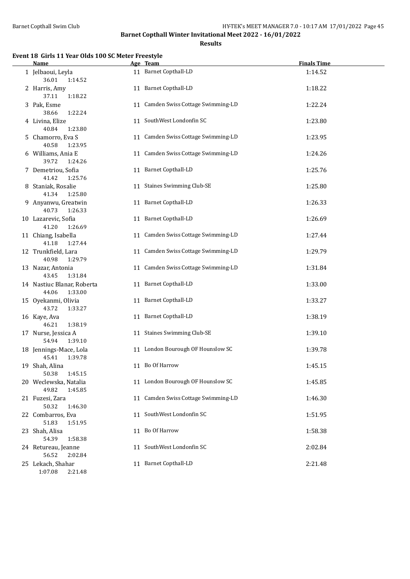**Results**

#### **Event 18 Girls 11 Year Olds 100 SC Meter Freestyle**

| <b>Name</b>                                    | Age Team                            | <b>Finals Time</b> |
|------------------------------------------------|-------------------------------------|--------------------|
| 1 Jelbaoui, Leyla<br>36.01<br>1:14.52          | 11 Barnet Copthall-LD               | 1:14.52            |
| 2 Harris, Amy<br>37.11<br>1:18.22              | 11 Barnet Copthall-LD               | 1:18.22            |
| 3 Pak, Esme<br>38.66<br>1:22.24                | 11 Camden Swiss Cottage Swimming-LD | 1:22.24            |
| 4 Livina, Elize<br>40.84<br>1:23.80            | 11 SouthWest Londonfin SC           | 1:23.80            |
| 5 Chamorro, Eva S<br>40.58<br>1:23.95          | 11 Camden Swiss Cottage Swimming-LD | 1:23.95            |
| 6 Williams, Ania E<br>39.72<br>1:24.26         | 11 Camden Swiss Cottage Swimming-LD | 1:24.26            |
| 7 Demetriou, Sofia<br>41.42<br>1:25.76         | 11 Barnet Copthall-LD               | 1:25.76            |
| 8 Staniak, Rosalie<br>41.34<br>1:25.80         | 11 Staines Swimming Club-SE         | 1:25.80            |
| 9 Anyanwu, Greatwin<br>40.73<br>1:26.33        | 11 Barnet Copthall-LD               | 1:26.33            |
| 10 Lazarevic, Sofia<br>41.20<br>1:26.69        | 11 Barnet Copthall-LD               | 1:26.69            |
| 11 Chiang, Isabella<br>41.18<br>1:27.44        | 11 Camden Swiss Cottage Swimming-LD | 1:27.44            |
| 12 Trunkfield, Lara<br>40.98<br>1:29.79        | 11 Camden Swiss Cottage Swimming-LD | 1:29.79            |
| 13 Nazar, Antonia<br>43.45<br>1:31.84          | 11 Camden Swiss Cottage Swimming-LD | 1:31.84            |
| 14 Nastiuc Blanar, Roberta<br>44.06<br>1:33.00 | 11 Barnet Copthall-LD               | 1:33.00            |
| 15 Oyekanmi, Olivia<br>43.72<br>1:33.27        | 11 Barnet Copthall-LD               | 1:33.27            |
| 16 Kaye, Ava<br>46.21<br>1:38.19               | 11 Barnet Copthall-LD               | 1:38.19            |
| 17 Nurse, Jessica A<br>1:39.10<br>54.94        | 11 Staines Swimming Club-SE         | 1:39.10            |
| 18 Jennings-Mace, Lola<br>45.41<br>1:39.78     | 11 London Bourough OF Hounslow SC   | 1:39.78            |
| 19 Shah, Alina<br>50.38<br>1:45.15             | 11 Bo Of Harrow                     | 1:45.15            |
| 20 Weclewska, Natalia<br>1:45.85<br>49.82      | 11 London Bourough OF Hounslow SC   | 1:45.85            |
| 21 Fuzesi, Zara<br>50.32<br>1:46.30            | 11 Camden Swiss Cottage Swimming-LD | 1:46.30            |
| 22 Combarros, Eva<br>51.83<br>1:51.95          | 11 SouthWest Londonfin SC           | 1:51.95            |
| 23 Shah, Alisa<br>54.39<br>1:58.38             | 11 Bo Of Harrow                     | 1:58.38            |
| 24 Retureau, Jeanne<br>56.52<br>2:02.84        | 11 SouthWest Londonfin SC           | 2:02.84            |
| 25 Lekach, Shahar<br>1:07.08<br>2:21.48        | 11 Barnet Copthall-LD               | 2:21.48            |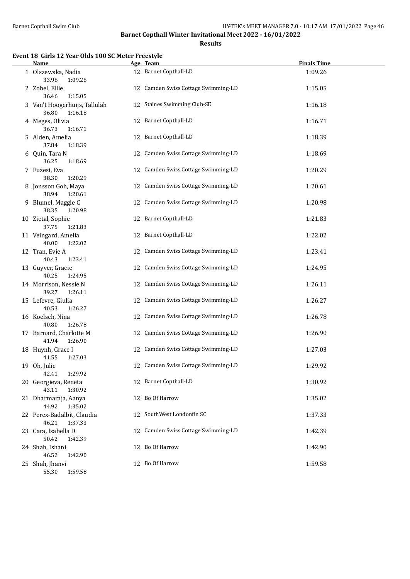**Results**

### **Event 18 Girls 12 Year Olds 100 SC Meter Freestyle**

| <b>Name</b>                                       |    | Age Team                            | <b>Finals Time</b> |
|---------------------------------------------------|----|-------------------------------------|--------------------|
| 1 Olszewska, Nadia<br>33.96<br>1:09.26            |    | 12 Barnet Copthall-LD               | 1:09.26            |
| 2 Zobel, Ellie<br>1:15.05<br>36.46                |    | 12 Camden Swiss Cottage Swimming-LD | 1:15.05            |
| 3 Van't Hoogerhuijs, Tallulah<br>36.80<br>1:16.18 |    | 12 Staines Swimming Club-SE         | 1:16.18            |
| 4 Meges, Olivia<br>36.73<br>1:16.71               |    | 12 Barnet Copthall-LD               | 1:16.71            |
| 5 Alden, Amelia<br>37.84<br>1:18.39               |    | 12 Barnet Copthall-LD               | 1:18.39            |
| 6 Quin, Tara N<br>36.25<br>1:18.69                |    | 12 Camden Swiss Cottage Swimming-LD | 1:18.69            |
| 7 Fuzesi, Eva<br>38.30<br>1:20.29                 |    | 12 Camden Swiss Cottage Swimming-LD | 1:20.29            |
| 8 Jonsson Goh, Maya<br>38.94<br>1:20.61           |    | 12 Camden Swiss Cottage Swimming-LD | 1:20.61            |
| 9 Blumel, Maggie C<br>38.35<br>1:20.98            |    | 12 Camden Swiss Cottage Swimming-LD | 1:20.98            |
| 10 Zietal, Sophie<br>37.75<br>1:21.83             |    | 12 Barnet Copthall-LD               | 1:21.83            |
| 11 Veingard, Amelia<br>40.00<br>1:22.02           |    | 12 Barnet Copthall-LD               | 1:22.02            |
| 12 Tran, Evie A<br>40.43<br>1:23.41               |    | 12 Camden Swiss Cottage Swimming-LD | 1:23.41            |
| 13 Guyver, Gracie<br>40.25<br>1:24.95             |    | 12 Camden Swiss Cottage Swimming-LD | 1:24.95            |
| 14 Morrison, Nessie N<br>39.27<br>1:26.11         | 12 | Camden Swiss Cottage Swimming-LD    | 1:26.11            |
| 15 Lefevre, Giulia<br>40.53<br>1:26.27            | 12 | Camden Swiss Cottage Swimming-LD    | 1:26.27            |
| 16 Koelsch, Nina<br>40.80<br>1:26.78              |    | 12 Camden Swiss Cottage Swimming-LD | 1:26.78            |
| 17 Barnard, Charlotte M<br>41.94<br>1:26.90       |    | 12 Camden Swiss Cottage Swimming-LD | 1:26.90            |
| 18 Huynh, Grace I<br>41.55<br>1:27.03             |    | 12 Camden Swiss Cottage Swimming-LD | 1:27.03            |
| 19 Oh, Julie<br>42.41<br>1:29.92                  |    | 12 Camden Swiss Cottage Swimming-LD | 1:29.92            |
| 20 Georgieva, Reneta<br>43.11<br>1:30.92          |    | 12 Barnet Copthall-LD               | 1:30.92            |
| 21 Dharmaraja, Aanya<br>44.92<br>1:35.02          |    | 12 Bo Of Harrow                     | 1:35.02            |
| 22 Perex-Badalbit, Claudia<br>46.21<br>1:37.33    |    | 12 SouthWest Londonfin SC           | 1:37.33            |
| 23 Cara, Isabella D<br>50.42<br>1:42.39           | 12 | Camden Swiss Cottage Swimming-LD    | 1:42.39            |
| 24 Shah, Ishani<br>46.52<br>1:42.90               |    | 12 Bo Of Harrow                     | 1:42.90            |
| 25 Shah, Jhanvi<br>55.30<br>1:59.58               |    | 12 Bo Of Harrow                     | 1:59.58            |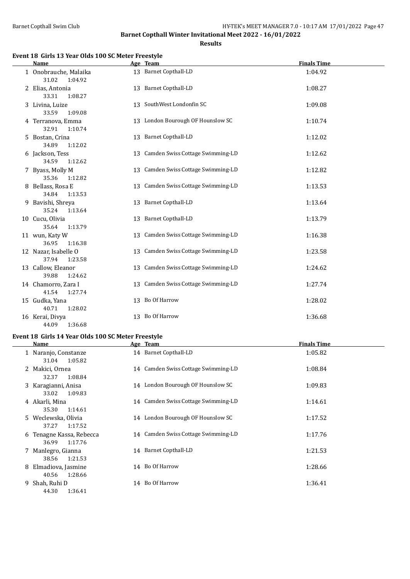**Results**

#### **Event 18 Girls 13 Year Olds 100 SC Meter Freestyle**

| Name                                      |    | Age Team                            | <b>Finals Time</b> |
|-------------------------------------------|----|-------------------------------------|--------------------|
| 1 Onobrauche, Malaika<br>31.02<br>1:04.92 |    | 13 Barnet Copthall-LD               | 1:04.92            |
| 2 Elias, Antonia<br>33.31<br>1:08.27      |    | 13 Barnet Copthall-LD               | 1:08.27            |
| 3 Livina, Luize<br>33.59<br>1:09.08       |    | 13 SouthWest Londonfin SC           | 1:09.08            |
| 4 Terranova, Emma<br>32.91<br>1:10.74     |    | 13 London Bourough OF Hounslow SC   | 1:10.74            |
| 5 Bostan, Crina<br>34.89<br>1:12.02       |    | 13 Barnet Copthall-LD               | 1:12.02            |
| 6 Jackson, Tess<br>34.59<br>1:12.62       |    | 13 Camden Swiss Cottage Swimming-LD | 1:12.62            |
| 7 Byass, Molly M<br>35.36<br>1:12.82      | 13 | Camden Swiss Cottage Swimming-LD    | 1:12.82            |
| 8 Bellass, Rosa E<br>34.84<br>1:13.53     |    | 13 Camden Swiss Cottage Swimming-LD | 1:13.53            |
| 9 Bavishi, Shreya<br>35.24<br>1:13.64     |    | 13 Barnet Copthall-LD               | 1:13.64            |
| 10 Cucu, Olivia<br>35.64<br>1:13.79       |    | 13 Barnet Copthall-LD               | 1:13.79            |
| 11 wun, Katy W<br>36.95<br>1:16.38        | 13 | Camden Swiss Cottage Swimming-LD    | 1:16.38            |
| 12 Nazar, Isabelle O<br>37.94<br>1:23.58  |    | 13 Camden Swiss Cottage Swimming-LD | 1:23.58            |
| 13 Callow, Eleanor<br>39.88<br>1:24.62    |    | 13 Camden Swiss Cottage Swimming-LD | 1:24.62            |
| 14 Chamorro, Zara I<br>41.54<br>1:27.74   | 13 | Camden Swiss Cottage Swimming-LD    | 1:27.74            |
| 15 Gudka, Yana<br>40.71<br>1:28.02        |    | 13 Bo Of Harrow                     | 1:28.02            |
| 16 Kerai, Divya<br>44.09<br>1:36.68       |    | 13 Bo Of Harrow                     | 1:36.68            |

#### **Event 18 Girls 14 Year Olds 100 SC Meter Freestyle**

|   | Name                                         | Age Team                            | <b>Finals Time</b> |
|---|----------------------------------------------|-------------------------------------|--------------------|
|   | 1 Naranjo, Constanze<br>1:05.82<br>31.04     | 14 Barnet Copthall-LD               | 1:05.82            |
|   | 2 Makici, Ornea<br>1:08.84<br>32.37          | 14 Camden Swiss Cottage Swimming-LD | 1:08.84            |
|   | 3 Karagianni, Anisa<br>1:09.83<br>33.02      | 14 London Bourough OF Hounslow SC   | 1:09.83            |
|   | 4 Akarli, Mina<br>35.30<br>1:14.61           | 14 Camden Swiss Cottage Swimming-LD | 1:14.61            |
|   | 5 Weclewska, Olivia<br>37.27<br>1:17.52      | 14 London Bourough OF Hounslow SC   | 1:17.52            |
|   | 6 Tenagne Kassa, Rebecca<br>36.99<br>1:17.76 | 14 Camden Swiss Cottage Swimming-LD | 1:17.76            |
|   | 7 Manlegro, Gianna<br>1:21.53<br>38.56       | 14 Barnet Copthall-LD               | 1:21.53            |
| 8 | Elmadiova, Jasmine<br>40.56<br>1:28.66       | 14 Bo Of Harrow                     | 1:28.66            |
|   | 9 Shah, Ruhi D<br>44.30<br>1:36.41           | 14 Bo Of Harrow                     | 1:36.41            |